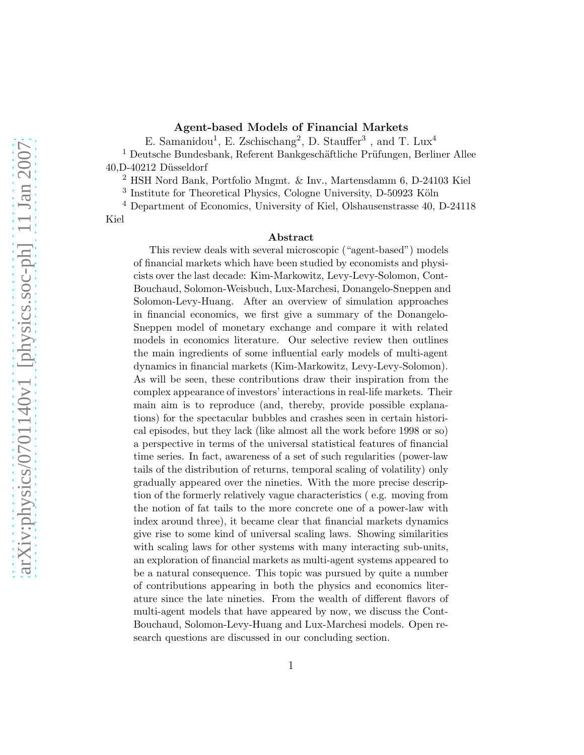#### Agent-based Models of Financial Markets

E. Samanidou<sup>1</sup>, E. Zschischang<sup>2</sup>, D. Stauffer<sup>3</sup>, and T. Lux<sup>4</sup>

 $1$  Deutsche Bundesbank, Referent Bankgeschäftliche Prüfungen, Berliner Allee 40,D-40212 Düsseldorf

<sup>2</sup> HSH Nord Bank, Portfolio Mngmt. & Inv., Martensdamm 6, D-24103 Kiel

 $3$  Institute for Theoretical Physics, Cologne University, D-50923 Köln

<sup>4</sup> Department of Economics, University of Kiel, Olshausenstrasse 40, D-24118 Kiel

#### Abstract

This review deals with several microscopic ("agent-based") models of financial markets which have been studied by economists and physicists over the last decade: Kim-Markowitz, Levy-Levy-Solomon, Cont-Bouchaud, Solomon-Weisbuch, Lux-Marchesi, Donangelo-Sneppen and Solomon-Levy-Huang. After an overview of simulation approaches in financial economics, we first give a summary of the Donangelo-Sneppen model of monetary exchange and compare it with related models in economics literature. Our selective review then outlines the main ingredients of some influential early models of multi-agent dynamics in financial markets (Kim-Markowitz, Levy-Levy-Solomon). As will be seen, these contributions draw their inspiration from the complex appearance of investors' interactions in real-life markets. Their main aim is to reproduce (and, thereby, provide possible explanations) for the spectacular bubbles and crashes seen in certain historical episodes, but they lack (like almost all the work before 1998 or so) a perspective in terms of the universal statistical features of financial time series. In fact, awareness of a set of such regularities (power-law tails of the distribution of returns, temporal scaling of volatility) only gradually appeared over the nineties. With the more precise description of the formerly relatively vague characteristics ( e.g. moving from the notion of fat tails to the more concrete one of a power-law with index around three), it became clear that financial markets dynamics give rise to some kind of universal scaling laws. Showing similarities with scaling laws for other systems with many interacting sub-units, an exploration of financial markets as multi-agent systems appeared to be a natural consequence. This topic was pursued by quite a number of contributions appearing in both the physics and economics literature since the late nineties. From the wealth of different flavors of multi-agent models that have appeared by now, we discuss the Cont-Bouchaud, Solomon-Levy-Huang and Lux-Marchesi models. Open research questions are discussed in our concluding section.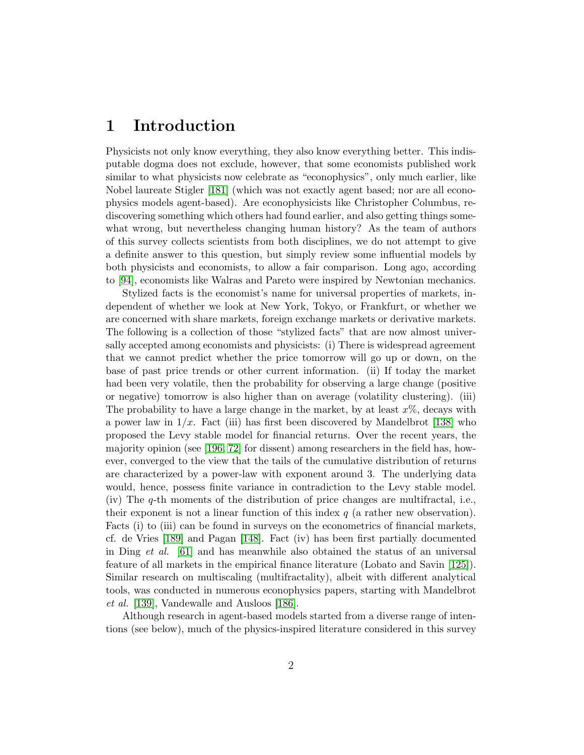### 1 Introduction

Physicists not only know everything, they also know everything better. This indisputable dogma does not exclude, however, that some economists published work similar to what physicists now celebrate as "econophysics", only much earlier, like Nobel laureate Stigler [\[181\]](#page-63-0) (which was not exactly agent based; nor are all econophysics models agent-based). Are econophysicists like Christopher Columbus, rediscovering something which others had found earlier, and also getting things somewhat wrong, but nevertheless changing human history? As the team of authors of this survey collects scientists from both disciplines, we do not attempt to give a definite answer to this question, but simply review some influential models by both physicists and economists, to allow a fair comparison. Long ago, according to [\[94\]](#page-56-0), economists like Walras and Pareto were inspired by Newtonian mechanics.

Stylized facts is the economist's name for universal properties of markets, independent of whether we look at New York, Tokyo, or Frankfurt, or whether we are concerned with share markets, foreign exchange markets or derivative markets. The following is a collection of those "stylized facts" that are now almost universally accepted among economists and physicists: (i) There is widespread agreement that we cannot predict whether the price tomorrow will go up or down, on the base of past price trends or other current information. (ii) If today the market had been very volatile, then the probability for observing a large change (positive or negative) tomorrow is also higher than on average (volatility clustering). (iii) The probability to have a large change in the market, by at least  $x\%$ , decays with a power law in  $1/x$ . Fact (iii) has first been discovered by Mandelbrot [\[138\]](#page-60-0) who proposed the Levy stable model for financial returns. Over the recent years, the majority opinion (see [\[196,](#page-64-0) [72\]](#page-55-0) for dissent) among researchers in the field has, however, converged to the view that the tails of the cumulative distribution of returns are characterized by a power-law with exponent around 3. The underlying data would, hence, possess finite variance in contradiction to the Levy stable model. (iv) The q-th moments of the distribution of price changes are multifractal, i.e., their exponent is not a linear function of this index  $q$  (a rather new observation). Facts (i) to (iii) can be found in surveys on the econometrics of financial markets, cf. de Vries [\[189\]](#page-63-1) and Pagan [\[148\]](#page-60-1). Fact (iv) has been first partially documented in Ding *et al.* [\[61\]](#page-54-0) and has meanwhile also obtained the status of an universal feature of all markets in the empirical finance literature (Lobato and Savin [\[125\]](#page-59-0)). Similar research on multiscaling (multifractality), albeit with different analytical tools, was conducted in numerous econophysics papers, starting with Mandelbrot *et al.* [\[139\]](#page-60-2), Vandewalle and Ausloos [\[186\]](#page-63-2).

Although research in agent-based models started from a diverse range of intentions (see below), much of the physics-inspired literature considered in this survey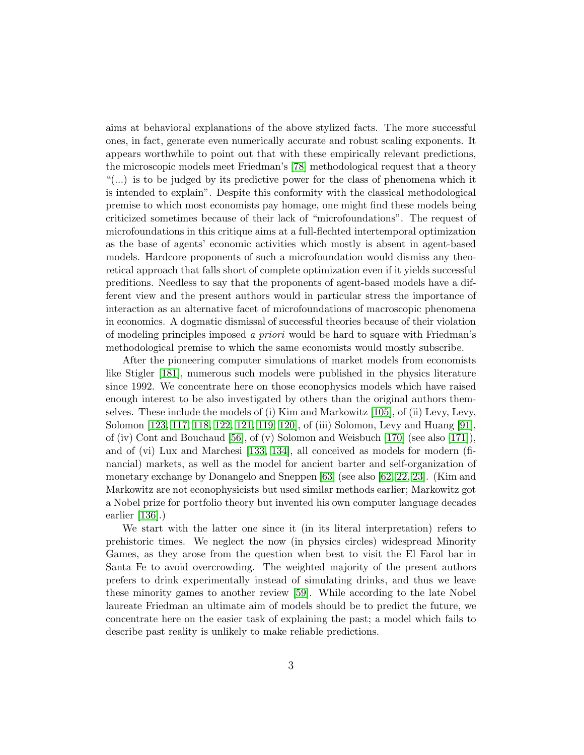aims at behavioral explanations of the above stylized facts. The more successful ones, in fact, generate even numerically accurate and robust scaling exponents. It appears worthwhile to point out that with these empirically relevant predictions, the microscopic models meet Friedman's [\[78\]](#page-55-1) methodological request that a theory "(...) is to be judged by its predictive power for the class of phenomena which it is intended to explain". Despite this conformity with the classical methodological premise to which most economists pay homage, one might find these models being criticized sometimes because of their lack of "microfoundations". The request of microfoundations in this critique aims at a full-flechted intertemporal optimization as the base of agents' economic activities which mostly is absent in agent-based models. Hardcore proponents of such a microfoundation would dismiss any theoretical approach that falls short of complete optimization even if it yields successful preditions. Needless to say that the proponents of agent-based models have a different view and the present authors would in particular stress the importance of interaction as an alternative facet of microfoundations of macroscopic phenomena in economics. A dogmatic dismissal of successful theories because of their violation of modeling principles imposed *a priori* would be hard to square with Friedman's methodological premise to which the same economists would mostly subscribe.

After the pioneering computer simulations of market models from economists like Stigler [\[181\]](#page-63-0), numerous such models were published in the physics literature since 1992. We concentrate here on those econophysics models which have raised enough interest to be also investigated by others than the original authors themselves. These include the models of (i) Kim and Markowitz [\[105\]](#page-57-0), of (ii) Levy, Levy, Solomon [\[123,](#page-59-1) [117,](#page-58-0) [118,](#page-58-1) [122,](#page-58-2) [121,](#page-58-3) [119,](#page-58-4) [120\]](#page-58-5), of (iii) Solomon, Levy and Huang [\[91\]](#page-56-1), of (iv) Cont and Bouchaud [\[56\]](#page-54-1), of (v) Solomon and Weisbuch [\[170\]](#page-62-0) (see also [\[171\]](#page-62-1)), and of (vi) Lux and Marchesi [\[133,](#page-59-2) [134\]](#page-59-3), all conceived as models for modern (financial) markets, as well as the model for ancient barter and self-organization of monetary exchange by Donangelo and Sneppen [\[63\]](#page-54-2) (see also [\[62,](#page-54-3) [22,](#page-51-0) [23\]](#page-51-1). (Kim and Markowitz are not econophysicists but used similar methods earlier; Markowitz got a Nobel prize for portfolio theory but invented his own computer language decades earlier [\[136\]](#page-60-3).)

We start with the latter one since it (in its literal interpretation) refers to prehistoric times. We neglect the now (in physics circles) widespread Minority Games, as they arose from the question when best to visit the El Farol bar in Santa Fe to avoid overcrowding. The weighted majority of the present authors prefers to drink experimentally instead of simulating drinks, and thus we leave these minority games to another review [\[59\]](#page-54-4). While according to the late Nobel laureate Friedman an ultimate aim of models should be to predict the future, we concentrate here on the easier task of explaining the past; a model which fails to describe past reality is unlikely to make reliable predictions.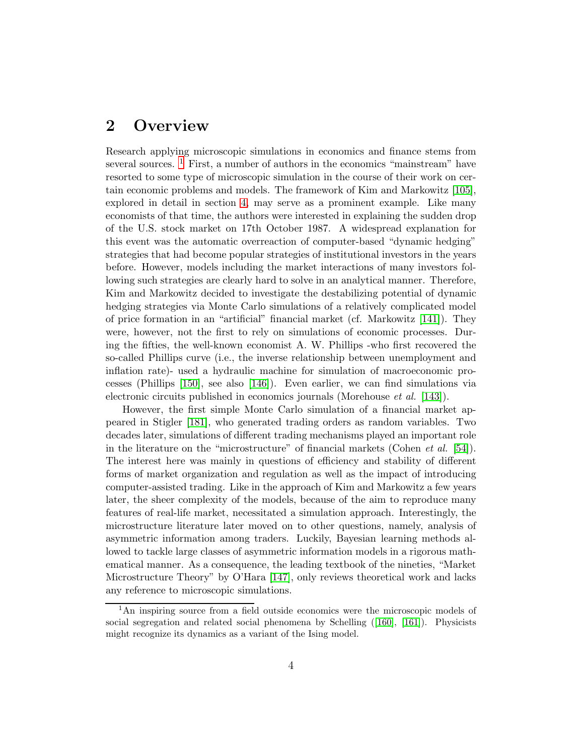### 2 Overview

Research applying microscopic simulations in economics and finance stems from several sources.  $\frac{1}{1}$  $\frac{1}{1}$  $\frac{1}{1}$  First, a number of authors in the economics "mainstream" have resorted to some type of microscopic simulation in the course of their work on certain economic problems and models. The framework of Kim and Markowitz [\[105\]](#page-57-0), explored in detail in section [4,](#page-11-0) may serve as a prominent example. Like many economists of that time, the authors were interested in explaining the sudden drop of the U.S. stock market on 17th October 1987. A widespread explanation for this event was the automatic overreaction of computer-based "dynamic hedging" strategies that had become popular strategies of institutional investors in the years before. However, models including the market interactions of many investors following such strategies are clearly hard to solve in an analytical manner. Therefore, Kim and Markowitz decided to investigate the destabilizing potential of dynamic hedging strategies via Monte Carlo simulations of a relatively complicated model of price formation in an "artificial" financial market (cf. Markowitz [\[141\]](#page-60-4)). They were, however, not the first to rely on simulations of economic processes. During the fifties, the well-known economist A. W. Phillips -who first recovered the so-called Phillips curve (i.e., the inverse relationship between unemployment and inflation rate)- used a hydraulic machine for simulation of macroeconomic processes (Phillips [\[150\]](#page-61-0), see also [\[146\]](#page-60-5)). Even earlier, we can find simulations via electronic circuits published in economics journals (Morehouse *et al.* [\[143\]](#page-60-6)).

However, the first simple Monte Carlo simulation of a financial market appeared in Stigler [\[181\]](#page-63-0), who generated trading orders as random variables. Two decades later, simulations of different trading mechanisms played an important role in the literature on the "microstructure" of financial markets (Cohen *et al.* [\[54\]](#page-54-5)). The interest here was mainly in questions of efficiency and stability of different forms of market organization and regulation as well as the impact of introducing computer-assisted trading. Like in the approach of Kim and Markowitz a few years later, the sheer complexity of the models, because of the aim to reproduce many features of real-life market, necessitated a simulation approach. Interestingly, the microstructure literature later moved on to other questions, namely, analysis of asymmetric information among traders. Luckily, Bayesian learning methods allowed to tackle large classes of asymmetric information models in a rigorous mathematical manner. As a consequence, the leading textbook of the nineties, "Market Microstructure Theory" by O'Hara [\[147\]](#page-60-7), only reviews theoretical work and lacks any reference to microscopic simulations.

<span id="page-3-0"></span><sup>1</sup>An inspiring source from a field outside economics were the microscopic models of social segregation and related social phenomena by Schelling ([\[160\]](#page-61-1), [\[161\]](#page-61-2)). Physicists might recognize its dynamics as a variant of the Ising model.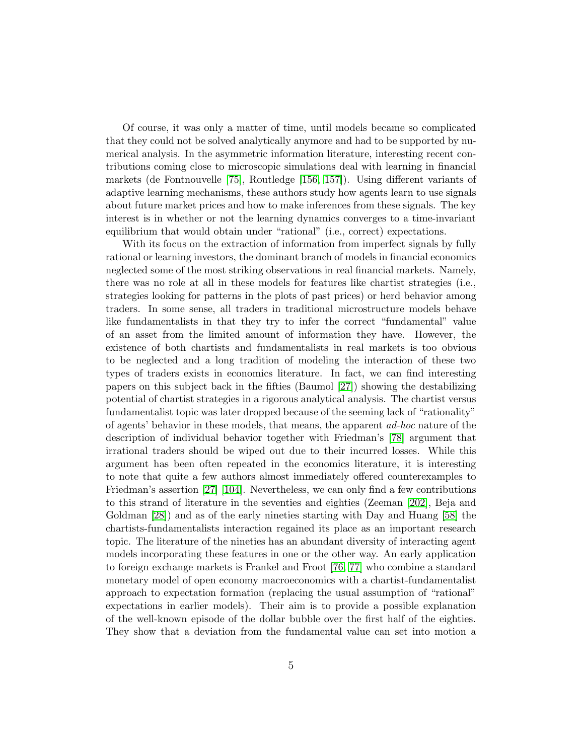Of course, it was only a matter of time, until models became so complicated that they could not be solved analytically anymore and had to be supported by numerical analysis. In the asymmetric information literature, interesting recent contributions coming close to microscopic simulations deal with learning in financial markets (de Fontnouvelle [\[75\]](#page-55-2), Routledge [\[156,](#page-61-3) [157\]](#page-61-4)). Using different variants of adaptive learning mechanisms, these authors study how agents learn to use signals about future market prices and how to make inferences from these signals. The key interest is in whether or not the learning dynamics converges to a time-invariant equilibrium that would obtain under "rational" (i.e., correct) expectations.

With its focus on the extraction of information from imperfect signals by fully rational or learning investors, the dominant branch of models in financial economics neglected some of the most striking observations in real financial markets. Namely, there was no role at all in these models for features like chartist strategies (i.e., strategies looking for patterns in the plots of past prices) or herd behavior among traders. In some sense, all traders in traditional microstructure models behave like fundamentalists in that they try to infer the correct "fundamental" value of an asset from the limited amount of information they have. However, the existence of both chartists and fundamentalists in real markets is too obvious to be neglected and a long tradition of modeling the interaction of these two types of traders exists in economics literature. In fact, we can find interesting papers on this subject back in the fifties (Baumol [\[27\]](#page-51-2)) showing the destabilizing potential of chartist strategies in a rigorous analytical analysis. The chartist versus fundamentalist topic was later dropped because of the seeming lack of "rationality" of agents' behavior in these models, that means, the apparent *ad-hoc* nature of the description of individual behavior together with Friedman's [\[78\]](#page-55-1) argument that irrational traders should be wiped out due to their incurred losses. While this argument has been often repeated in the economics literature, it is interesting to note that quite a few authors almost immediately offered counterexamples to Friedman's assertion [\[27\]](#page-51-2) [\[104\]](#page-57-1). Nevertheless, we can only find a few contributions to this strand of literature in the seventies and eighties (Zeeman [\[202\]](#page-64-1), Beja and Goldman [\[28\]](#page-52-0)) and as of the early nineties starting with Day and Huang [\[58\]](#page-54-6) the chartists-fundamentalists interaction regained its place as an important research topic. The literature of the nineties has an abundant diversity of interacting agent models incorporating these features in one or the other way. An early application to foreign exchange markets is Frankel and Froot [\[76,](#page-55-3) [77\]](#page-55-4) who combine a standard monetary model of open economy macroeconomics with a chartist-fundamentalist approach to expectation formation (replacing the usual assumption of "rational" expectations in earlier models). Their aim is to provide a possible explanation of the well-known episode of the dollar bubble over the first half of the eighties. They show that a deviation from the fundamental value can set into motion a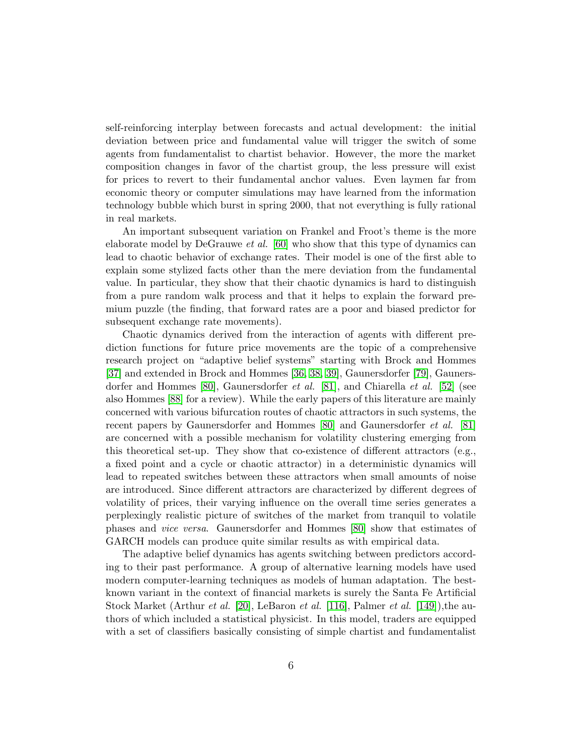self-reinforcing interplay between forecasts and actual development: the initial deviation between price and fundamental value will trigger the switch of some agents from fundamentalist to chartist behavior. However, the more the market composition changes in favor of the chartist group, the less pressure will exist for prices to revert to their fundamental anchor values. Even laymen far from economic theory or computer simulations may have learned from the information technology bubble which burst in spring 2000, that not everything is fully rational in real markets.

An important subsequent variation on Frankel and Froot's theme is the more elaborate model by DeGrauwe *et al.* [\[60\]](#page-54-7) who show that this type of dynamics can lead to chaotic behavior of exchange rates. Their model is one of the first able to explain some stylized facts other than the mere deviation from the fundamental value. In particular, they show that their chaotic dynamics is hard to distinguish from a pure random walk process and that it helps to explain the forward premium puzzle (the finding, that forward rates are a poor and biased predictor for subsequent exchange rate movements).

Chaotic dynamics derived from the interaction of agents with different prediction functions for future price movements are the topic of a comprehensive research project on "adaptive belief systems" starting with Brock and Hommes [\[37\]](#page-52-1) and extended in Brock and Hommes [\[36,](#page-52-2) [38,](#page-52-3) [39\]](#page-52-4), Gaunersdorfer [\[79\]](#page-55-5), Gaunersdorfer and Hommes [\[80\]](#page-55-6), Gaunersdorfer *et al.* [\[81\]](#page-55-7), and Chiarella *et al.* [\[52\]](#page-53-0) (see also Hommes [\[88\]](#page-56-2) for a review). While the early papers of this literature are mainly concerned with various bifurcation routes of chaotic attractors in such systems, the recent papers by Gaunersdorfer and Hommes [\[80\]](#page-55-6) and Gaunersdorfer *et al.* [\[81\]](#page-55-7) are concerned with a possible mechanism for volatility clustering emerging from this theoretical set-up. They show that co-existence of different attractors (e.g., a fixed point and a cycle or chaotic attractor) in a deterministic dynamics will lead to repeated switches between these attractors when small amounts of noise are introduced. Since different attractors are characterized by different degrees of volatility of prices, their varying influence on the overall time series generates a perplexingly realistic picture of switches of the market from tranquil to volatile phases and *vice versa*. Gaunersdorfer and Hommes [\[80\]](#page-55-6) show that estimates of GARCH models can produce quite similar results as with empirical data.

The adaptive belief dynamics has agents switching between predictors according to their past performance. A group of alternative learning models have used modern computer-learning techniques as models of human adaptation. The bestknown variant in the context of financial markets is surely the Santa Fe Artificial Stock Market (Arthur *et al.* [\[20\]](#page-51-3), LeBaron *et al.* [\[116\]](#page-58-6), Palmer *et al.* [\[149\]](#page-61-5)),the authors of which included a statistical physicist. In this model, traders are equipped with a set of classifiers basically consisting of simple chartist and fundamentalist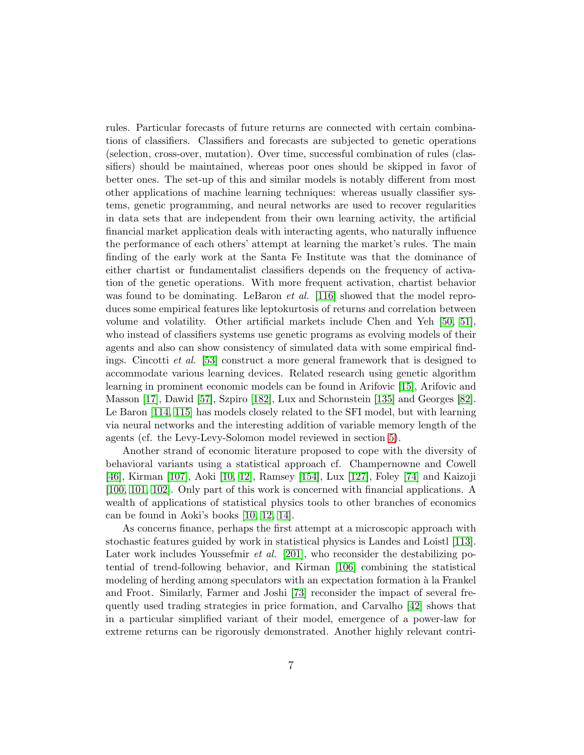rules. Particular forecasts of future returns are connected with certain combinations of classifiers. Classifiers and forecasts are subjected to genetic operations (selection, cross-over, mutation). Over time, successful combination of rules (classifiers) should be maintained, whereas poor ones should be skipped in favor of better ones. The set-up of this and similar models is notably different from most other applications of machine learning techniques: whereas usually classifier systems, genetic programming, and neural networks are used to recover regularities in data sets that are independent from their own learning activity, the artificial financial market application deals with interacting agents, who naturally influence the performance of each others' attempt at learning the market's rules. The main finding of the early work at the Santa Fe Institute was that the dominance of either chartist or fundamentalist classifiers depends on the frequency of activation of the genetic operations. With more frequent activation, chartist behavior was found to be dominating. LeBaron *et al.* [\[116\]](#page-58-6) showed that the model reproduces some empirical features like leptokurtosis of returns and correlation between volume and volatility. Other artificial markets include Chen and Yeh [\[50,](#page-53-1) [51\]](#page-53-2), who instead of classifiers systems use genetic programs as evolving models of their agents and also can show consistency of simulated data with some empirical findings. Cincotti *et al.* [\[53\]](#page-53-3) construct a more general framework that is designed to accommodate various learning devices. Related research using genetic algorithm learning in prominent economic models can be found in Arifovic [\[15\]](#page-51-4), Arifovic and Masson [\[17\]](#page-51-5), Dawid [\[57\]](#page-54-8), Szpiro [\[182\]](#page-63-3), Lux and Schornstein [\[135\]](#page-60-8) and Georges [\[82\]](#page-56-3). Le Baron [\[114,](#page-58-7) [115\]](#page-58-8) has models closely related to the SFI model, but with learning via neural networks and the interesting addition of variable memory length of the agents (cf. the Levy-Levy-Solomon model reviewed in section [5\)](#page-22-0).

Another strand of economic literature proposed to cope with the diversity of behavioral variants using a statistical approach cf. Champernowne and Cowell [\[46\]](#page-53-4), Kirman [\[107\]](#page-57-2), Aoki [\[10,](#page-50-0) [12\]](#page-50-1), Ramsey [\[154\]](#page-61-6), Lux [\[127\]](#page-59-4), Foley [\[74\]](#page-55-8) and Kaizoji [\[100,](#page-57-3) [101,](#page-57-4) [102\]](#page-57-5). Only part of this work is concerned with financial applications. A wealth of applications of statistical physics tools to other branches of economics can be found in Aoki's books [\[10,](#page-50-0) [12,](#page-50-1) [14\]](#page-51-6).

As concerns finance, perhaps the first attempt at a microscopic approach with stochastic features guided by work in statistical physics is Landes and Loistl [\[113\]](#page-58-9). Later work includes Youssefmir *et al.* [\[201\]](#page-64-2), who reconsider the destabilizing potential of trend-following behavior, and Kirman [\[106\]](#page-57-6) combining the statistical modeling of herding among speculators with an expectation formation  $\grave{a}$  la Frankel and Froot. Similarly, Farmer and Joshi [\[73\]](#page-55-9) reconsider the impact of several frequently used trading strategies in price formation, and Carvalho [\[42\]](#page-53-5) shows that in a particular simplified variant of their model, emergence of a power-law for extreme returns can be rigorously demonstrated. Another highly relevant contri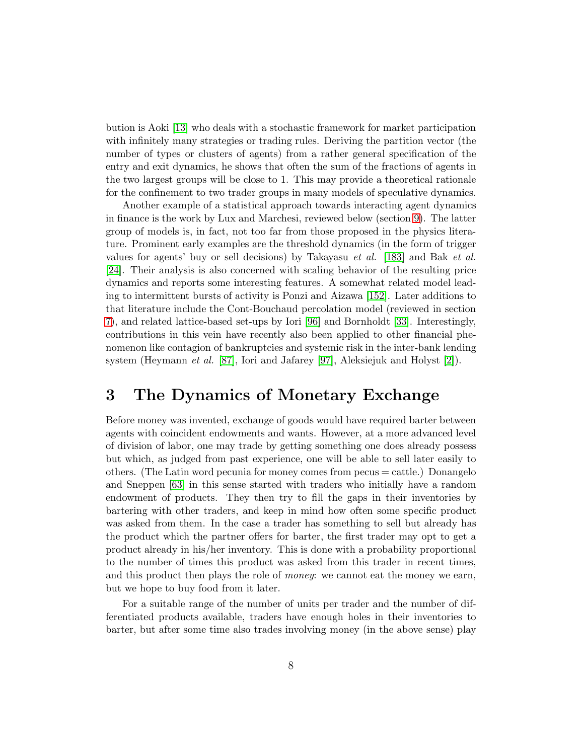bution is Aoki [\[13\]](#page-50-2) who deals with a stochastic framework for market participation with infinitely many strategies or trading rules. Deriving the partition vector (the number of types or clusters of agents) from a rather general specification of the entry and exit dynamics, he shows that often the sum of the fractions of agents in the two largest groups will be close to 1. This may provide a theoretical rationale for the confinement to two trader groups in many models of speculative dynamics.

Another example of a statistical approach towards interacting agent dynamics in finance is the work by Lux and Marchesi, reviewed below (section [9\)](#page-40-0). The latter group of models is, in fact, not too far from those proposed in the physics literature. Prominent early examples are the threshold dynamics (in the form of trigger values for agents' buy or sell decisions) by Takayasu *et al.* [\[183\]](#page-63-4) and Bak *et al.* [\[24\]](#page-51-7). Their analysis is also concerned with scaling behavior of the resulting price dynamics and reports some interesting features. A somewhat related model leading to intermittent bursts of activity is Ponzi and Aizawa [\[152\]](#page-61-7). Later additions to that literature include the Cont-Bouchaud percolation model (reviewed in section [7\)](#page-33-0), and related lattice-based set-ups by Iori [\[96\]](#page-57-7) and Bornholdt [\[33\]](#page-52-5). Interestingly, contributions in this vein have recently also been applied to other financial phenomenon like contagion of bankruptcies and systemic risk in the inter-bank lending system (Heymann *et al.* [\[87\]](#page-56-4), Iori and Jafarey [\[97\]](#page-57-8), Aleksiejuk and Holyst [\[2\]](#page-50-3)).

### 3 The Dynamics of Monetary Exchange

Before money was invented, exchange of goods would have required barter between agents with coincident endowments and wants. However, at a more advanced level of division of labor, one may trade by getting something one does already possess but which, as judged from past experience, one will be able to sell later easily to others. (The Latin word pecunia for money comes from pecus = cattle.) Donangelo and Sneppen [\[63\]](#page-54-2) in this sense started with traders who initially have a random endowment of products. They then try to fill the gaps in their inventories by bartering with other traders, and keep in mind how often some specific product was asked from them. In the case a trader has something to sell but already has the product which the partner offers for barter, the first trader may opt to get a product already in his/her inventory. This is done with a probability proportional to the number of times this product was asked from this trader in recent times, and this product then plays the role of *money*: we cannot eat the money we earn, but we hope to buy food from it later.

For a suitable range of the number of units per trader and the number of differentiated products available, traders have enough holes in their inventories to barter, but after some time also trades involving money (in the above sense) play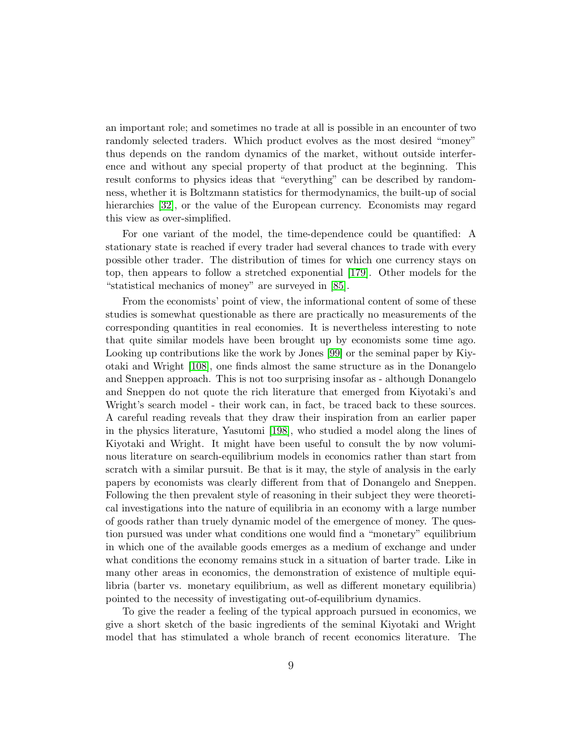an important role; and sometimes no trade at all is possible in an encounter of two randomly selected traders. Which product evolves as the most desired "money" thus depends on the random dynamics of the market, without outside interference and without any special property of that product at the beginning. This result conforms to physics ideas that "everything" can be described by randomness, whether it is Boltzmann statistics for thermodynamics, the built-up of social hierarchies [\[32\]](#page-52-6), or the value of the European currency. Economists may regard this view as over-simplified.

For one variant of the model, the time-dependence could be quantified: A stationary state is reached if every trader had several chances to trade with every possible other trader. The distribution of times for which one currency stays on top, then appears to follow a stretched exponential [\[179\]](#page-63-5). Other models for the "statistical mechanics of money" are surveyed in [\[85\]](#page-56-5).

From the economists' point of view, the informational content of some of these studies is somewhat questionable as there are practically no measurements of the corresponding quantities in real economies. It is nevertheless interesting to note that quite similar models have been brought up by economists some time ago. Looking up contributions like the work by Jones [\[99\]](#page-57-9) or the seminal paper by Kiyotaki and Wright [\[108\]](#page-57-10), one finds almost the same structure as in the Donangelo and Sneppen approach. This is not too surprising insofar as - although Donangelo and Sneppen do not quote the rich literature that emerged from Kiyotaki's and Wright's search model - their work can, in fact, be traced back to these sources. A careful reading reveals that they draw their inspiration from an earlier paper in the physics literature, Yasutomi [\[198\]](#page-64-3), who studied a model along the lines of Kiyotaki and Wright. It might have been useful to consult the by now voluminous literature on search-equilibrium models in economics rather than start from scratch with a similar pursuit. Be that is it may, the style of analysis in the early papers by economists was clearly different from that of Donangelo and Sneppen. Following the then prevalent style of reasoning in their subject they were theoretical investigations into the nature of equilibria in an economy with a large number of goods rather than truely dynamic model of the emergence of money. The question pursued was under what conditions one would find a "monetary" equilibrium in which one of the available goods emerges as a medium of exchange and under what conditions the economy remains stuck in a situation of barter trade. Like in many other areas in economics, the demonstration of existence of multiple equilibria (barter vs. monetary equilibrium, as well as different monetary equilibria) pointed to the necessity of investigating out-of-equilibrium dynamics.

To give the reader a feeling of the typical approach pursued in economics, we give a short sketch of the basic ingredients of the seminal Kiyotaki and Wright model that has stimulated a whole branch of recent economics literature. The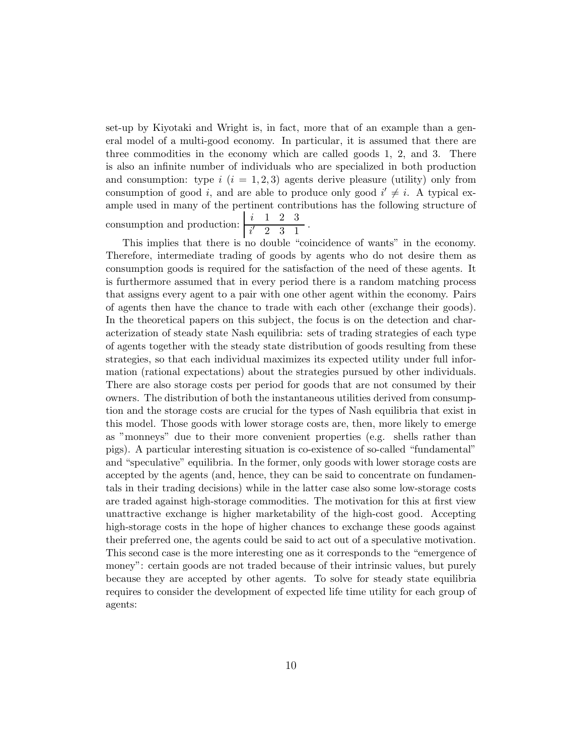set-up by Kiyotaki and Wright is, in fact, more that of an example than a general model of a multi-good economy. In particular, it is assumed that there are three commodities in the economy which are called goods 1, 2, and 3. There is also an infinite number of individuals who are specialized in both production and consumption: type  $i$  ( $i = 1, 2, 3$ ) agents derive pleasure (utility) only from consumption of good i, and are able to produce only good  $i' \neq i$ . A typical example used in many of the pertinent contributions has the following structure of consumption and production:  $\frac{i}{i'} \frac{1}{2} \frac{2}{3} \frac{3}{1}$ .

This implies that there is no double "coincidence of wants" in the economy. Therefore, intermediate trading of goods by agents who do not desire them as consumption goods is required for the satisfaction of the need of these agents. It is furthermore assumed that in every period there is a random matching process that assigns every agent to a pair with one other agent within the economy. Pairs of agents then have the chance to trade with each other (exchange their goods). In the theoretical papers on this subject, the focus is on the detection and characterization of steady state Nash equilibria: sets of trading strategies of each type of agents together with the steady state distribution of goods resulting from these strategies, so that each individual maximizes its expected utility under full information (rational expectations) about the strategies pursued by other individuals. There are also storage costs per period for goods that are not consumed by their owners. The distribution of both the instantaneous utilities derived from consumption and the storage costs are crucial for the types of Nash equilibria that exist in this model. Those goods with lower storage costs are, then, more likely to emerge as "monneys" due to their more convenient properties (e.g. shells rather than pigs). A particular interesting situation is co-existence of so-called "fundamental" and "speculative" equilibria. In the former, only goods with lower storage costs are accepted by the agents (and, hence, they can be said to concentrate on fundamentals in their trading decisions) while in the latter case also some low-storage costs are traded against high-storage commodities. The motivation for this at first view unattractive exchange is higher marketability of the high-cost good. Accepting high-storage costs in the hope of higher chances to exchange these goods against their preferred one, the agents could be said to act out of a speculative motivation. This second case is the more interesting one as it corresponds to the "emergence of money": certain goods are not traded because of their intrinsic values, but purely because they are accepted by other agents. To solve for steady state equilibria requires to consider the development of expected life time utility for each group of agents: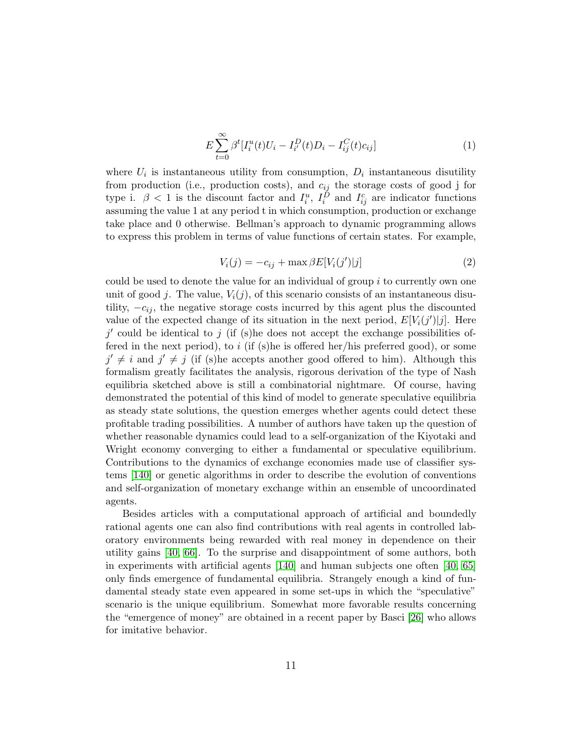$$
E\sum_{t=0}^{\infty} \beta^{t} [I_{i}^{u}(t)U_{i} - I_{i'}^{D}(t)D_{i} - I_{ij}^{C}(t)c_{ij}] \qquad (1)
$$

where  $U_i$  is instantaneous utility from consumption,  $D_i$  instantaneous disutility from production (i.e., production costs), and  $c_{ij}$  the storage costs of good j for type i.  $\beta < 1$  is the discount factor and  $I_i^u$ ,  $I_i^D$  and  $I_{ij}^c$  are indicator functions assuming the value 1 at any period t in which consumption, production or exchange take place and 0 otherwise. Bellman's approach to dynamic programming allows to express this problem in terms of value functions of certain states. For example,

$$
V_i(j) = -c_{ij} + \max \beta E[V_i(j')|j]
$$
\n(2)

could be used to denote the value for an individual of group  $i$  to currently own one unit of good j. The value,  $V_i(j)$ , of this scenario consists of an instantaneous disutility,  $-c_{ij}$ , the negative storage costs incurred by this agent plus the discounted value of the expected change of its situation in the next period,  $E[V_i(j')|j]$ . Here  $j'$  could be identical to  $j$  (if (s)he does not accept the exchange possibilities offered in the next period), to i (if  $(s)$ he is offered her/his preferred good), or some  $j' \neq i$  and  $j' \neq j$  (if (s)he accepts another good offered to him). Although this formalism greatly facilitates the analysis, rigorous derivation of the type of Nash equilibria sketched above is still a combinatorial nightmare. Of course, having demonstrated the potential of this kind of model to generate speculative equilibria as steady state solutions, the question emerges whether agents could detect these profitable trading possibilities. A number of authors have taken up the question of whether reasonable dynamics could lead to a self-organization of the Kiyotaki and Wright economy converging to either a fundamental or speculative equilibrium. Contributions to the dynamics of exchange economies made use of classifier systems [\[140\]](#page-60-9) or genetic algorithms in order to describe the evolution of conventions and self-organization of monetary exchange within an ensemble of uncoordinated agents.

Besides articles with a computational approach of artificial and boundedly rational agents one can also find contributions with real agents in controlled laboratory environments being rewarded with real money in dependence on their utility gains [\[40,](#page-52-7) [66\]](#page-54-9). To the surprise and disappointment of some authors, both in experiments with artificial agents [\[140\]](#page-60-9) and human subjects one often [\[40,](#page-52-7) [65\]](#page-54-10) only finds emergence of fundamental equilibria. Strangely enough a kind of fundamental steady state even appeared in some set-ups in which the "speculative" scenario is the unique equilibrium. Somewhat more favorable results concerning the "emergence of money" are obtained in a recent paper by Basci [\[26\]](#page-51-8) who allows for imitative behavior.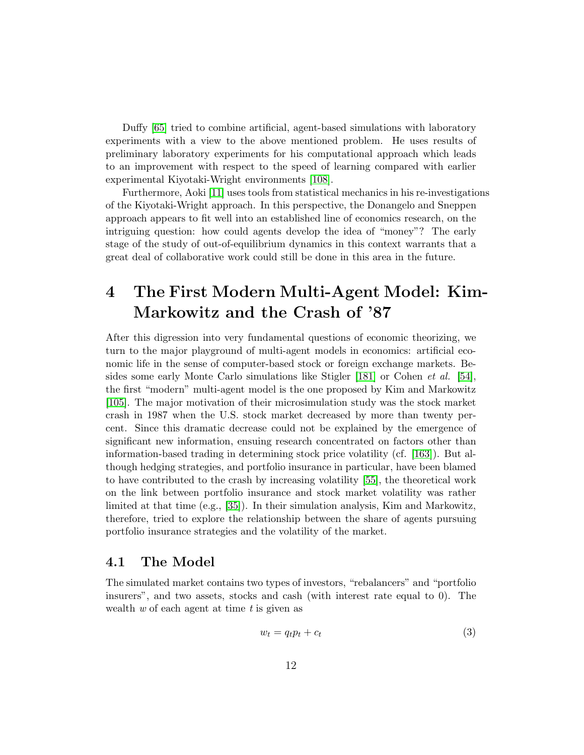Duffy [\[65\]](#page-54-10) tried to combine artificial, agent-based simulations with laboratory experiments with a view to the above mentioned problem. He uses results of preliminary laboratory experiments for his computational approach which leads to an improvement with respect to the speed of learning compared with earlier experimental Kiyotaki-Wright environments [\[108\]](#page-57-10).

Furthermore, Aoki [\[11\]](#page-50-4) uses tools from statistical mechanics in his re-investigations of the Kiyotaki-Wright approach. In this perspective, the Donangelo and Sneppen approach appears to fit well into an established line of economics research, on the intriguing question: how could agents develop the idea of "money"? The early stage of the study of out-of-equilibrium dynamics in this context warrants that a great deal of collaborative work could still be done in this area in the future.

## <span id="page-11-0"></span>4 The First Modern Multi-Agent Model: Kim-Markowitz and the Crash of '87

After this digression into very fundamental questions of economic theorizing, we turn to the major playground of multi-agent models in economics: artificial economic life in the sense of computer-based stock or foreign exchange markets. Besides some early Monte Carlo simulations like Stigler [\[181\]](#page-63-0) or Cohen *et al.* [\[54\]](#page-54-5), the first "modern" multi-agent model is the one proposed by Kim and Markowitz [\[105\]](#page-57-0). The major motivation of their microsimulation study was the stock market crash in 1987 when the U.S. stock market decreased by more than twenty percent. Since this dramatic decrease could not be explained by the emergence of significant new information, ensuing research concentrated on factors other than information-based trading in determining stock price volatility (cf. [\[163\]](#page-62-2)). But although hedging strategies, and portfolio insurance in particular, have been blamed to have contributed to the crash by increasing volatility [\[55\]](#page-54-11), the theoretical work on the link between portfolio insurance and stock market volatility was rather limited at that time (e.g., [\[35\]](#page-52-8)). In their simulation analysis, Kim and Markowitz, therefore, tried to explore the relationship between the share of agents pursuing portfolio insurance strategies and the volatility of the market.

#### 4.1 The Model

The simulated market contains two types of investors, "rebalancers" and "portfolio insurers", and two assets, stocks and cash (with interest rate equal to 0). The wealth *w* of each agent at time *t* is given as

$$
w_t = q_t p_t + c_t \tag{3}
$$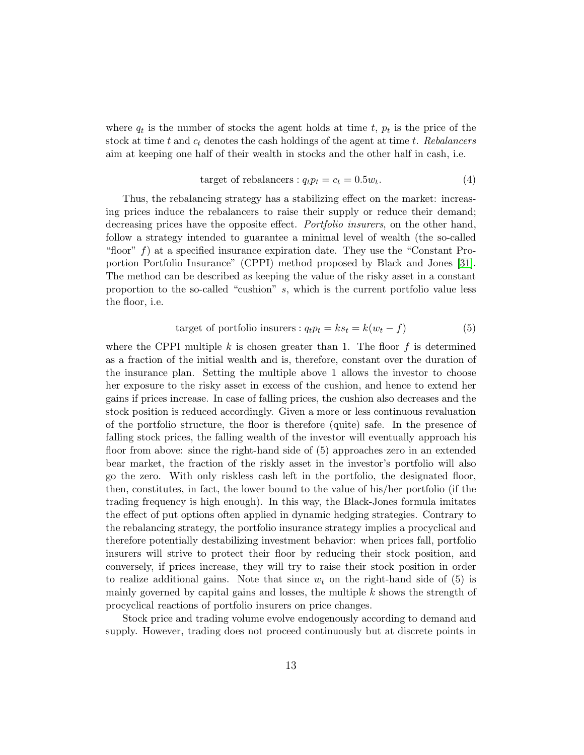where  $q_t$  is the number of stocks the agent holds at time  $t, p_t$  is the price of the stock at time  $t$  and  $c_t$  denotes the cash holdings of the agent at time  $t$ . *Rebalancers* aim at keeping one half of their wealth in stocks and the other half in cash, i.e.

$$
target of rebalancers : q_t p_t = c_t = 0.5 w_t.
$$
\n
$$
(4)
$$

Thus, the rebalancing strategy has a stabilizing effect on the market: increasing prices induce the rebalancers to raise their supply or reduce their demand; decreasing prices have the opposite effect. *Portfolio insurers*, on the other hand, follow a strategy intended to guarantee a minimal level of wealth (the so-called "floor" f) at a specified insurance expiration date. They use the "Constant Proportion Portfolio Insurance" (CPPI) method proposed by Black and Jones [\[31\]](#page-52-9). The method can be described as keeping the value of the risky asset in a constant proportion to the so-called "cushion" s, which is the current portfolio value less the floor, i.e.

target of portfolio insurers : 
$$
q_t p_t = k s_t = k(w_t - f)
$$
 (5)

where the CPPI multiple  $k$  is chosen greater than 1. The floor  $f$  is determined as a fraction of the initial wealth and is, therefore, constant over the duration of the insurance plan. Setting the multiple above 1 allows the investor to choose her exposure to the risky asset in excess of the cushion, and hence to extend her gains if prices increase. In case of falling prices, the cushion also decreases and the stock position is reduced accordingly. Given a more or less continuous revaluation of the portfolio structure, the floor is therefore (quite) safe. In the presence of falling stock prices, the falling wealth of the investor will eventually approach his floor from above: since the right-hand side of (5) approaches zero in an extended bear market, the fraction of the riskly asset in the investor's portfolio will also go the zero. With only riskless cash left in the portfolio, the designated floor, then, constitutes, in fact, the lower bound to the value of his/her portfolio (if the trading frequency is high enough). In this way, the Black-Jones formula imitates the effect of put options often applied in dynamic hedging strategies. Contrary to the rebalancing strategy, the portfolio insurance strategy implies a procyclical and therefore potentially destabilizing investment behavior: when prices fall, portfolio insurers will strive to protect their floor by reducing their stock position, and conversely, if prices increase, they will try to raise their stock position in order to realize additional gains. Note that since  $w_t$  on the right-hand side of (5) is mainly governed by capital gains and losses, the multiple  $k$  shows the strength of procyclical reactions of portfolio insurers on price changes.

Stock price and trading volume evolve endogenously according to demand and supply. However, trading does not proceed continuously but at discrete points in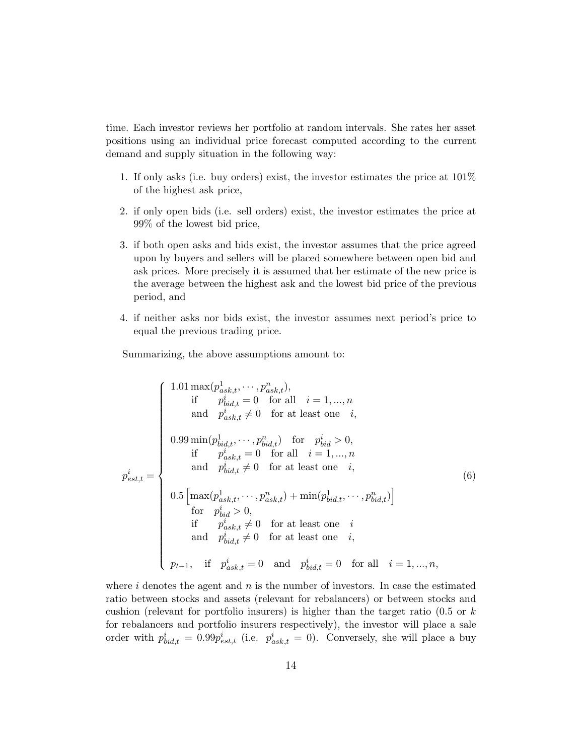time. Each investor reviews her portfolio at random intervals. She rates her asset positions using an individual price forecast computed according to the current demand and supply situation in the following way:

- 1. If only asks (i.e. buy orders) exist, the investor estimates the price at 101% of the highest ask price,
- 2. if only open bids (i.e. sell orders) exist, the investor estimates the price at 99% of the lowest bid price,
- 3. if both open asks and bids exist, the investor assumes that the price agreed upon by buyers and sellers will be placed somewhere between open bid and ask prices. More precisely it is assumed that her estimate of the new price is the average between the highest ask and the lowest bid price of the previous period, and
- 4. if neither asks nor bids exist, the investor assumes next period's price to equal the previous trading price.

Summarizing, the above assumptions amount to:

$$
p_{b,at}^{i}
$$
\n
$$
\begin{bmatrix}\n1.01 \max(p_{ask,t}^{1}, \dots, p_{ask,t}^{n}), & \text{if } p_{bid,t}^{i} = 0 \quad \text{for all } i = 1, \dots, n \\
\text{and } p_{ask,t}^{i} \neq 0 \quad \text{for at least one } i, \\
0.99 \min(p_{bid,t}^{1}, \dots, p_{bid,t}^{n}) \quad \text{for } p_{bid}^{i} > 0, \\
\text{if } p_{ask,t}^{i} = 0 \quad \text{for all } i = 1, \dots, n \\
\text{and } p_{bid,t}^{i} \neq 0 \quad \text{for at least one } i, \\
0.5 \left[ \max(p_{ask,t}^{1}, \dots, p_{ask,t}^{n}) + \min(p_{bid,t}^{1}, \dots, p_{bid,t}^{n}) \right] \\
\text{for } p_{bid}^{i} > 0, \\
\text{if } p_{ask,t}^{i} \neq 0 \quad \text{for at least one } i, \\
\text{and } p_{bid,t}^{i} \neq 0 \quad \text{for at least one } i, \\
p_{t-1}, \text{ if } p_{ask,t}^{i} = 0 \quad \text{and } p_{bid,t}^{i} = 0 \quad \text{for all } i = 1, \dots, n,\n\end{bmatrix}
$$
\n(6)

where  $i$  denotes the agent and  $n$  is the number of investors. In case the estimated ratio between stocks and assets (relevant for rebalancers) or between stocks and cushion (relevant for portfolio insurers) is higher than the target ratio  $(0.5 \text{ or } k)$ for rebalancers and portfolio insurers respectively), the investor will place a sale order with  $p_{bid,t}^i = 0.99p_{est,t}^i$  (i.e.  $p_{ask,t}^i = 0$ ). Conversely, she will place a buy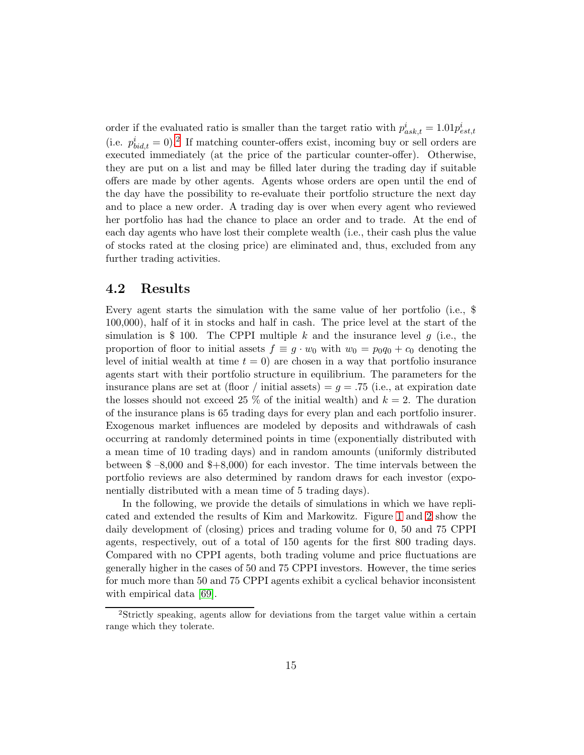order if the evaluated ratio is smaller than the target ratio with  $p_{ask,t}^i = 1.01p_{est,t}^i$ (i.e.  $p_{bid,t}^i = 0$ ).<sup>[2](#page-14-0)</sup> If matching counter-offers exist, incoming buy or sell orders are executed immediately (at the price of the particular counter-offer). Otherwise, they are put on a list and may be filled later during the trading day if suitable offers are made by other agents. Agents whose orders are open until the end of the day have the possibility to re-evaluate their portfolio structure the next day and to place a new order. A trading day is over when every agent who reviewed her portfolio has had the chance to place an order and to trade. At the end of each day agents who have lost their complete wealth (i.e., their cash plus the value of stocks rated at the closing price) are eliminated and, thus, excluded from any further trading activities.

#### 4.2 Results

Every agent starts the simulation with the same value of her portfolio (i.e., \$ 100,000), half of it in stocks and half in cash. The price level at the start of the simulation is \$ 100. The CPPI multiple k and the insurance level  $g$  (i.e., the proportion of floor to initial assets  $f \equiv g \cdot w_0$  with  $w_0 = p_0 q_0 + c_0$  denoting the level of initial wealth at time  $t = 0$  are chosen in a way that portfolio insurance agents start with their portfolio structure in equilibrium. The parameters for the insurance plans are set at (floor / initial assets) =  $g = .75$  (i.e., at expiration date the losses should not exceed 25  $\%$  of the initial wealth) and  $k = 2$ . The duration of the insurance plans is 65 trading days for every plan and each portfolio insurer. Exogenous market influences are modeled by deposits and withdrawals of cash occurring at randomly determined points in time (exponentially distributed with a mean time of 10 trading days) and in random amounts (uniformly distributed between \$ –8,000 and \$+8,000) for each investor. The time intervals between the portfolio reviews are also determined by random draws for each investor (exponentially distributed with a mean time of 5 trading days).

In the following, we provide the details of simulations in which we have replicated and extended the results of Kim and Markowitz. Figure [1](#page-15-0) and [2](#page-16-0) show the daily development of (closing) prices and trading volume for 0, 50 and 75 CPPI agents, respectively, out of a total of 150 agents for the first 800 trading days. Compared with no CPPI agents, both trading volume and price fluctuations are generally higher in the cases of 50 and 75 CPPI investors. However, the time series for much more than 50 and 75 CPPI agents exhibit a cyclical behavior inconsistent with empirical data [\[69\]](#page-55-10).

<span id="page-14-0"></span><sup>2</sup>Strictly speaking, agents allow for deviations from the target value within a certain range which they tolerate.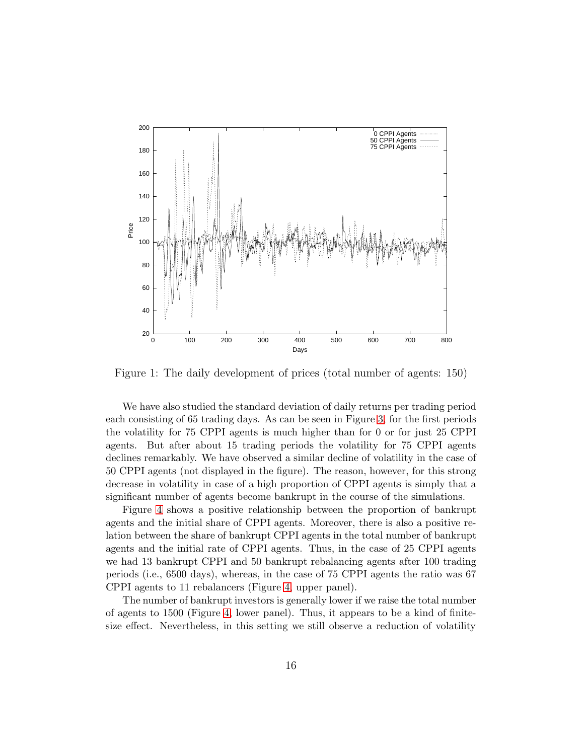

<span id="page-15-0"></span>Figure 1: The daily development of prices (total number of agents: 150)

We have also studied the standard deviation of daily returns per trading period each consisting of 65 trading days. As can be seen in Figure [3,](#page-17-0) for the first periods the volatility for 75 CPPI agents is much higher than for 0 or for just 25 CPPI agents. But after about 15 trading periods the volatility for 75 CPPI agents declines remarkably. We have observed a similar decline of volatility in the case of 50 CPPI agents (not displayed in the figure). The reason, however, for this strong decrease in volatility in case of a high proportion of CPPI agents is simply that a significant number of agents become bankrupt in the course of the simulations.

Figure [4](#page-18-0) shows a positive relationship between the proportion of bankrupt agents and the initial share of CPPI agents. Moreover, there is also a positive relation between the share of bankrupt CPPI agents in the total number of bankrupt agents and the initial rate of CPPI agents. Thus, in the case of 25 CPPI agents we had 13 bankrupt CPPI and 50 bankrupt rebalancing agents after 100 trading periods (i.e., 6500 days), whereas, in the case of 75 CPPI agents the ratio was 67 CPPI agents to 11 rebalancers (Figure [4,](#page-18-0) upper panel).

The number of bankrupt investors is generally lower if we raise the total number of agents to 1500 (Figure [4,](#page-18-0) lower panel). Thus, it appears to be a kind of finitesize effect. Nevertheless, in this setting we still observe a reduction of volatility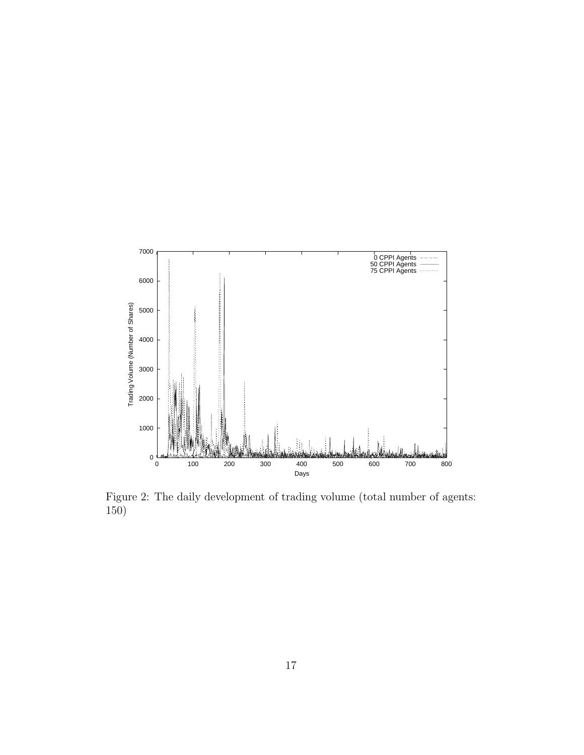

<span id="page-16-0"></span>Figure 2: The daily development of trading volume (total number of agents: 150)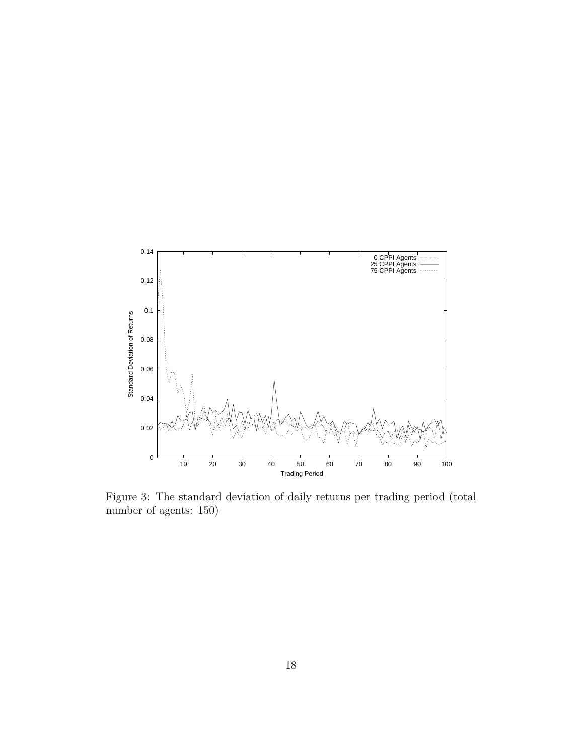

<span id="page-17-0"></span>Figure 3: The standard deviation of daily returns per trading period (total number of agents: 150)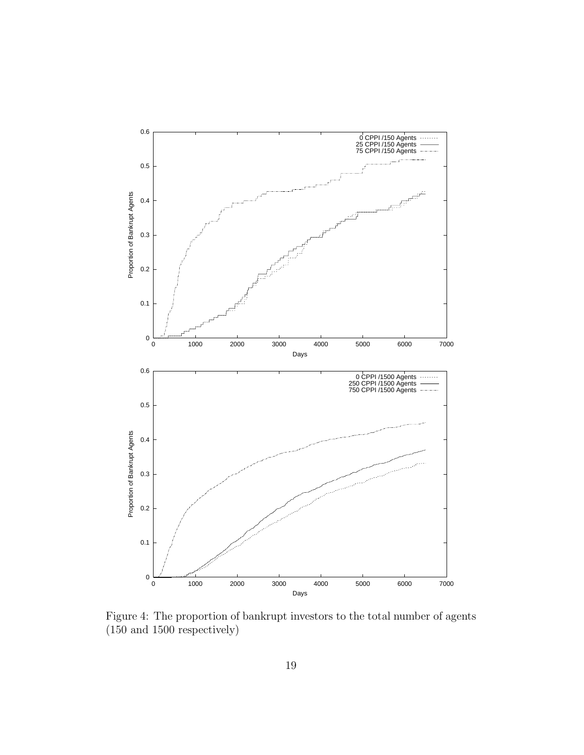

<span id="page-18-0"></span>Figure 4: The proportion of bankrupt investors to the total number of agents (150 and 1500 respectively)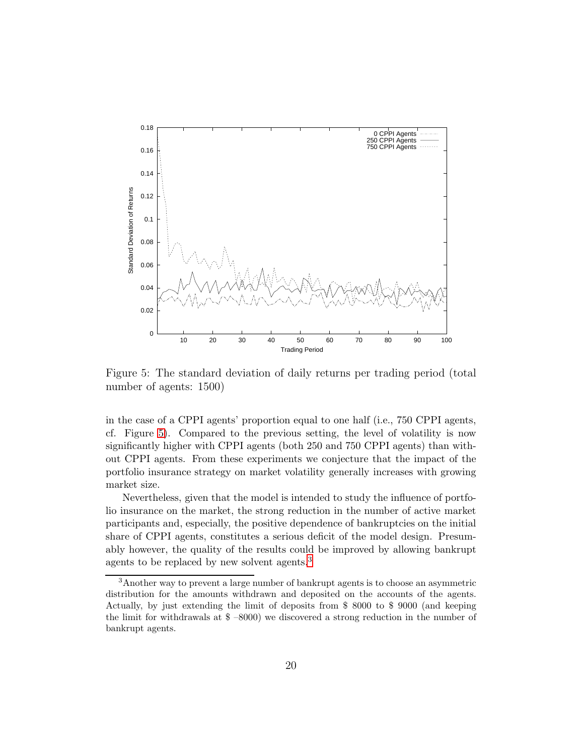

<span id="page-19-0"></span>Figure 5: The standard deviation of daily returns per trading period (total number of agents: 1500)

in the case of a CPPI agents' proportion equal to one half (i.e., 750 CPPI agents, cf. Figure [5\)](#page-19-0). Compared to the previous setting, the level of volatility is now significantly higher with CPPI agents (both 250 and 750 CPPI agents) than without CPPI agents. From these experiments we conjecture that the impact of the portfolio insurance strategy on market volatility generally increases with growing market size.

Nevertheless, given that the model is intended to study the influence of portfolio insurance on the market, the strong reduction in the number of active market participants and, especially, the positive dependence of bankruptcies on the initial share of CPPI agents, constitutes a serious deficit of the model design. Presumably however, the quality of the results could be improved by allowing bankrupt agents to be replaced by new solvent agents.[3](#page-19-1)

<span id="page-19-1"></span><sup>3</sup>Another way to prevent a large number of bankrupt agents is to choose an asymmetric distribution for the amounts withdrawn and deposited on the accounts of the agents. Actually, by just extending the limit of deposits from \$ 8000 to \$ 9000 (and keeping the limit for withdrawals at  $\text{\$}$  –8000) we discovered a strong reduction in the number of bankrupt agents.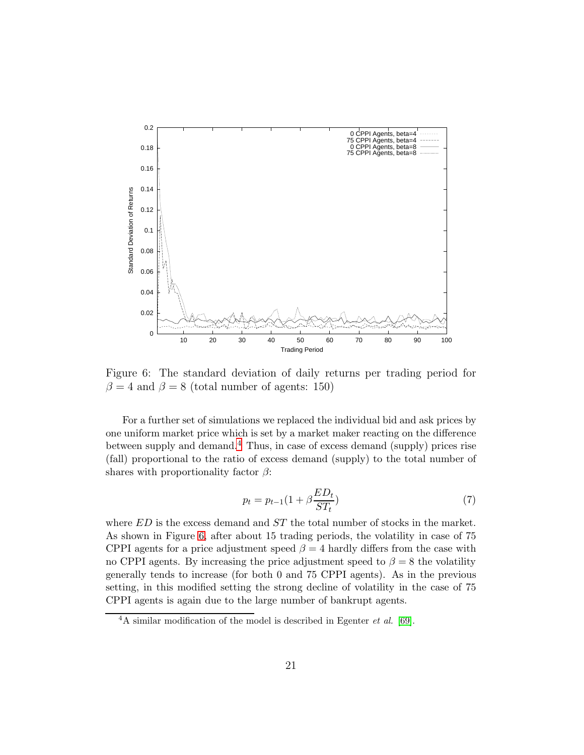

<span id="page-20-1"></span>Figure 6: The standard deviation of daily returns per trading period for  $\beta = 4$  and  $\beta = 8$  (total number of agents: 150)

For a further set of simulations we replaced the individual bid and ask prices by one uniform market price which is set by a market maker reacting on the difference between supply and demand.<sup>[4](#page-20-0)</sup> Thus, in case of excess demand (supply) prices rise (fall) proportional to the ratio of excess demand (supply) to the total number of shares with proportionality factor  $\beta$ :

$$
p_t = p_{t-1}(1 + \beta \frac{ED_t}{ST_t})\tag{7}
$$

where  $ED$  is the excess demand and  $ST$  the total number of stocks in the market. As shown in Figure [6,](#page-20-1) after about 15 trading periods, the volatility in case of 75 CPPI agents for a price adjustment speed  $\beta = 4$  hardly differs from the case with no CPPI agents. By increasing the price adjustment speed to  $\beta = 8$  the volatility generally tends to increase (for both 0 and 75 CPPI agents). As in the previous setting, in this modified setting the strong decline of volatility in the case of 75 CPPI agents is again due to the large number of bankrupt agents.

<span id="page-20-0"></span><sup>4</sup>A similar modification of the model is described in Egenter *et al.* [\[69\]](#page-55-10).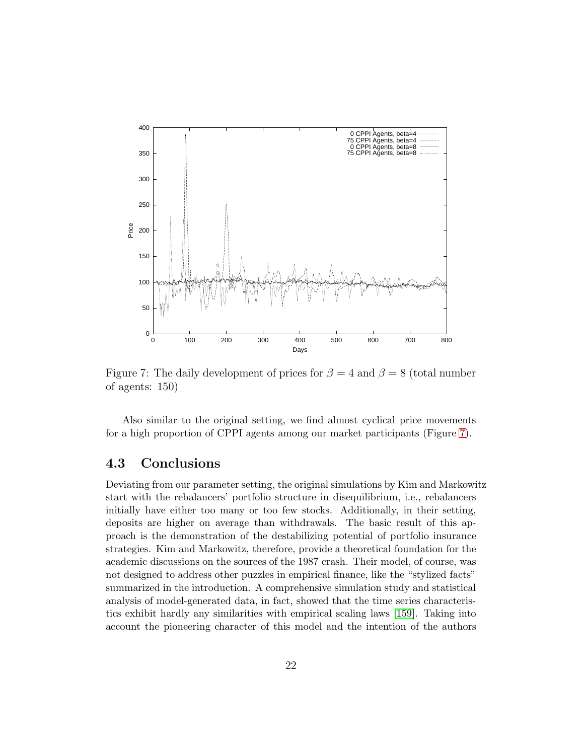

<span id="page-21-0"></span>Figure 7: The daily development of prices for  $\beta = 4$  and  $\beta = 8$  (total number of agents: 150)

Also similar to the original setting, we find almost cyclical price movements for a high proportion of CPPI agents among our market participants (Figure [7\)](#page-21-0).

### 4.3 Conclusions

Deviating from our parameter setting, the original simulations by Kim and Markowitz start with the rebalancers' portfolio structure in disequilibrium, i.e., rebalancers initially have either too many or too few stocks. Additionally, in their setting, deposits are higher on average than withdrawals. The basic result of this approach is the demonstration of the destabilizing potential of portfolio insurance strategies. Kim and Markowitz, therefore, provide a theoretical foundation for the academic discussions on the sources of the 1987 crash. Their model, of course, was not designed to address other puzzles in empirical finance, like the "stylized facts" summarized in the introduction. A comprehensive simulation study and statistical analysis of model-generated data, in fact, showed that the time series characteristics exhibit hardly any similarities with empirical scaling laws [\[159\]](#page-61-8). Taking into account the pioneering character of this model and the intention of the authors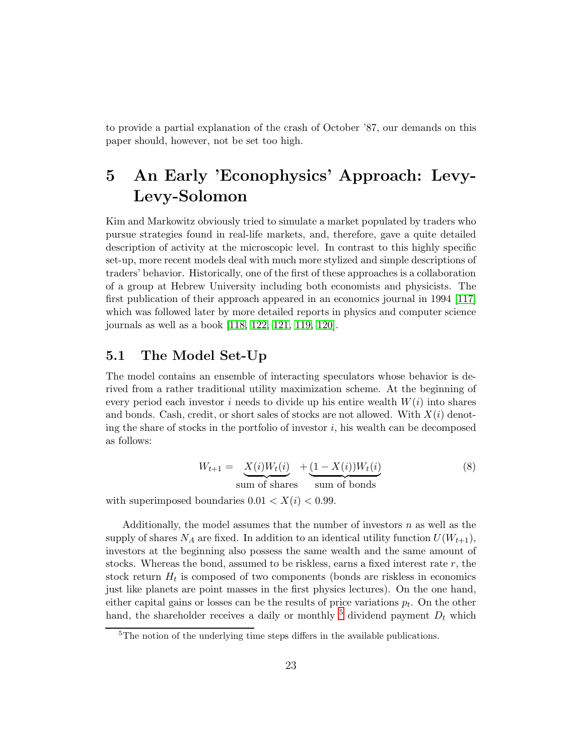to provide a partial explanation of the crash of October '87, our demands on this paper should, however, not be set too high.

# <span id="page-22-0"></span>5 An Early 'Econophysics' Approach: Levy-Levy-Solomon

Kim and Markowitz obviously tried to simulate a market populated by traders who pursue strategies found in real-life markets, and, therefore, gave a quite detailed description of activity at the microscopic level. In contrast to this highly specific set-up, more recent models deal with much more stylized and simple descriptions of traders' behavior. Historically, one of the first of these approaches is a collaboration of a group at Hebrew University including both economists and physicists. The first publication of their approach appeared in an economics journal in 1994 [\[117\]](#page-58-0) which was followed later by more detailed reports in physics and computer science journals as well as a book [\[118,](#page-58-1) [122,](#page-58-2) [121,](#page-58-3) [119,](#page-58-4) [120\]](#page-58-5).

#### 5.1 The Model Set-Up

The model contains an ensemble of interacting speculators whose behavior is derived from a rather traditional utility maximization scheme. At the beginning of every period each investor i needs to divide up his entire wealth  $W(i)$  into shares and bonds. Cash, credit, or short sales of stocks are not allowed. With  $X(i)$  denoting the share of stocks in the portfolio of investor  $i$ , his wealth can be decomposed as follows:

$$
W_{t+1} = \underbrace{X(i)W_t(i)}_{\text{sum of shares}} + \underbrace{(1 - X(i))W_t(i)}_{\text{sum of bonds}} \tag{8}
$$

with superimposed boundaries  $0.01 < X(i) < 0.99$ .

Additionally, the model assumes that the number of investors  $n$  as well as the supply of shares  $N_A$  are fixed. In addition to an identical utility function  $U(W_{t+1}),$ investors at the beginning also possess the same wealth and the same amount of stocks. Whereas the bond, assumed to be riskless, earns a fixed interest rate  $r$ , the stock return  $H_t$  is composed of two components (bonds are riskless in economics just like planets are point masses in the first physics lectures). On the one hand, either capital gains or losses can be the results of price variations  $p_t$ . On the other hand, the shareholder receives a daily or monthly  $^5$  $^5$  dividend payment  $D_t$  which

<span id="page-22-1"></span><sup>&</sup>lt;sup>5</sup>The notion of the underlying time steps differs in the available publications.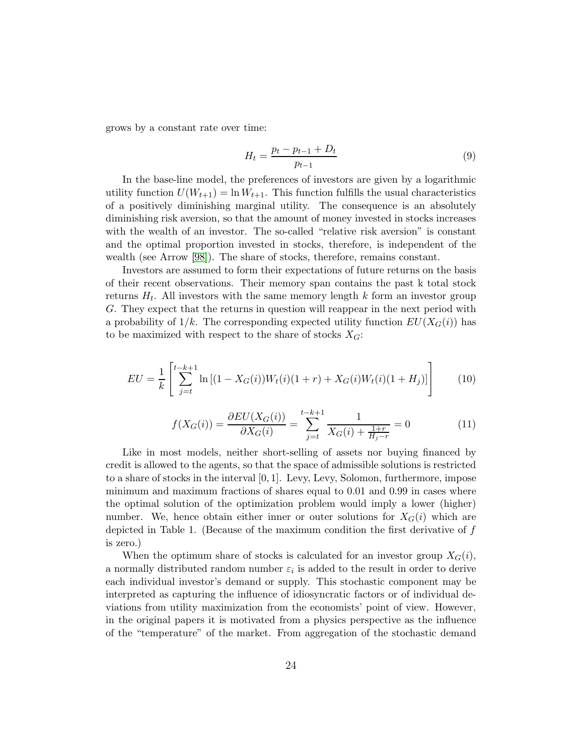grows by a constant rate over time:

$$
H_t = \frac{p_t - p_{t-1} + D_t}{p_{t-1}}\tag{9}
$$

In the base-line model, the preferences of investors are given by a logarithmic utility function  $U(W_{t+1}) = \ln W_{t+1}$ . This function fulfills the usual characteristics of a positively diminishing marginal utility. The consequence is an absolutely diminishing risk aversion, so that the amount of money invested in stocks increases with the wealth of an investor. The so-called "relative risk aversion" is constant and the optimal proportion invested in stocks, therefore, is independent of the wealth (see Arrow [\[98\]](#page-57-11)). The share of stocks, therefore, remains constant.

Investors are assumed to form their expectations of future returns on the basis of their recent observations. Their memory span contains the past k total stock returns  $H_t$ . All investors with the same memory length k form an investor group G. They expect that the returns in question will reappear in the next period with a probability of  $1/k$ . The corresponding expected utility function  $EU(X_G(i))$  has to be maximized with respect to the share of stocks  $X_G$ :

$$
EU = \frac{1}{k} \left[ \sum_{j=t}^{t-k+1} \ln \left[ (1 - X_G(i)) W_t(i) (1+r) + X_G(i) W_t(i) (1+H_j) \right] \right] \tag{10}
$$

$$
f(X_G(i)) = \frac{\partial EU(X_G(i))}{\partial X_G(i)} = \sum_{j=t}^{t-k+1} \frac{1}{X_G(i) + \frac{1+r}{H_j - r}} = 0
$$
 (11)

Like in most models, neither short-selling of assets nor buying financed by credit is allowed to the agents, so that the space of admissible solutions is restricted to a share of stocks in the interval [0, 1]. Levy, Levy, Solomon, furthermore, impose minimum and maximum fractions of shares equal to 0.01 and 0.99 in cases where the optimal solution of the optimization problem would imply a lower (higher) number. We, hence obtain either inner or outer solutions for  $X_G(i)$  which are depicted in Table 1. (Because of the maximum condition the first derivative of f is zero.)

When the optimum share of stocks is calculated for an investor group  $X_G(i)$ , a normally distributed random number  $\varepsilon_i$  is added to the result in order to derive each individual investor's demand or supply. This stochastic component may be interpreted as capturing the influence of idiosyncratic factors or of individual deviations from utility maximization from the economists' point of view. However, in the original papers it is motivated from a physics perspective as the influence of the "temperature" of the market. From aggregation of the stochastic demand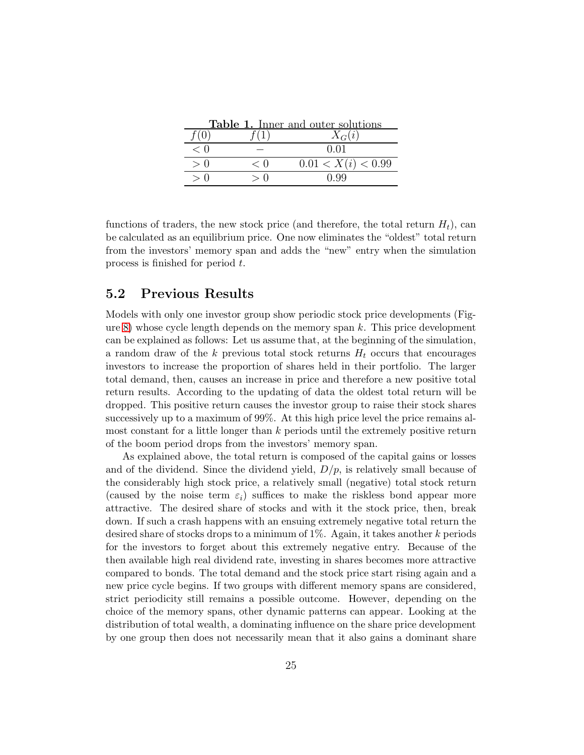|     | <b>Table 1.</b> Inner and outer solutions |
|-----|-------------------------------------------|
|     |                                           |
|     | 0.01                                      |
| ⊂ ∪ | 0.01 < X(i) < 0.99                        |
|     |                                           |

functions of traders, the new stock price (and therefore, the total return  $H_t$ ), can be calculated as an equilibrium price. One now eliminates the "oldest" total return from the investors' memory span and adds the "new" entry when the simulation process is finished for period t.

#### 5.2 Previous Results

Models with only one investor group show periodic stock price developments (Figure [8\)](#page-25-0) whose cycle length depends on the memory span k. This price development can be explained as follows: Let us assume that, at the beginning of the simulation, a random draw of the k previous total stock returns  $H_t$  occurs that encourages investors to increase the proportion of shares held in their portfolio. The larger total demand, then, causes an increase in price and therefore a new positive total return results. According to the updating of data the oldest total return will be dropped. This positive return causes the investor group to raise their stock shares successively up to a maximum of 99%. At this high price level the price remains almost constant for a little longer than  $k$  periods until the extremely positive return of the boom period drops from the investors' memory span.

As explained above, the total return is composed of the capital gains or losses and of the dividend. Since the dividend yield,  $D/p$ , is relatively small because of the considerably high stock price, a relatively small (negative) total stock return (caused by the noise term  $\varepsilon_i$ ) suffices to make the riskless bond appear more attractive. The desired share of stocks and with it the stock price, then, break down. If such a crash happens with an ensuing extremely negative total return the desired share of stocks drops to a minimum of 1%. Again, it takes another k periods for the investors to forget about this extremely negative entry. Because of the then available high real dividend rate, investing in shares becomes more attractive compared to bonds. The total demand and the stock price start rising again and a new price cycle begins. If two groups with different memory spans are considered, strict periodicity still remains a possible outcome. However, depending on the choice of the memory spans, other dynamic patterns can appear. Looking at the distribution of total wealth, a dominating influence on the share price development by one group then does not necessarily mean that it also gains a dominant share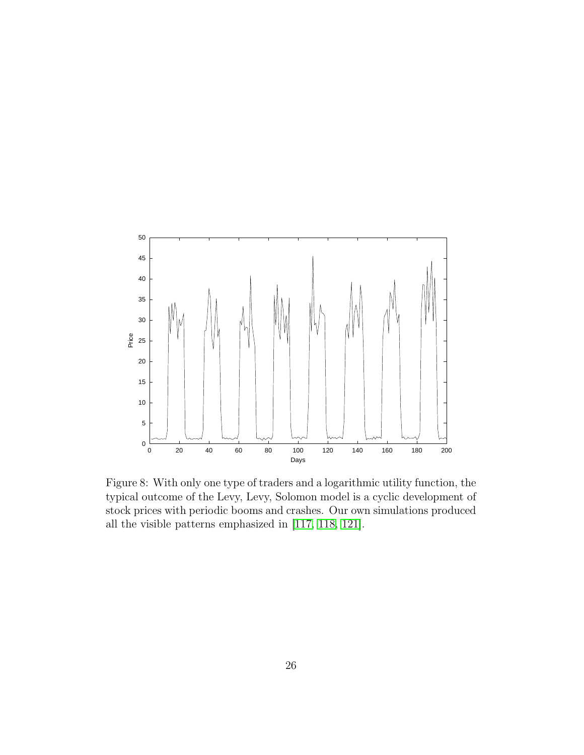

<span id="page-25-0"></span>Figure 8: With only one type of traders and a logarithmic utility function, the typical outcome of the Levy, Levy, Solomon model is a cyclic development of stock prices with periodic booms and crashes. Our own simulations produced all the visible patterns emphasized in [\[117,](#page-58-0) [118,](#page-58-1) [121\]](#page-58-3).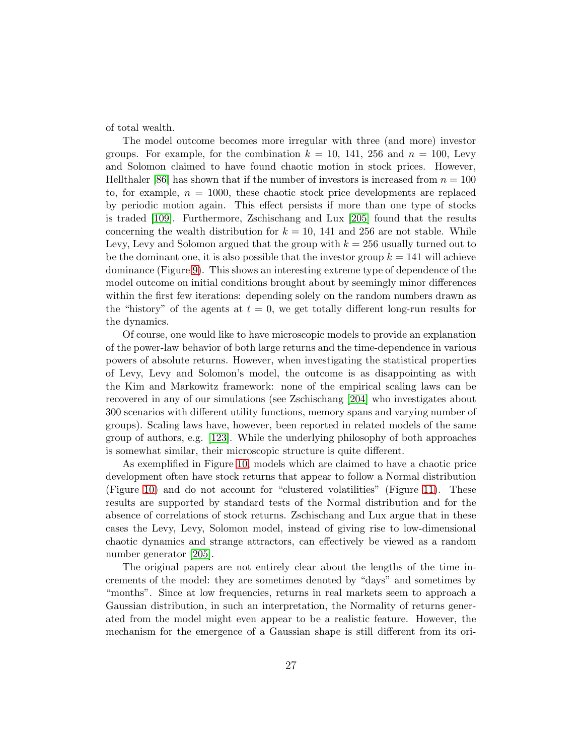of total wealth.

The model outcome becomes more irregular with three (and more) investor groups. For example, for the combination  $k = 10, 141, 256$  and  $n = 100$ , Levy and Solomon claimed to have found chaotic motion in stock prices. However, Hellthaler [\[86\]](#page-56-6) has shown that if the number of investors is increased from  $n = 100$ to, for example,  $n = 1000$ , these chaotic stock price developments are replaced by periodic motion again. This effect persists if more than one type of stocks is traded [\[109\]](#page-57-12). Furthermore, Zschischang and Lux [\[205\]](#page-65-0) found that the results concerning the wealth distribution for  $k = 10$ , 141 and 256 are not stable. While Levy, Levy and Solomon argued that the group with  $k = 256$  usually turned out to be the dominant one, it is also possible that the investor group  $k = 141$  will achieve dominance (Figure [9\)](#page-27-0). This shows an interesting extreme type of dependence of the model outcome on initial conditions brought about by seemingly minor differences within the first few iterations: depending solely on the random numbers drawn as the "history" of the agents at  $t = 0$ , we get totally different long-run results for the dynamics.

Of course, one would like to have microscopic models to provide an explanation of the power-law behavior of both large returns and the time-dependence in various powers of absolute returns. However, when investigating the statistical properties of Levy, Levy and Solomon's model, the outcome is as disappointing as with the Kim and Markowitz framework: none of the empirical scaling laws can be recovered in any of our simulations (see Zschischang [\[204\]](#page-64-4) who investigates about 300 scenarios with different utility functions, memory spans and varying number of groups). Scaling laws have, however, been reported in related models of the same group of authors, e.g. [\[123\]](#page-59-1). While the underlying philosophy of both approaches is somewhat similar, their microscopic structure is quite different.

As exemplified in Figure [10,](#page-28-0) models which are claimed to have a chaotic price development often have stock returns that appear to follow a Normal distribution (Figure [10\)](#page-28-0) and do not account for "clustered volatilities" (Figure [11\)](#page-29-0). These results are supported by standard tests of the Normal distribution and for the absence of correlations of stock returns. Zschischang and Lux argue that in these cases the Levy, Levy, Solomon model, instead of giving rise to low-dimensional chaotic dynamics and strange attractors, can effectively be viewed as a random number generator [\[205\]](#page-65-0).

The original papers are not entirely clear about the lengths of the time increments of the model: they are sometimes denoted by "days" and sometimes by "months". Since at low frequencies, returns in real markets seem to approach a Gaussian distribution, in such an interpretation, the Normality of returns generated from the model might even appear to be a realistic feature. However, the mechanism for the emergence of a Gaussian shape is still different from its ori-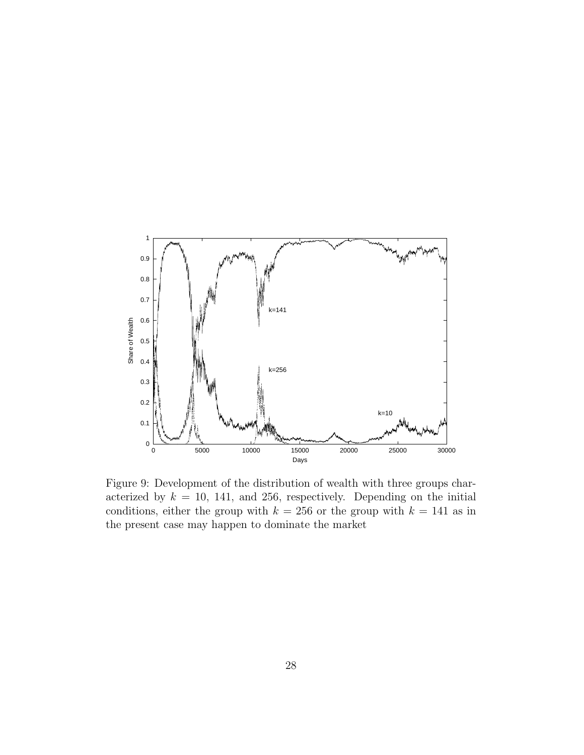

<span id="page-27-0"></span>Figure 9: Development of the distribution of wealth with three groups characterized by  $k = 10, 141,$  and 256, respectively. Depending on the initial conditions, either the group with  $k = 256$  or the group with  $k = 141$  as in the present case may happen to dominate the market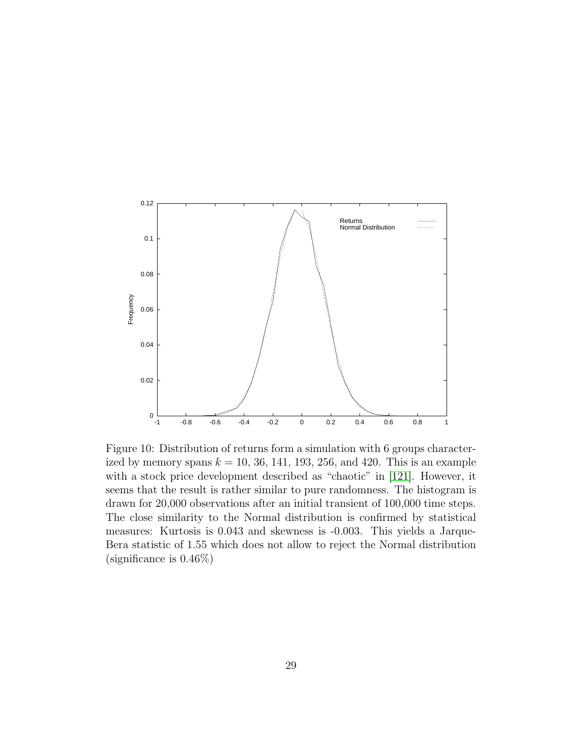

<span id="page-28-0"></span>Figure 10: Distribution of returns form a simulation with 6 groups characterized by memory spans  $k = 10, 36, 141, 193, 256,$  and 420. This is an example with a stock price development described as "chaotic" in [\[121\]](#page-58-3). However, it seems that the result is rather similar to pure randomness. The histogram is drawn for 20,000 observations after an initial transient of 100,000 time steps. The close similarity to the Normal distribution is confirmed by statistical measures: Kurtosis is 0.043 and skewness is -0.003. This yields a Jarque-Bera statistic of 1.55 which does not allow to reject the Normal distribution (significance is  $0.46\%$ )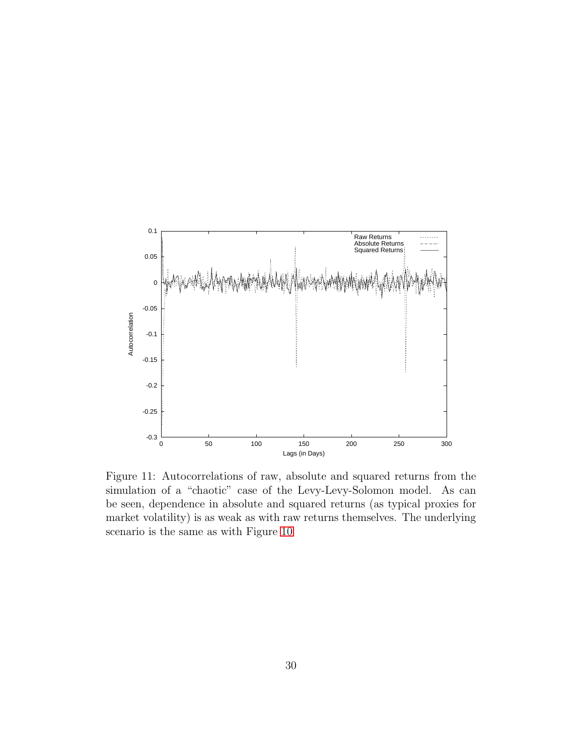

<span id="page-29-0"></span>Figure 11: Autocorrelations of raw, absolute and squared returns from the simulation of a "chaotic" case of the Levy-Levy-Solomon model. As can be seen, dependence in absolute and squared returns (as typical proxies for market volatility) is as weak as with raw returns themselves. The underlying scenario is the same as with Figure [10](#page-28-0)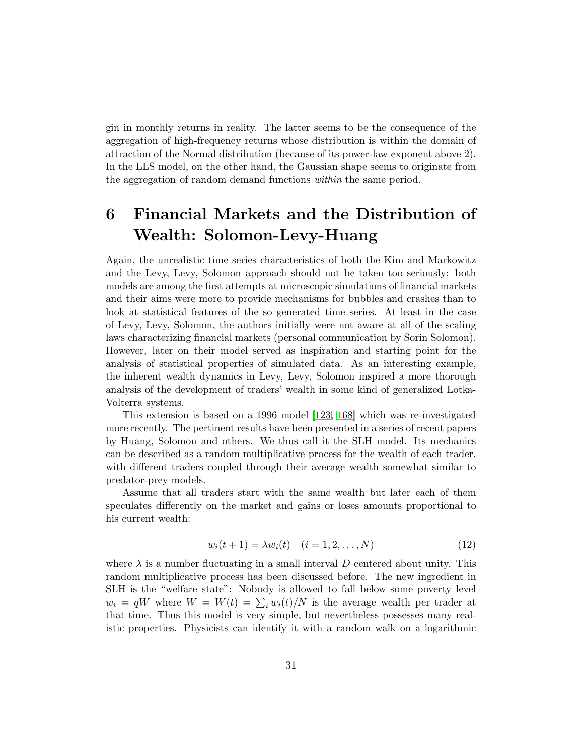gin in monthly returns in reality. The latter seems to be the consequence of the aggregation of high-frequency returns whose distribution is within the domain of attraction of the Normal distribution (because of its power-law exponent above 2). In the LLS model, on the other hand, the Gaussian shape seems to originate from the aggregation of random demand functions *within* the same period.

## 6 Financial Markets and the Distribution of Wealth: Solomon-Levy-Huang

Again, the unrealistic time series characteristics of both the Kim and Markowitz and the Levy, Levy, Solomon approach should not be taken too seriously: both models are among the first attempts at microscopic simulations of financial markets and their aims were more to provide mechanisms for bubbles and crashes than to look at statistical features of the so generated time series. At least in the case of Levy, Levy, Solomon, the authors initially were not aware at all of the scaling laws characterizing financial markets (personal communication by Sorin Solomon). However, later on their model served as inspiration and starting point for the analysis of statistical properties of simulated data. As an interesting example, the inherent wealth dynamics in Levy, Levy, Solomon inspired a more thorough analysis of the development of traders' wealth in some kind of generalized Lotka-Volterra systems.

This extension is based on a 1996 model [\[123,](#page-59-1) [168\]](#page-62-3) which was re-investigated more recently. The pertinent results have been presented in a series of recent papers by Huang, Solomon and others. We thus call it the SLH model. Its mechanics can be described as a random multiplicative process for the wealth of each trader, with different traders coupled through their average wealth somewhat similar to predator-prey models.

Assume that all traders start with the same wealth but later each of them speculates differently on the market and gains or loses amounts proportional to his current wealth:

$$
w_i(t+1) = \lambda w_i(t) \quad (i = 1, 2, \dots, N)
$$
\n(12)

where  $\lambda$  is a number fluctuating in a small interval D centered about unity. This random multiplicative process has been discussed before. The new ingredient in SLH is the "welfare state": Nobody is allowed to fall below some poverty level  $w_i = qW$  where  $W = W(t) = \sum_i w_i(t)/N$  is the average wealth per trader at that time. Thus this model is very simple, but nevertheless possesses many realistic properties. Physicists can identify it with a random walk on a logarithmic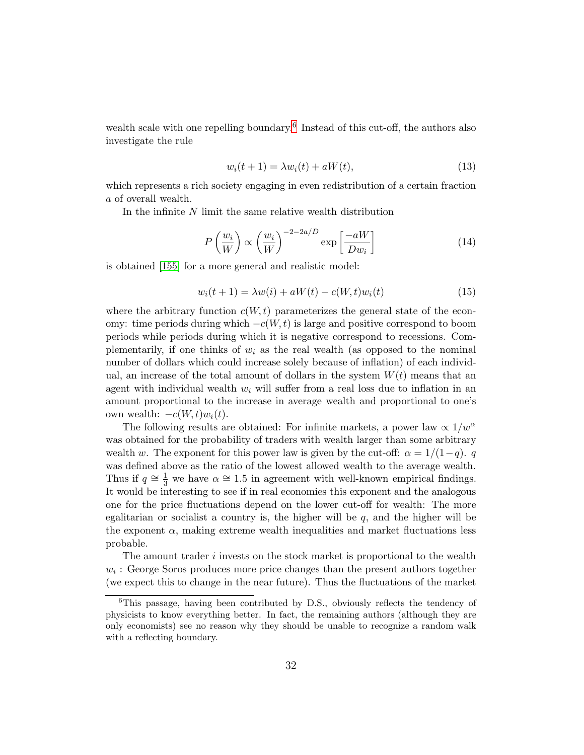wealth scale with one repelling boundary.<sup>[6](#page-31-0)</sup> Instead of this cut-off, the authors also investigate the rule

$$
w_i(t+1) = \lambda w_i(t) + aW(t),\tag{13}
$$

which represents a rich society engaging in even redistribution of a certain fraction a of overall wealth.

In the infinite N limit the same relative wealth distribution

$$
P\left(\frac{w_i}{W}\right) \propto \left(\frac{w_i}{W}\right)^{-2-2a/D} \exp\left[\frac{-aW}{Dw_i}\right] \tag{14}
$$

is obtained [\[155\]](#page-61-9) for a more general and realistic model:

$$
w_i(t+1) = \lambda w(i) + aW(t) - c(W, t)w_i(t)
$$
\n(15)

where the arbitrary function  $c(W, t)$  parameterizes the general state of the economy: time periods during which  $-c(W, t)$  is large and positive correspond to boom periods while periods during which it is negative correspond to recessions. Complementarily, if one thinks of  $w_i$  as the real wealth (as opposed to the nominal number of dollars which could increase solely because of inflation) of each individual, an increase of the total amount of dollars in the system  $W(t)$  means that an agent with individual wealth  $w_i$  will suffer from a real loss due to inflation in an amount proportional to the increase in average wealth and proportional to one's own wealth:  $-c(W, t)w_i(t)$ .

The following results are obtained: For infinite markets, a power law  $\propto 1/w^{\alpha}$ was obtained for the probability of traders with wealth larger than some arbitrary wealth w. The exponent for this power law is given by the cut-off:  $\alpha = 1/(1-q)$ . was defined above as the ratio of the lowest allowed wealth to the average wealth. Thus if  $q \approx \frac{1}{3}$  we have  $\alpha \approx 1.5$  in agreement with well-known empirical findings. It would be interesting to see if in real economies this exponent and the analogous one for the price fluctuations depend on the lower cut-off for wealth: The more egalitarian or socialist a country is, the higher will be  $q$ , and the higher will be the exponent  $\alpha$ , making extreme wealth inequalities and market fluctuations less probable.

The amount trader i invests on the stock market is proportional to the wealth  $w_i$ : George Soros produces more price changes than the present authors together (we expect this to change in the near future). Thus the fluctuations of the market

<span id="page-31-0"></span><sup>6</sup>This passage, having been contributed by D.S., obviously reflects the tendency of physicists to know everything better. In fact, the remaining authors (although they are only economists) see no reason why they should be unable to recognize a random walk with a reflecting boundary.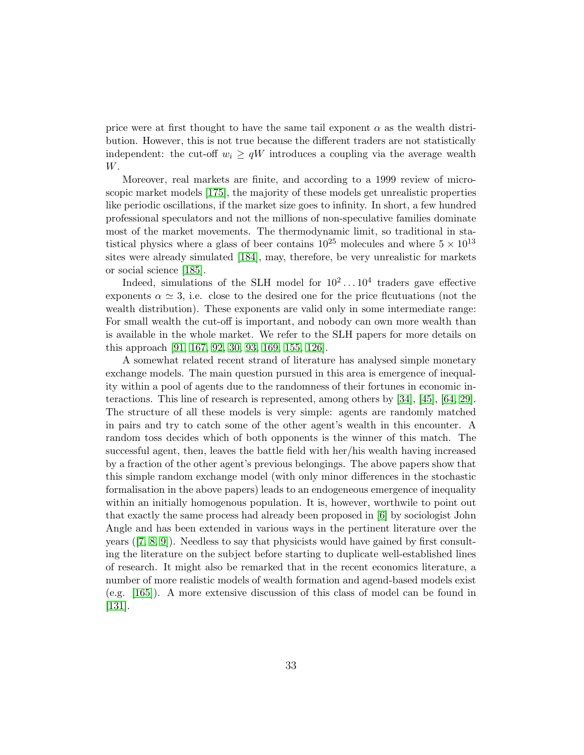price were at first thought to have the same tail exponent  $\alpha$  as the wealth distribution. However, this is not true because the different traders are not statistically independent: the cut-off  $w_i \geq qW$  introduces a coupling via the average wealth W.

Moreover, real markets are finite, and according to a 1999 review of microscopic market models [\[175\]](#page-62-4), the majority of these models get unrealistic properties like periodic oscillations, if the market size goes to infinity. In short, a few hundred professional speculators and not the millions of non-speculative families dominate most of the market movements. The thermodynamic limit, so traditional in statistical physics where a glass of beer contains  $10^{25}$  molecules and where  $5 \times 10^{13}$ sites were already simulated [\[184\]](#page-63-6), may, therefore, be very unrealistic for markets or social science [\[185\]](#page-63-7).

Indeed, simulations of the SLH model for  $10^2 \dots 10^4$  traders gave effective exponents  $\alpha \simeq 3$ , i.e. close to the desired one for the price flcutuations (not the wealth distribution). These exponents are valid only in some intermediate range: For small wealth the cut-off is important, and nobody can own more wealth than is available in the whole market. We refer to the SLH papers for more details on this approach [\[91,](#page-56-1) [167,](#page-62-5) [92,](#page-56-7) [30,](#page-52-10) [93,](#page-56-8) [169,](#page-62-6) [155,](#page-61-9) [126\]](#page-59-5).

A somewhat related recent strand of literature has analysed simple monetary exchange models. The main question pursued in this area is emergence of inequality within a pool of agents due to the randomness of their fortunes in economic interactions. This line of research is represented, among others by [\[34\]](#page-52-11), [\[45\]](#page-53-6), [\[64,](#page-54-12) [29\]](#page-52-12). The structure of all these models is very simple: agents are randomly matched in pairs and try to catch some of the other agent's wealth in this encounter. A random toss decides which of both opponents is the winner of this match. The successful agent, then, leaves the battle field with her/his wealth having increased by a fraction of the other agent's previous belongings. The above papers show that this simple random exchange model (with only minor differences in the stochastic formalisation in the above papers) leads to an endogeneous emergence of inequality within an initially homogenous population. It is, however, worthwile to point out that exactly the same process had already been proposed in [\[6\]](#page-50-5) by sociologist John Angle and has been extended in various ways in the pertinent literature over the years ([\[7,](#page-50-6) [8,](#page-50-7) [9\]](#page-50-8)). Needless to say that physicists would have gained by first consulting the literature on the subject before starting to duplicate well-established lines of research. It might also be remarked that in the recent economics literature, a number of more realistic models of wealth formation and agend-based models exist (e.g. [\[165\]](#page-62-7)). A more extensive discussion of this class of model can be found in  $|131|$ .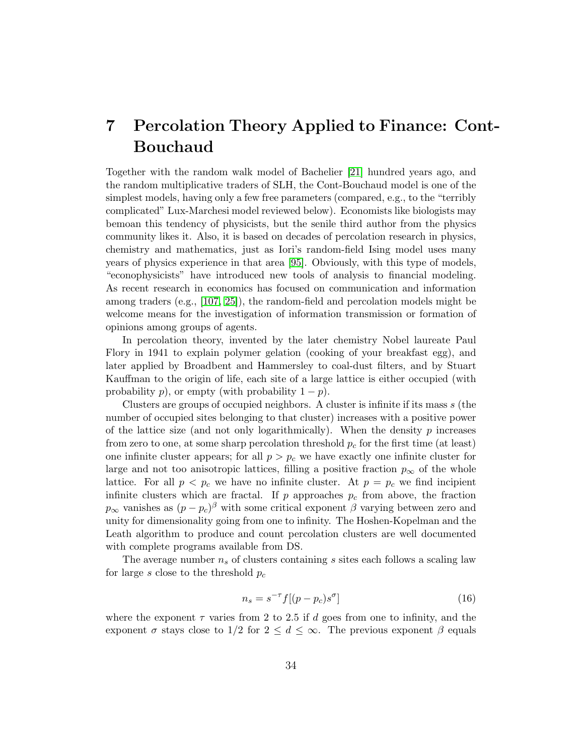## <span id="page-33-0"></span>7 Percolation Theory Applied to Finance: Cont-Bouchaud

Together with the random walk model of Bachelier [\[21\]](#page-51-9) hundred years ago, and the random multiplicative traders of SLH, the Cont-Bouchaud model is one of the simplest models, having only a few free parameters (compared, e.g., to the "terribly complicated" Lux-Marchesi model reviewed below). Economists like biologists may bemoan this tendency of physicists, but the senile third author from the physics community likes it. Also, it is based on decades of percolation research in physics, chemistry and mathematics, just as Iori's random-field Ising model uses many years of physics experience in that area [\[95\]](#page-56-9). Obviously, with this type of models, "econophysicists" have introduced new tools of analysis to financial modeling. As recent research in economics has focused on communication and information among traders (e.g., [\[107,](#page-57-2) [25\]](#page-51-10)), the random-field and percolation models might be welcome means for the investigation of information transmission or formation of opinions among groups of agents.

In percolation theory, invented by the later chemistry Nobel laureate Paul Flory in 1941 to explain polymer gelation (cooking of your breakfast egg), and later applied by Broadbent and Hammersley to coal-dust filters, and by Stuart Kauffman to the origin of life, each site of a large lattice is either occupied (with probability p), or empty (with probability  $1 - p$ ).

Clusters are groups of occupied neighbors. A cluster is infinite if its mass s (the number of occupied sites belonging to that cluster) increases with a positive power of the lattice size (and not only logarithmically). When the density  $p$  increases from zero to one, at some sharp percolation threshold  $p_c$  for the first time (at least) one infinite cluster appears; for all  $p > p_c$  we have exactly one infinite cluster for large and not too anisotropic lattices, filling a positive fraction  $p_{\infty}$  of the whole lattice. For all  $p < p_c$  we have no infinite cluster. At  $p = p_c$  we find incipient infinite clusters which are fractal. If  $p$  approaches  $p_c$  from above, the fraction  $p_{\infty}$  vanishes as  $(p - p_c)^{\beta}$  with some critical exponent  $\beta$  varying between zero and unity for dimensionality going from one to infinity. The Hoshen-Kopelman and the Leath algorithm to produce and count percolation clusters are well documented with complete programs available from DS.

The average number  $n_s$  of clusters containing s sites each follows a scaling law for large s close to the threshold  $p_c$ 

$$
n_s = s^{-\tau} f[(p - p_c)s^{\sigma}] \tag{16}
$$

where the exponent  $\tau$  varies from 2 to 2.5 if d goes from one to infinity, and the exponent  $\sigma$  stays close to 1/2 for  $2 \leq d \leq \infty$ . The previous exponent  $\beta$  equals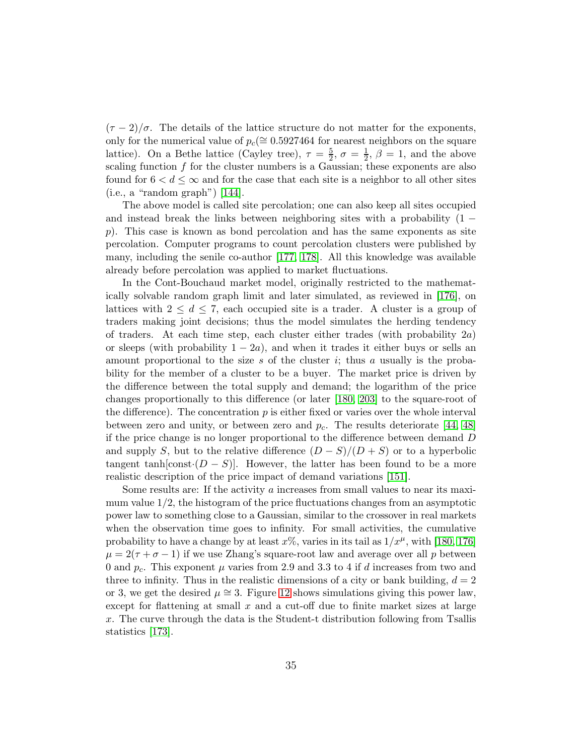$(\tau - 2)/\sigma$ . The details of the lattice structure do not matter for the exponents, only for the numerical value of  $p_c$ (≅ 0.5927464 for nearest neighbors on the square lattice). On a Bethe lattice (Cayley tree),  $\tau = \frac{5}{2}$  $\frac{5}{2}, \sigma = \frac{1}{2}$  $\frac{1}{2}$ ,  $\beta = 1$ , and the above scaling function  $f$  for the cluster numbers is a Gaussian; these exponents are also found for  $6 < d \leq \infty$  and for the case that each site is a neighbor to all other sites  $(i.e., a "random graph") [144].$  $(i.e., a "random graph") [144].$  $(i.e., a "random graph") [144].$ 

The above model is called site percolation; one can also keep all sites occupied and instead break the links between neighboring sites with a probability  $(1$ p). This case is known as bond percolation and has the same exponents as site percolation. Computer programs to count percolation clusters were published by many, including the senile co-author [\[177,](#page-63-8) [178\]](#page-63-9). All this knowledge was available already before percolation was applied to market fluctuations.

In the Cont-Bouchaud market model, originally restricted to the mathematically solvable random graph limit and later simulated, as reviewed in [\[176\]](#page-62-8), on lattices with  $2 \leq d \leq 7$ , each occupied site is a trader. A cluster is a group of traders making joint decisions; thus the model simulates the herding tendency of traders. At each time step, each cluster either trades (with probability  $2a$ ) or sleeps (with probability  $1 - 2a$ ), and when it trades it either buys or sells an amount proportional to the size s of the cluster  $i$ ; thus a usually is the probability for the member of a cluster to be a buyer. The market price is driven by the difference between the total supply and demand; the logarithm of the price changes proportionally to this difference (or later [\[180,](#page-63-10) [203\]](#page-64-5) to the square-root of the difference). The concentration  $p$  is either fixed or varies over the whole interval between zero and unity, or between zero and  $p_c$ . The results deteriorate [\[44,](#page-53-7) [48\]](#page-53-8) if the price change is no longer proportional to the difference between demand D and supply S, but to the relative difference  $(D - S)/(D + S)$  or to a hyperbolic tangent tanh[const· $(D - S)$ ]. However, the latter has been found to be a more realistic description of the price impact of demand variations [\[151\]](#page-61-10).

Some results are: If the activity a increases from small values to near its maximum value  $1/2$ , the histogram of the price fluctuations changes from an asymptotic power law to something close to a Gaussian, similar to the crossover in real markets when the observation time goes to infinity. For small activities, the cumulative probability to have a change by at least  $x\%$ , varies in its tail as  $1/x^{\mu}$ , with [\[180,](#page-63-10) [176\]](#page-62-8)  $\mu = 2(\tau + \sigma - 1)$  if we use Zhang's square-root law and average over all p between 0 and  $p_c$ . This exponent  $\mu$  varies from 2.9 and 3.3 to 4 if d increases from two and three to infinity. Thus in the realistic dimensions of a city or bank building,  $d = 2$ or 3, we get the desired  $\mu \cong 3$ . Figure [12](#page-35-0) shows simulations giving this power law, except for flattening at small  $x$  and a cut-off due to finite market sizes at large x. The curve through the data is the Student-t distribution following from Tsallis statistics [\[173\]](#page-62-9).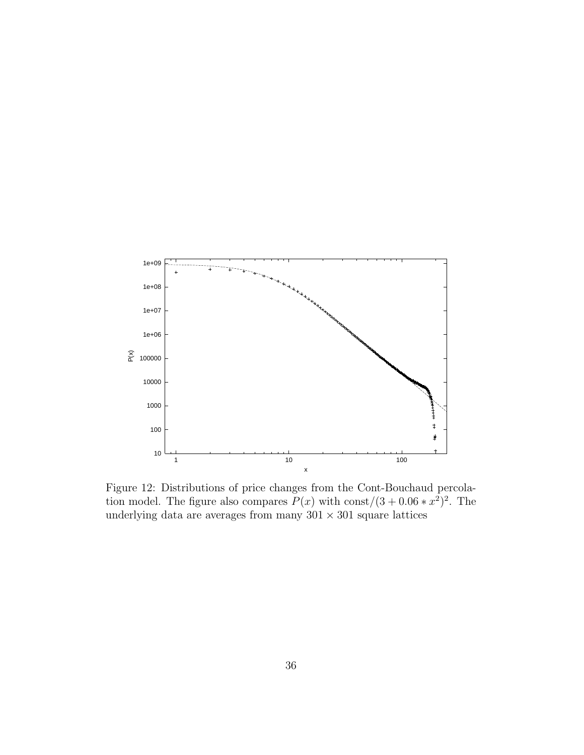

<span id="page-35-0"></span>Figure 12: Distributions of price changes from the Cont-Bouchaud percolation model. The figure also compares  $P(x)$  with const $/(3 + 0.06 * x^2)^2$ . The underlying data are averages from many  $301\times301$  square lattices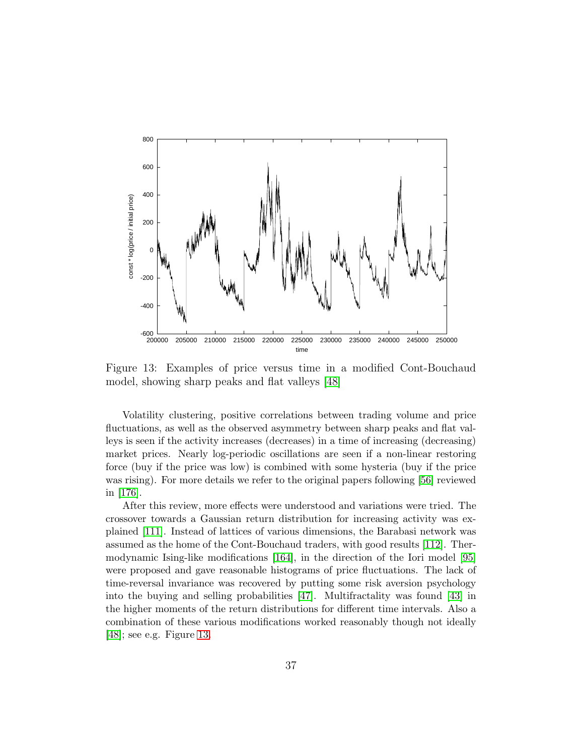

<span id="page-36-0"></span>Figure 13: Examples of price versus time in a modified Cont-Bouchaud model, showing sharp peaks and flat valleys [\[48\]](#page-53-8)

Volatility clustering, positive correlations between trading volume and price fluctuations, as well as the observed asymmetry between sharp peaks and flat valleys is seen if the activity increases (decreases) in a time of increasing (decreasing) market prices. Nearly log-periodic oscillations are seen if a non-linear restoring force (buy if the price was low) is combined with some hysteria (buy if the price was rising). For more details we refer to the original papers following [\[56\]](#page-54-1) reviewed in [\[176\]](#page-62-8).

After this review, more effects were understood and variations were tried. The crossover towards a Gaussian return distribution for increasing activity was explained [\[111\]](#page-58-10). Instead of lattices of various dimensions, the Barabasi network was assumed as the home of the Cont-Bouchaud traders, with good results [\[112\]](#page-58-11). Thermodynamic Ising-like modifications [\[164\]](#page-62-10), in the direction of the Iori model [\[95\]](#page-56-9) were proposed and gave reasonable histograms of price fluctuations. The lack of time-reversal invariance was recovered by putting some risk aversion psychology into the buying and selling probabilities [\[47\]](#page-53-9). Multifractality was found [\[43\]](#page-53-10) in the higher moments of the return distributions for different time intervals. Also a combination of these various modifications worked reasonably though not ideally [\[48\]](#page-53-8); see e.g. Figure [13.](#page-36-0)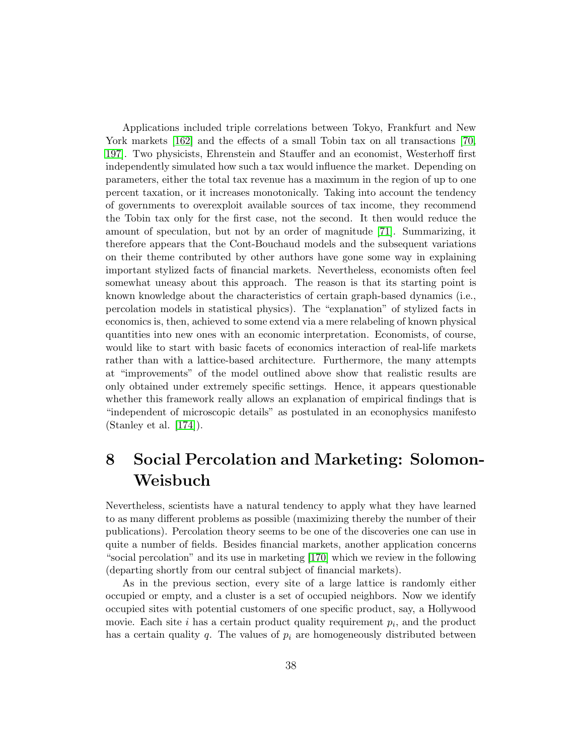Applications included triple correlations between Tokyo, Frankfurt and New York markets  $[162]$  and the effects of a small Tobin tax on all transactions  $[70, 60]$ [197\]](#page-64-6). Two physicists, Ehrenstein and Stauffer and an economist, Westerhoff first independently simulated how such a tax would influence the market. Depending on parameters, either the total tax revenue has a maximum in the region of up to one percent taxation, or it increases monotonically. Taking into account the tendency of governments to overexploit available sources of tax income, they recommend the Tobin tax only for the first case, not the second. It then would reduce the amount of speculation, but not by an order of magnitude [\[71\]](#page-55-12). Summarizing, it therefore appears that the Cont-Bouchaud models and the subsequent variations on their theme contributed by other authors have gone some way in explaining important stylized facts of financial markets. Nevertheless, economists often feel somewhat uneasy about this approach. The reason is that its starting point is known knowledge about the characteristics of certain graph-based dynamics (i.e., percolation models in statistical physics). The "explanation" of stylized facts in economics is, then, achieved to some extend via a mere relabeling of known physical quantities into new ones with an economic interpretation. Economists, of course, would like to start with basic facets of economics interaction of real-life markets rather than with a lattice-based architecture. Furthermore, the many attempts at "improvements" of the model outlined above show that realistic results are only obtained under extremely specific settings. Hence, it appears questionable whether this framework really allows an explanation of empirical findings that is "independent of microscopic details" as postulated in an econophysics manifesto (Stanley et al. [\[174\]](#page-62-11)).

## 8 Social Percolation and Marketing: Solomon-Weisbuch

Nevertheless, scientists have a natural tendency to apply what they have learned to as many different problems as possible (maximizing thereby the number of their publications). Percolation theory seems to be one of the discoveries one can use in quite a number of fields. Besides financial markets, another application concerns "social percolation" and its use in marketing [\[170\]](#page-62-0) which we review in the following (departing shortly from our central subject of financial markets).

As in the previous section, every site of a large lattice is randomly either occupied or empty, and a cluster is a set of occupied neighbors. Now we identify occupied sites with potential customers of one specific product, say, a Hollywood movie. Each site  $i$  has a certain product quality requirement  $p_i$ , and the product has a certain quality q. The values of  $p_i$  are homogeneously distributed between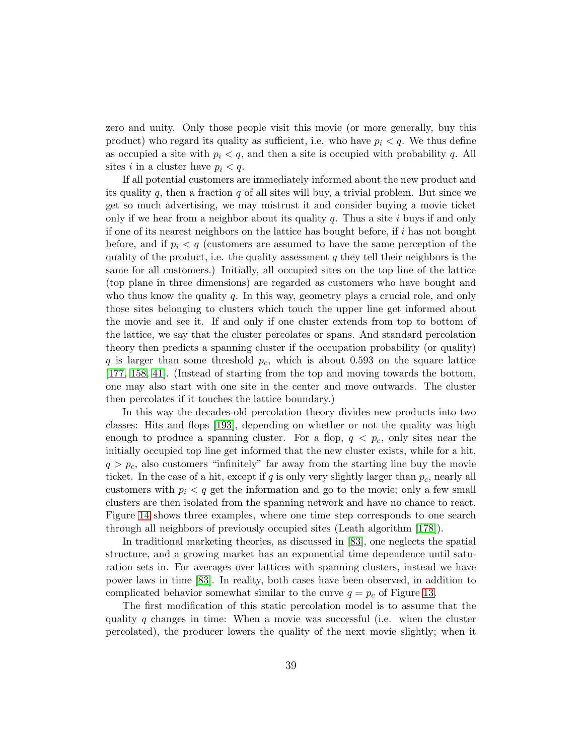zero and unity. Only those people visit this movie (or more generally, buy this product) who regard its quality as sufficient, i.e. who have  $p_i < q$ . We thus define as occupied a site with  $p_i < q$ , and then a site is occupied with probability q. All sites i in a cluster have  $p_i < q$ .

If all potential customers are immediately informed about the new product and its quality q, then a fraction q of all sites will buy, a trivial problem. But since we get so much advertising, we may mistrust it and consider buying a movie ticket only if we hear from a neighbor about its quality  $q$ . Thus a site i buys if and only if one of its nearest neighbors on the lattice has bought before, if  $i$  has not bought before, and if  $p_i < q$  (customers are assumed to have the same perception of the quality of the product, i.e. the quality assessment  $q$  they tell their neighbors is the same for all customers.) Initially, all occupied sites on the top line of the lattice (top plane in three dimensions) are regarded as customers who have bought and who thus know the quality  $q$ . In this way, geometry plays a crucial role, and only those sites belonging to clusters which touch the upper line get informed about the movie and see it. If and only if one cluster extends from top to bottom of the lattice, we say that the cluster percolates or spans. And standard percolation theory then predicts a spanning cluster if the occupation probability (or quality) q is larger than some threshold  $p_c$ , which is about 0.593 on the square lattice [\[177,](#page-63-8) [158,](#page-61-12) [41\]](#page-53-11). (Instead of starting from the top and moving towards the bottom, one may also start with one site in the center and move outwards. The cluster then percolates if it touches the lattice boundary.)

In this way the decades-old percolation theory divides new products into two classes: Hits and flops [\[193\]](#page-64-7), depending on whether or not the quality was high enough to produce a spanning cluster. For a flop,  $q < p_c$ , only sites near the initially occupied top line get informed that the new cluster exists, while for a hit,  $q > p_c$ , also customers "infinitely" far away from the starting line buy the movie ticket. In the case of a hit, except if q is only very slightly larger than  $p_c$ , nearly all customers with  $p_i < q$  get the information and go to the movie; only a few small clusters are then isolated from the spanning network and have no chance to react. Figure [14](#page-39-0) shows three examples, where one time step corresponds to one search through all neighbors of previously occupied sites (Leath algorithm [\[178\]](#page-63-9)).

In traditional marketing theories, as discussed in [\[83\]](#page-56-10), one neglects the spatial structure, and a growing market has an exponential time dependence until saturation sets in. For averages over lattices with spanning clusters, instead we have power laws in time [\[83\]](#page-56-10). In reality, both cases have been observed, in addition to complicated behavior somewhat similar to the curve  $q = p_c$  of Figure [13.](#page-36-0)

The first modification of this static percolation model is to assume that the quality q changes in time: When a movie was successful (i.e. when the cluster percolated), the producer lowers the quality of the next movie slightly; when it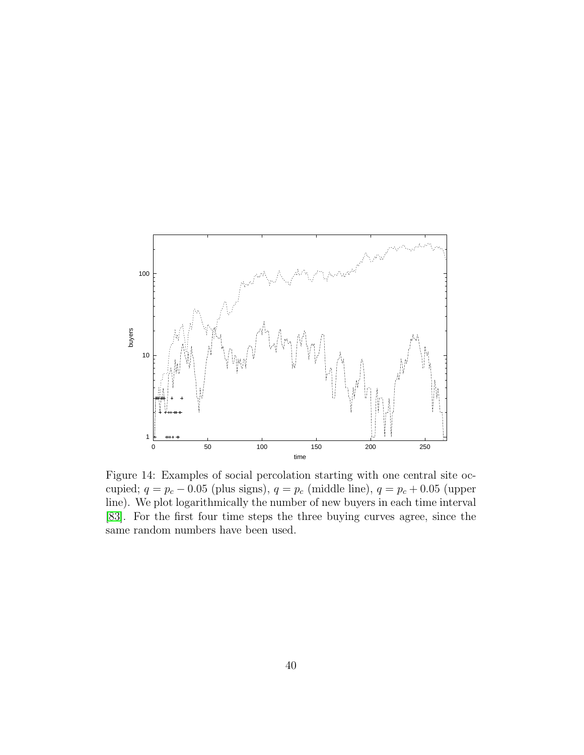

<span id="page-39-0"></span>Figure 14: Examples of social percolation starting with one central site occupied;  $q = p_c - 0.05$  (plus signs),  $q = p_c$  (middle line),  $q = p_c + 0.05$  (upper line). We plot logarithmically the number of new buyers in each time interval [\[83\]](#page-56-10). For the first four time steps the three buying curves agree, since the same random numbers have been used.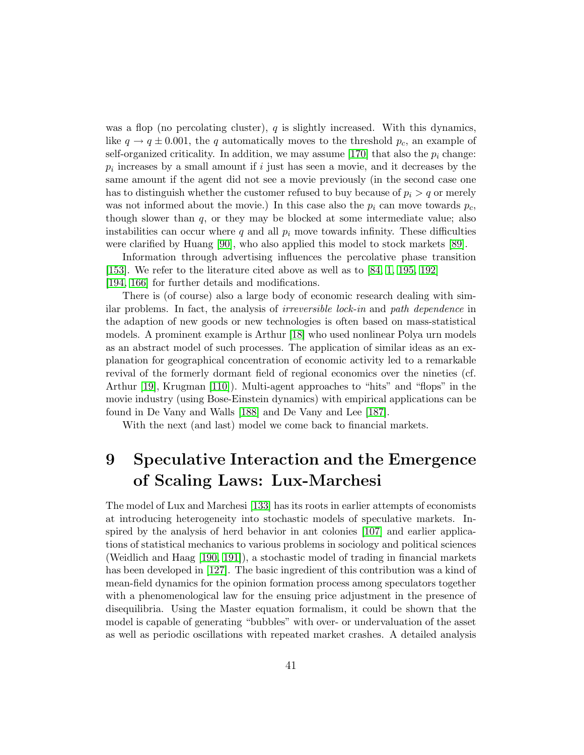was a flop (no percolating cluster),  $q$  is slightly increased. With this dynamics, like  $q \rightarrow q \pm 0.001$ , the q automatically moves to the threshold  $p_c$ , an example of self-organized criticality. In addition, we may assume [\[170\]](#page-62-0) that also the  $p_i$  change:  $p_i$  increases by a small amount if  $i$  just has seen a movie, and it decreases by the same amount if the agent did not see a movie previously (in the second case one has to distinguish whether the customer refused to buy because of  $p_i > q$  or merely was not informed about the movie.) In this case also the  $p_i$  can move towards  $p_c$ , though slower than  $q$ , or they may be blocked at some intermediate value; also instabilities can occur where q and all  $p_i$  move towards infinity. These difficulties were clarified by Huang [\[90\]](#page-56-11), who also applied this model to stock markets [\[89\]](#page-56-12).

Information through advertising influences the percolative phase transition [\[153\]](#page-61-13). We refer to the literature cited above as well as to [\[84,](#page-56-13) [1,](#page-50-9) [195,](#page-64-8) [192\]](#page-64-9) [\[194,](#page-64-10) [166\]](#page-62-12) for further details and modifications.

There is (of course) also a large body of economic research dealing with similar problems. In fact, the analysis of *irreversible lock-in* and *path dependence* in the adaption of new goods or new technologies is often based on mass-statistical models. A prominent example is Arthur [\[18\]](#page-51-11) who used nonlinear Polya urn models as an abstract model of such processes. The application of similar ideas as an explanation for geographical concentration of economic activity led to a remarkable revival of the formerly dormant field of regional economics over the nineties (cf. Arthur [\[19\]](#page-51-12), Krugman [\[110\]](#page-58-12)). Multi-agent approaches to "hits" and "flops" in the movie industry (using Bose-Einstein dynamics) with empirical applications can be found in De Vany and Walls [\[188\]](#page-63-11) and De Vany and Lee [\[187\]](#page-63-12).

With the next (and last) model we come back to financial markets.

# <span id="page-40-0"></span>9 Speculative Interaction and the Emergence of Scaling Laws: Lux-Marchesi

The model of Lux and Marchesi [\[133\]](#page-59-2) has its roots in earlier attempts of economists at introducing heterogeneity into stochastic models of speculative markets. Inspired by the analysis of herd behavior in ant colonies [\[107\]](#page-57-2) and earlier applications of statistical mechanics to various problems in sociology and political sciences (Weidlich and Haag [\[190,](#page-63-13) [191\]](#page-64-11)), a stochastic model of trading in financial markets has been developed in [\[127\]](#page-59-4). The basic ingredient of this contribution was a kind of mean-field dynamics for the opinion formation process among speculators together with a phenomenological law for the ensuing price adjustment in the presence of disequilibria. Using the Master equation formalism, it could be shown that the model is capable of generating "bubbles" with over- or undervaluation of the asset as well as periodic oscillations with repeated market crashes. A detailed analysis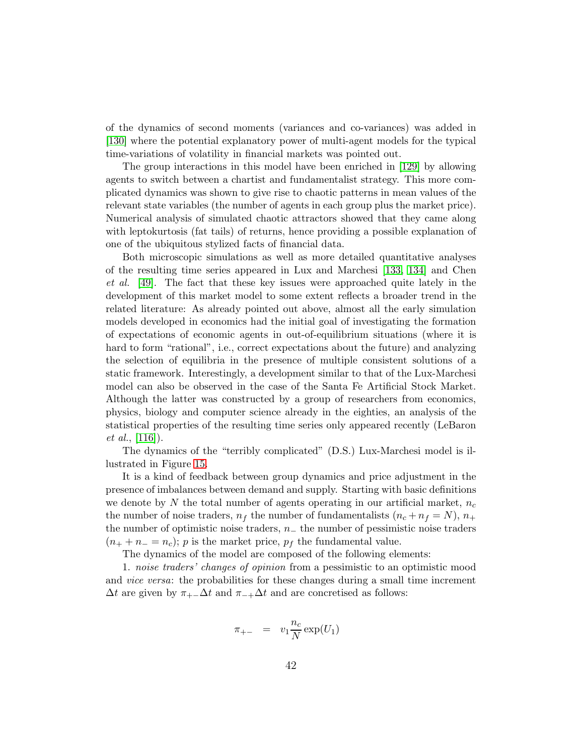of the dynamics of second moments (variances and co-variances) was added in [\[130\]](#page-59-7) where the potential explanatory power of multi-agent models for the typical time-variations of volatility in financial markets was pointed out.

The group interactions in this model have been enriched in [\[129\]](#page-59-8) by allowing agents to switch between a chartist and fundamentalist strategy. This more complicated dynamics was shown to give rise to chaotic patterns in mean values of the relevant state variables (the number of agents in each group plus the market price). Numerical analysis of simulated chaotic attractors showed that they came along with leptokurtosis (fat tails) of returns, hence providing a possible explanation of one of the ubiquitous stylized facts of financial data.

Both microscopic simulations as well as more detailed quantitative analyses of the resulting time series appeared in Lux and Marchesi [\[133,](#page-59-2) [134\]](#page-59-3) and Chen *et al.* [\[49\]](#page-53-12). The fact that these key issues were approached quite lately in the development of this market model to some extent reflects a broader trend in the related literature: As already pointed out above, almost all the early simulation models developed in economics had the initial goal of investigating the formation of expectations of economic agents in out-of-equilibrium situations (where it is hard to form "rational", i.e., correct expectations about the future) and analyzing the selection of equilibria in the presence of multiple consistent solutions of a static framework. Interestingly, a development similar to that of the Lux-Marchesi model can also be observed in the case of the Santa Fe Artificial Stock Market. Although the latter was constructed by a group of researchers from economics, physics, biology and computer science already in the eighties, an analysis of the statistical properties of the resulting time series only appeared recently (LeBaron *et al.*, [\[116\]](#page-58-6)).

The dynamics of the "terribly complicated" (D.S.) Lux-Marchesi model is illustrated in Figure [15.](#page-42-0)

It is a kind of feedback between group dynamics and price adjustment in the presence of imbalances between demand and supply. Starting with basic definitions we denote by N the total number of agents operating in our artificial market,  $n_c$ the number of noise traders,  $n_f$  the number of fundamentalists  $(n_c + n_f = N), n_+$ the number of optimistic noise traders,  $n_$  the number of pessimistic noise traders  $(n_{+} + n_{-} = n_{c}); p$  is the market price,  $p_f$  the fundamental value.

The dynamics of the model are composed of the following elements:

1. *noise traders' changes of opinion* from a pessimistic to an optimistic mood and *vice versa*: the probabilities for these changes during a small time increment  $\Delta t$  are given by  $\pi_{+-}\Delta t$  and  $\pi_{-+}\Delta t$  and are concretised as follows:

$$
\pi_{+-} = v_1 \frac{n_c}{N} \exp(U_1)
$$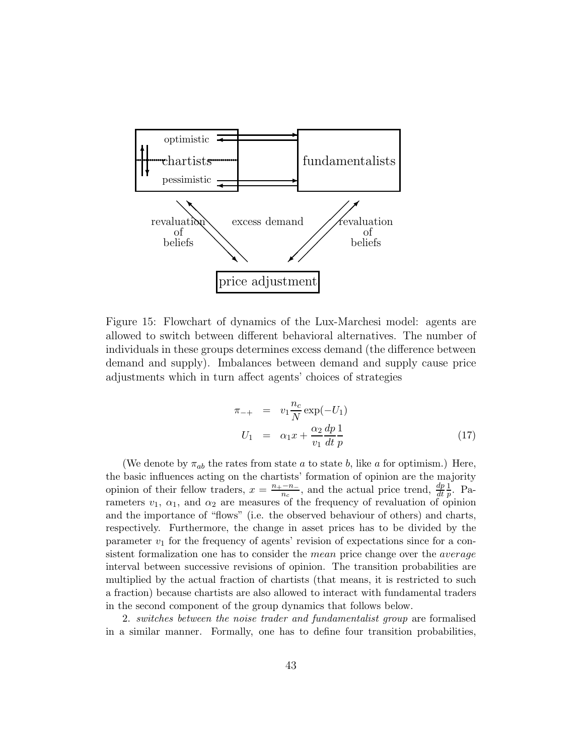

<span id="page-42-0"></span>Figure 15: Flowchart of dynamics of the Lux-Marchesi model: agents are allowed to switch between different behavioral alternatives. The number of individuals in these groups determines excess demand (the difference between demand and supply). Imbalances between demand and supply cause price adjustments which in turn affect agents' choices of strategies

$$
\pi_{-+} = v_1 \frac{n_c}{N} \exp(-U_1)
$$
  
\n
$$
U_1 = \alpha_1 x + \frac{\alpha_2}{v_1} \frac{dp}{dt} \frac{1}{p}
$$
\n(17)

(We denote by  $\pi_{ab}$  the rates from state a to state b, like a for optimism.) Here, the basic influences acting on the chartists' formation of opinion are the majority opinion of their fellow traders,  $x = \frac{n_+ - n_-}{n_-}$  $\frac{(-n)}{n_c}$ , and the actual price trend,  $\frac{dp}{dt}$ 1  $\frac{1}{p}$ . Parameters  $v_1$ ,  $\alpha_1$ , and  $\alpha_2$  are measures of the frequency of revaluation of opinion and the importance of "flows" (i.e. the observed behaviour of others) and charts, respectively. Furthermore, the change in asset prices has to be divided by the parameter  $v_1$  for the frequency of agents' revision of expectations since for a consistent formalization one has to consider the *mean* price change over the *average* interval between successive revisions of opinion. The transition probabilities are multiplied by the actual fraction of chartists (that means, it is restricted to such a fraction) because chartists are also allowed to interact with fundamental traders in the second component of the group dynamics that follows below.

2. *switches between the noise trader and fundamentalist group* are formalised in a similar manner. Formally, one has to define four transition probabilities,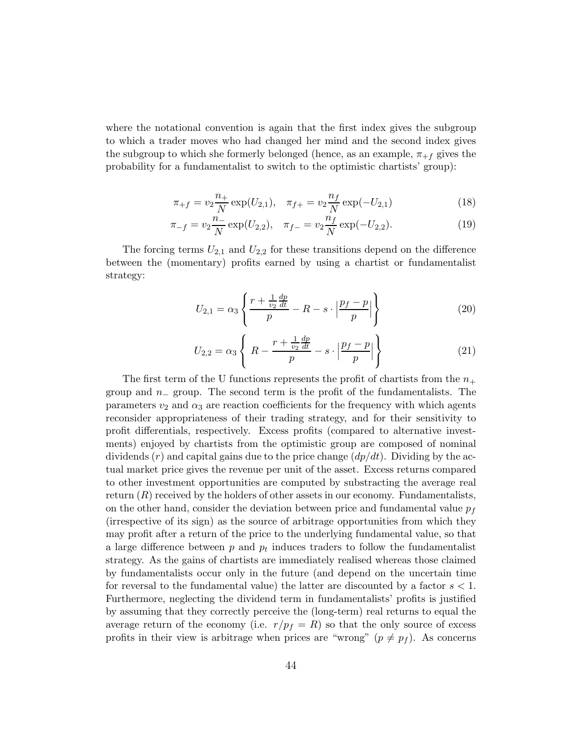where the notational convention is again that the first index gives the subgroup to which a trader moves who had changed her mind and the second index gives the subgroup to which she formerly belonged (hence, as an example,  $\pi_{+f}$  gives the probability for a fundamentalist to switch to the optimistic chartists' group):

$$
\pi_{+f} = v_2 \frac{n_+}{N} \exp(U_{2,1}), \quad \pi_{f+} = v_2 \frac{n_f}{N} \exp(-U_{2,1})
$$
\n(18)

$$
\pi_{-f} = v_2 \frac{n_{-}}{N} \exp(U_{2,2}), \quad \pi_{f-} = v_2 \frac{n_f}{N} \exp(-U_{2,2}).
$$
\n(19)

The forcing terms  $U_{2,1}$  and  $U_{2,2}$  for these transitions depend on the difference between the (momentary) profits earned by using a chartist or fundamentalist strategy:

$$
U_{2,1} = \alpha_3 \left\{ \frac{r + \frac{1}{v_2} \frac{dp}{dt}}{p} - R - s \cdot \left| \frac{p_f - p}{p} \right| \right\}
$$
 (20)

$$
U_{2,2} = \alpha_3 \left\{ R - \frac{r + \frac{1}{v_2} \frac{dp}{dt}}{p} - s \cdot \left| \frac{p_f - p}{p} \right| \right\}
$$
 (21)

The first term of the U functions represents the profit of chartists from the  $n_+$ group and  $n_$  group. The second term is the profit of the fundamentalists. The parameters  $v_2$  and  $\alpha_3$  are reaction coefficients for the frequency with which agents reconsider appropriateness of their trading strategy, and for their sensitivity to profit differentials, respectively. Excess profits (compared to alternative investments) enjoyed by chartists from the optimistic group are composed of nominal dividends  $(r)$  and capital gains due to the price change  $(dp/dt)$ . Dividing by the actual market price gives the revenue per unit of the asset. Excess returns compared to other investment opportunities are computed by substracting the average real return  $(R)$  received by the holders of other assets in our economy. Fundamentalists, on the other hand, consider the deviation between price and fundamental value  $p_f$ (irrespective of its sign) as the source of arbitrage opportunities from which they may profit after a return of the price to the underlying fundamental value, so that a large difference between  $p$  and  $p_t$  induces traders to follow the fundamentalist strategy. As the gains of chartists are immediately realised whereas those claimed by fundamentalists occur only in the future (and depend on the uncertain time for reversal to the fundamental value) the latter are discounted by a factor  $s < 1$ . Furthermore, neglecting the dividend term in fundamentalists' profits is justified by assuming that they correctly perceive the (long-term) real returns to equal the average return of the economy (i.e.  $r/p_f = R$ ) so that the only source of excess profits in their view is arbitrage when prices are "wrong" ( $p \neq p_f$ ). As concerns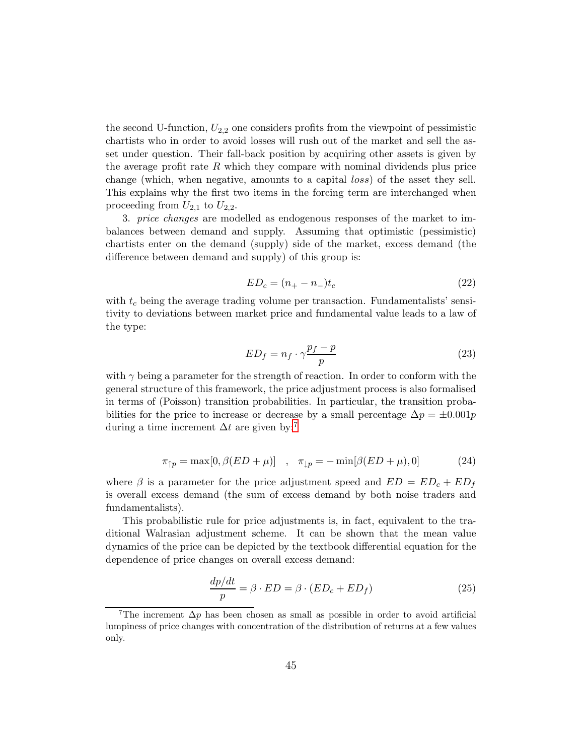the second U-function,  $U_{2,2}$  one considers profits from the viewpoint of pessimistic chartists who in order to avoid losses will rush out of the market and sell the asset under question. Their fall-back position by acquiring other assets is given by the average profit rate  $R$  which they compare with nominal dividends plus price change (which, when negative, amounts to a capital *loss*) of the asset they sell. This explains why the first two items in the forcing term are interchanged when proceeding from  $U_{2,1}$  to  $U_{2,2}$ .

3. *price changes* are modelled as endogenous responses of the market to imbalances between demand and supply. Assuming that optimistic (pessimistic) chartists enter on the demand (supply) side of the market, excess demand (the difference between demand and supply) of this group is:

$$
ED_c = (n_+ - n_-)t_c \tag{22}
$$

with  $t_c$  being the average trading volume per transaction. Fundamentalists' sensitivity to deviations between market price and fundamental value leads to a law of the type:

$$
ED_f = n_f \cdot \gamma \frac{p_f - p}{p} \tag{23}
$$

with  $\gamma$  being a parameter for the strength of reaction. In order to conform with the general structure of this framework, the price adjustment process is also formalised in terms of (Poisson) transition probabilities. In particular, the transition probabilities for the price to increase or decrease by a small percentage  $\Delta p = \pm 0.001p$ during a time increment  $\Delta t$  are given by:<sup>[7](#page-44-0)</sup>

$$
\pi_{\uparrow p} = \max[0, \beta(ED + \mu)] \quad , \quad \pi_{\downarrow p} = -\min[\beta(ED + \mu), 0] \tag{24}
$$

where  $\beta$  is a parameter for the price adjustment speed and  $ED = ED_c + ED_f$ is overall excess demand (the sum of excess demand by both noise traders and fundamentalists).

This probabilistic rule for price adjustments is, in fact, equivalent to the traditional Walrasian adjustment scheme. It can be shown that the mean value dynamics of the price can be depicted by the textbook differential equation for the dependence of price changes on overall excess demand:

$$
\frac{dp/dt}{p} = \beta \cdot ED = \beta \cdot (ED_c + ED_f)
$$
\n(25)

<span id="page-44-0"></span><sup>&</sup>lt;sup>7</sup>The increment  $\Delta p$  has been chosen as small as possible in order to avoid artificial lumpiness of price changes with concentration of the distribution of returns at a few values only.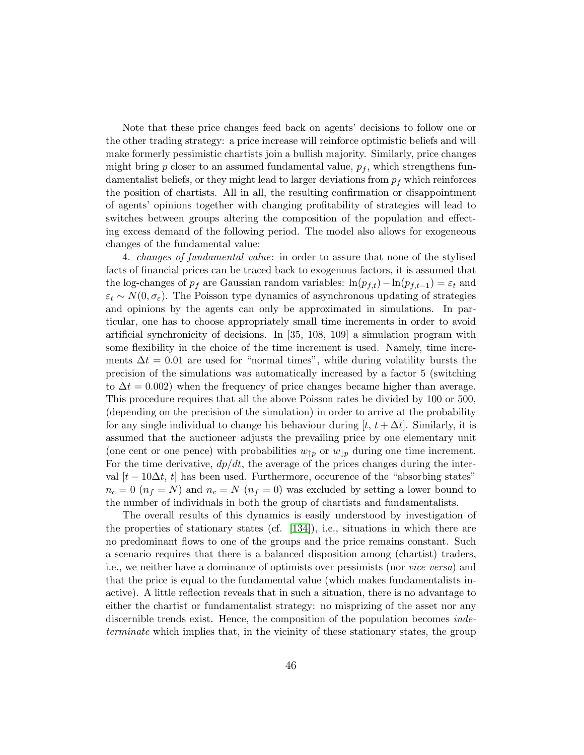Note that these price changes feed back on agents' decisions to follow one or the other trading strategy: a price increase will reinforce optimistic beliefs and will make formerly pessimistic chartists join a bullish majority. Similarly, price changes might bring p closer to an assumed fundamental value,  $p_f$ , which strengthens fundamentalist beliefs, or they might lead to larger deviations from  $p_f$  which reinforces the position of chartists. All in all, the resulting confirmation or disappointment of agents' opinions together with changing profitability of strategies will lead to switches between groups altering the composition of the population and effecting excess demand of the following period. The model also allows for exogeneous changes of the fundamental value:

4. *changes of fundamental value*: in order to assure that none of the stylised facts of financial prices can be traced back to exogenous factors, it is assumed that the log-changes of  $p_f$  are Gaussian random variables:  $\ln(p_{f,t}) - \ln(p_{f,t-1}) = \varepsilon_t$  and  $\varepsilon_t \sim N(0, \sigma_{\varepsilon})$ . The Poisson type dynamics of asynchronous updating of strategies and opinions by the agents can only be approximated in simulations. In particular, one has to choose appropriately small time increments in order to avoid artificial synchronicity of decisions. In [35, 108, 109] a simulation program with some flexibility in the choice of the time increment is used. Namely, time increments  $\Delta t = 0.01$  are used for "normal times", while during volatility bursts the precision of the simulations was automatically increased by a factor 5 (switching to  $\Delta t = 0.002$ ) when the frequency of price changes became higher than average. This procedure requires that all the above Poisson rates be divided by 100 or 500, (depending on the precision of the simulation) in order to arrive at the probability for any single individual to change his behaviour during  $[t, t + \Delta t]$ . Similarly, it is assumed that the auctioneer adjusts the prevailing price by one elementary unit (one cent or one pence) with probabilities  $w_{\uparrow p}$  or  $w_{\downarrow p}$  during one time increment. For the time derivative,  $dp/dt$ , the average of the prices changes during the interval  $[t - 10\Delta t, t]$  has been used. Furthermore, occurence of the "absorbing states"  $n_c = 0$   $(n_f = N)$  and  $n_c = N$   $(n_f = 0)$  was excluded by setting a lower bound to the number of individuals in both the group of chartists and fundamentalists.

The overall results of this dynamics is easily understood by investigation of the properties of stationary states (cf. [\[134\]](#page-59-3)), i.e., situations in which there are no predominant flows to one of the groups and the price remains constant. Such a scenario requires that there is a balanced disposition among (chartist) traders, i.e., we neither have a dominance of optimists over pessimists (nor *vice versa*) and that the price is equal to the fundamental value (which makes fundamentalists inactive). A little reflection reveals that in such a situation, there is no advantage to either the chartist or fundamentalist strategy: no misprizing of the asset nor any discernible trends exist. Hence, the composition of the population becomes *indeterminate* which implies that, in the vicinity of these stationary states, the group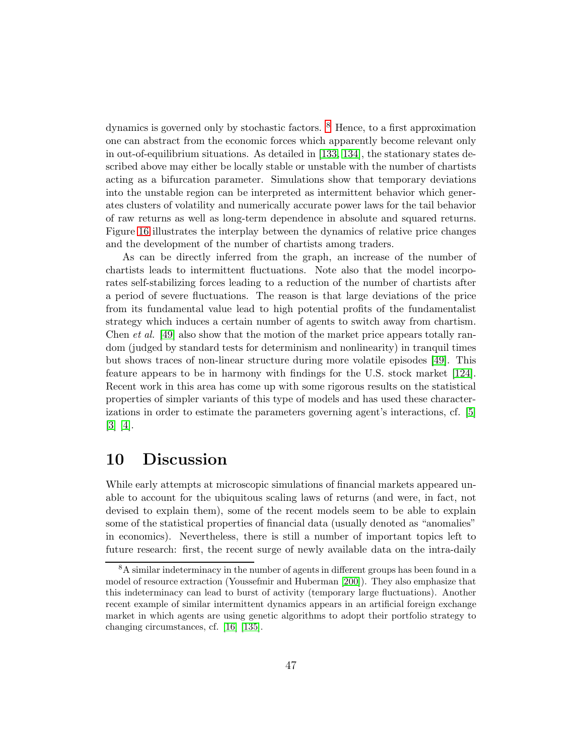dynamics is governed only by stochastic factors. [8](#page-46-0) Hence, to a first approximation one can abstract from the economic forces which apparently become relevant only in out-of-equilibrium situations. As detailed in [\[133,](#page-59-2) [134\]](#page-59-3), the stationary states described above may either be locally stable or unstable with the number of chartists acting as a bifurcation parameter. Simulations show that temporary deviations into the unstable region can be interpreted as intermittent behavior which generates clusters of volatility and numerically accurate power laws for the tail behavior of raw returns as well as long-term dependence in absolute and squared returns. Figure [16](#page-47-0) illustrates the interplay between the dynamics of relative price changes and the development of the number of chartists among traders.

As can be directly inferred from the graph, an increase of the number of chartists leads to intermittent fluctuations. Note also that the model incorporates self-stabilizing forces leading to a reduction of the number of chartists after a period of severe fluctuations. The reason is that large deviations of the price from its fundamental value lead to high potential profits of the fundamentalist strategy which induces a certain number of agents to switch away from chartism. Chen *et al.* [\[49\]](#page-53-12) also show that the motion of the market price appears totally random (judged by standard tests for determinism and nonlinearity) in tranquil times but shows traces of non-linear structure during more volatile episodes [\[49\]](#page-53-12). This feature appears to be in harmony with findings for the U.S. stock market [\[124\]](#page-59-9). Recent work in this area has come up with some rigorous results on the statistical properties of simpler variants of this type of models and has used these characterizations in order to estimate the parameters governing agent's interactions, cf. [\[5\]](#page-50-10) [\[3\]](#page-50-11) [\[4\]](#page-50-12).

### 10 Discussion

While early attempts at microscopic simulations of financial markets appeared unable to account for the ubiquitous scaling laws of returns (and were, in fact, not devised to explain them), some of the recent models seem to be able to explain some of the statistical properties of financial data (usually denoted as "anomalies" in economics). Nevertheless, there is still a number of important topics left to future research: first, the recent surge of newly available data on the intra-daily

<span id="page-46-0"></span> ${}^{8}$ A similar indeterminacy in the number of agents in different groups has been found in a model of resource extraction (Youssefmir and Huberman [\[200\]](#page-64-12)). They also emphasize that this indeterminacy can lead to burst of activity (temporary large fluctuations). Another recent example of similar intermittent dynamics appears in an artificial foreign exchange market in which agents are using genetic algorithms to adopt their portfolio strategy to changing circumstances, cf. [\[16\]](#page-51-13) [\[135\]](#page-60-8).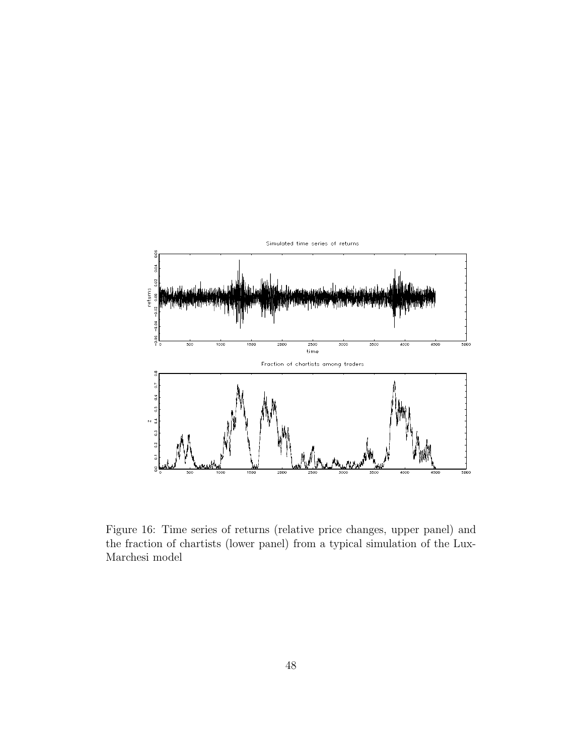

<span id="page-47-0"></span>Figure 16: Time series of returns (relative price changes, upper panel) and the fraction of chartists (lower panel) from a typical simulation of the Lux-Marchesi model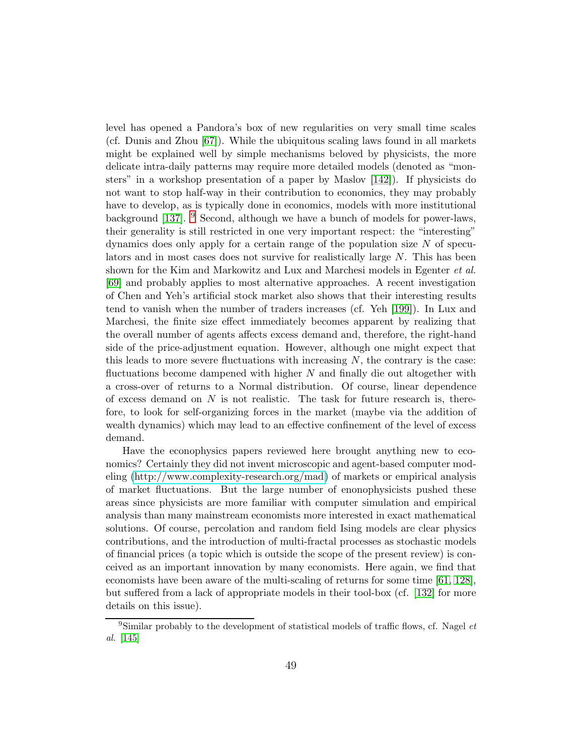level has opened a Pandora's box of new regularities on very small time scales (cf. Dunis and Zhou [\[67\]](#page-54-13)). While the ubiquitous scaling laws found in all markets might be explained well by simple mechanisms beloved by physicists, the more delicate intra-daily patterns may require more detailed models (denoted as "monsters" in a workshop presentation of a paper by Maslov [\[142\]](#page-60-11)). If physicists do not want to stop half-way in their contribution to economics, they may probably have to develop, as is typically done in economics, models with more institutional background [\[137\]](#page-60-12). [9](#page-48-0) Second, although we have a bunch of models for power-laws, their generality is still restricted in one very important respect: the "interesting" dynamics does only apply for a certain range of the population size N of speculators and in most cases does not survive for realistically large N. This has been shown for the Kim and Markowitz and Lux and Marchesi models in Egenter *et al.* [\[69\]](#page-55-10) and probably applies to most alternative approaches. A recent investigation of Chen and Yeh's artificial stock market also shows that their interesting results tend to vanish when the number of traders increases (cf. Yeh [\[199\]](#page-64-13)). In Lux and Marchesi, the finite size effect immediately becomes apparent by realizing that the overall number of agents affects excess demand and, therefore, the right-hand side of the price-adjustment equation. However, although one might expect that this leads to more severe fluctuations with increasing  $N$ , the contrary is the case: fluctuations become dampened with higher N and finally die out altogether with a cross-over of returns to a Normal distribution. Of course, linear dependence of excess demand on  $N$  is not realistic. The task for future research is, therefore, to look for self-organizing forces in the market (maybe via the addition of wealth dynamics) which may lead to an effective confinement of the level of excess demand.

Have the econophysics papers reviewed here brought anything new to economics? Certainly they did not invent microscopic and agent-based computer modeling [\(http://www.complexity-research.org/mad\)](http://www.complexity-research.org/mad) of markets or empirical analysis of market fluctuations. But the large number of enonophysicists pushed these areas since physicists are more familiar with computer simulation and empirical analysis than many mainstream economists more interested in exact mathematical solutions. Of course, percolation and random field Ising models are clear physics contributions, and the introduction of multi-fractal processes as stochastic models of financial prices (a topic which is outside the scope of the present review) is conceived as an important innovation by many economists. Here again, we find that economists have been aware of the multi-scaling of returns for some time [\[61,](#page-54-0) [128\]](#page-59-10), but suffered from a lack of appropriate models in their tool-box (cf. [\[132\]](#page-59-11) for more details on this issue).

<span id="page-48-0"></span><sup>9</sup>Similar probably to the development of statistical models of traffic flows, cf. Nagel *et al.* [\[145\]](#page-60-13)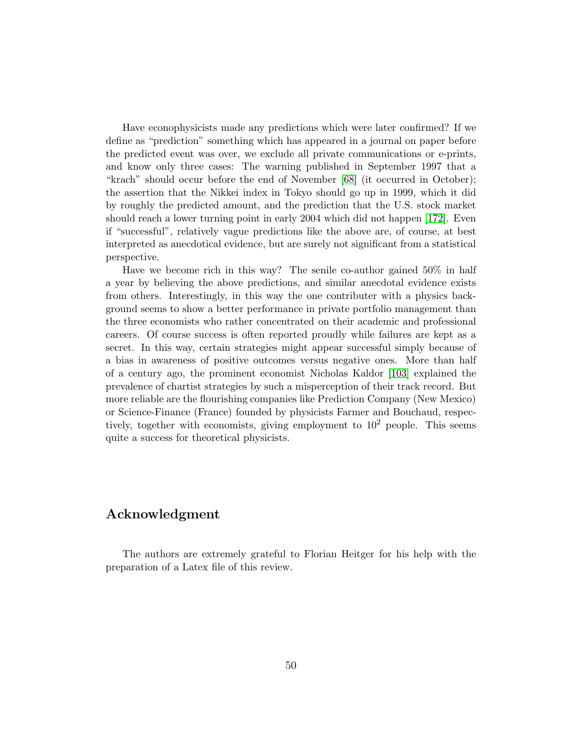Have econophysicists made any predictions which were later confirmed? If we define as "prediction" something which has appeared in a journal on paper before the predicted event was over, we exclude all private communications or e-prints, and know only three cases: The warning published in September 1997 that a "krach" should occur before the end of November [\[68\]](#page-54-14) (it occurred in October); the assertion that the Nikkei index in Tokyo should go up in 1999, which it did by roughly the predicted amount, and the prediction that the U.S. stock market should reach a lower turning point in early 2004 which did not happen [\[172\]](#page-62-13). Even if "successful", relatively vague predictions like the above are, of course, at best interpreted as anecdotical evidence, but are surely not significant from a statistical perspective.

Have we become rich in this way? The senile co-author gained 50% in half a year by believing the above predictions, and similar anecdotal evidence exists from others. Interestingly, in this way the one contributer with a physics background seems to show a better performance in private portfolio management than the three economists who rather concentrated on their academic and professional careers. Of course success is often reported proudly while failures are kept as a secret. In this way, certain strategies might appear successful simply because of a bias in awareness of positive outcomes versus negative ones. More than half of a century ago, the prominent economist Nicholas Kaldor [\[103\]](#page-57-13) explained the prevalence of chartist strategies by such a misperception of their track record. But more reliable are the flourishing companies like Prediction Company (New Mexico) or Science-Finance (France) founded by physicists Farmer and Bouchaud, respectively, together with economists, giving employment to  $10^2$  people. This seems quite a success for theoretical physicists.

#### Acknowledgment

The authors are extremely grateful to Florian Heitger for his help with the preparation of a Latex file of this review.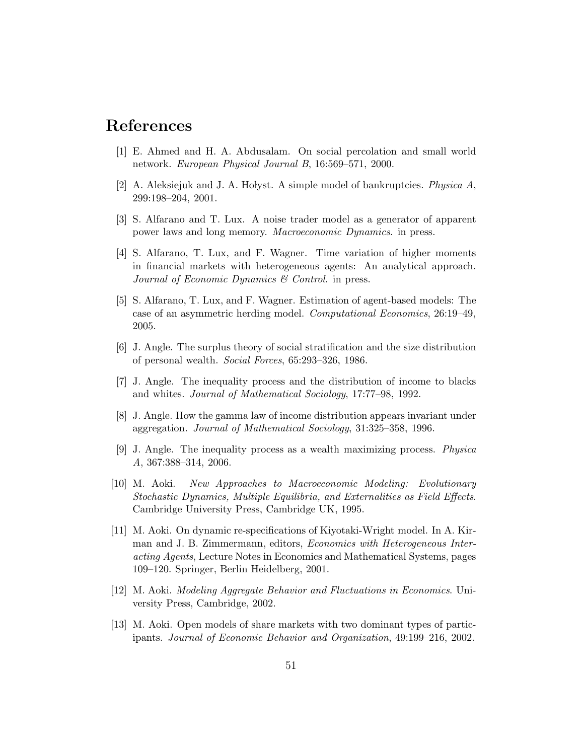### <span id="page-50-9"></span>References

- <span id="page-50-3"></span>[1] E. Ahmed and H. A. Abdusalam. On social percolation and small world network. *European Physical Journal B*, 16:569–571, 2000.
- <span id="page-50-11"></span>[2] A. Aleksiejuk and J. A. Holyst. A simple model of bankruptcies. *Physica A*, 299:198–204, 2001.
- <span id="page-50-12"></span>[3] S. Alfarano and T. Lux. A noise trader model as a generator of apparent power laws and long memory. *Macroeconomic Dynamics*. in press.
- [4] S. Alfarano, T. Lux, and F. Wagner. Time variation of higher moments in financial markets with heterogeneous agents: An analytical approach. *Journal of Economic Dynamics & Control*. in press.
- <span id="page-50-10"></span>[5] S. Alfarano, T. Lux, and F. Wagner. Estimation of agent-based models: The case of an asymmetric herding model. *Computational Economics*, 26:19–49, 2005.
- <span id="page-50-6"></span><span id="page-50-5"></span>[6] J. Angle. The surplus theory of social stratification and the size distribution of personal wealth. *Social Forces*, 65:293–326, 1986.
- <span id="page-50-7"></span>[7] J. Angle. The inequality process and the distribution of income to blacks and whites. *Journal of Mathematical Sociology*, 17:77–98, 1992.
- <span id="page-50-8"></span>[8] J. Angle. How the gamma law of income distribution appears invariant under aggregation. *Journal of Mathematical Sociology*, 31:325–358, 1996.
- [9] J. Angle. The inequality process as a wealth maximizing process. *Physica A*, 367:388–314, 2006.
- <span id="page-50-0"></span>[10] M. Aoki. *New Approaches to Macroeconomic Modeling: Evolutionary Stochastic Dynamics, Multiple Equilibria, and Externalities as Field Effects*. Cambridge University Press, Cambridge UK, 1995.
- <span id="page-50-4"></span>[11] M. Aoki. On dynamic re-specifications of Kiyotaki-Wright model. In A. Kirman and J. B. Zimmermann, editors, *Economics with Heterogeneous Interacting Agents*, Lecture Notes in Economics and Mathematical Systems, pages 109–120. Springer, Berlin Heidelberg, 2001.
- <span id="page-50-1"></span>[12] M. Aoki. *Modeling Aggregate Behavior and Fluctuations in Economics*. University Press, Cambridge, 2002.
- <span id="page-50-2"></span>[13] M. Aoki. Open models of share markets with two dominant types of participants. *Journal of Economic Behavior and Organization*, 49:199–216, 2002.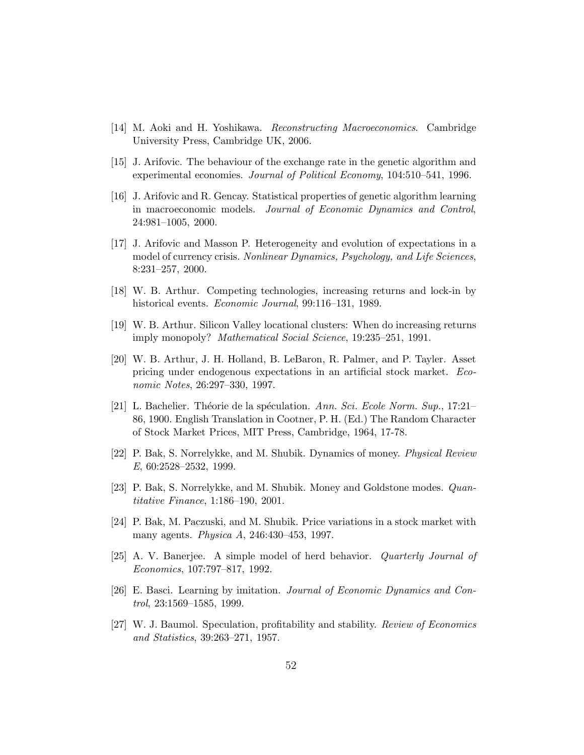- <span id="page-51-6"></span><span id="page-51-4"></span>[14] M. Aoki and H. Yoshikawa. *Reconstructing Macroeconomics*. Cambridge University Press, Cambridge UK, 2006.
- <span id="page-51-13"></span>[15] J. Arifovic. The behaviour of the exchange rate in the genetic algorithm and experimental economies. *Journal of Political Economy*, 104:510–541, 1996.
- [16] J. Arifovic and R. Gencay. Statistical properties of genetic algorithm learning in macroeconomic models. *Journal of Economic Dynamics and Control*, 24:981–1005, 2000.
- <span id="page-51-5"></span>[17] J. Arifovic and Masson P. Heterogeneity and evolution of expectations in a model of currency crisis. *Nonlinear Dynamics, Psychology, and Life Sciences*, 8:231–257, 2000.
- <span id="page-51-12"></span><span id="page-51-11"></span>[18] W. B. Arthur. Competing technologies, increasing returns and lock-in by historical events. *Economic Journal*, 99:116–131, 1989.
- <span id="page-51-3"></span>[19] W. B. Arthur. Silicon Valley locational clusters: When do increasing returns imply monopoly? *Mathematical Social Science*, 19:235–251, 1991.
- [20] W. B. Arthur, J. H. Holland, B. LeBaron, R. Palmer, and P. Tayler. Asset pricing under endogenous expectations in an artificial stock market. *Economic Notes*, 26:297–330, 1997.
- <span id="page-51-9"></span>[21] L. Bachelier. Th´eorie de la sp´eculation. *Ann. Sci. Ecole Norm. Sup.*, 17:21– 86, 1900. English Translation in Cootner, P. H. (Ed.) The Random Character of Stock Market Prices, MIT Press, Cambridge, 1964, 17-78.
- <span id="page-51-1"></span><span id="page-51-0"></span>[22] P. Bak, S. Norrelykke, and M. Shubik. Dynamics of money. *Physical Review E*, 60:2528–2532, 1999.
- <span id="page-51-7"></span>[23] P. Bak, S. Norrelykke, and M. Shubik. Money and Goldstone modes. *Quantitative Finance*, 1:186–190, 2001.
- <span id="page-51-10"></span>[24] P. Bak, M. Paczuski, and M. Shubik. Price variations in a stock market with many agents. *Physica A*, 246:430–453, 1997.
- [25] A. V. Banerjee. A simple model of herd behavior. *Quarterly Journal of Economics*, 107:797–817, 1992.
- <span id="page-51-8"></span>[26] E. Basci. Learning by imitation. *Journal of Economic Dynamics and Control*, 23:1569–1585, 1999.
- <span id="page-51-2"></span>[27] W. J. Baumol. Speculation, profitability and stability. *Review of Economics and Statistics*, 39:263–271, 1957.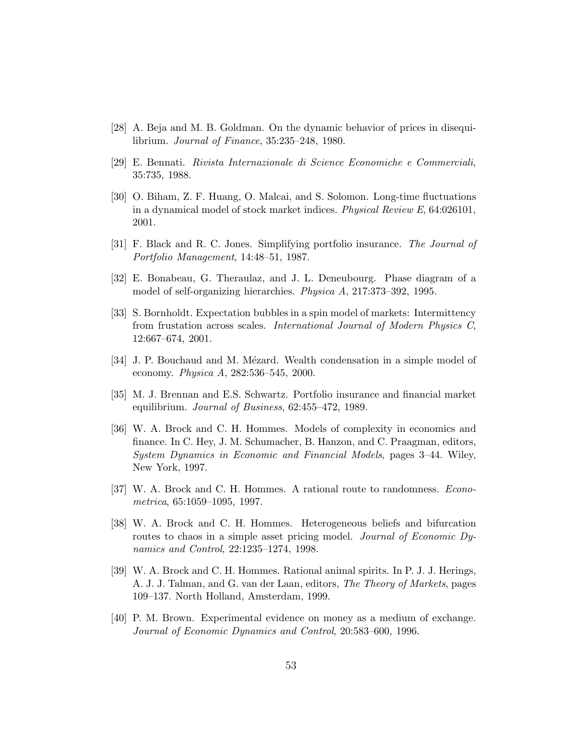- <span id="page-52-12"></span><span id="page-52-0"></span>[28] A. Beja and M. B. Goldman. On the dynamic behavior of prices in disequilibrium. *Journal of Finance*, 35:235–248, 1980.
- <span id="page-52-10"></span>[29] E. Bennati. *Rivista Internazionale di Science Economiche e Commerciali*, 35:735, 1988.
- [30] O. Biham, Z. F. Huang, O. Malcai, and S. Solomon. Long-time fluctuations in a dynamical model of stock market indices. *Physical Review E*, 64:026101, 2001.
- <span id="page-52-9"></span><span id="page-52-6"></span>[31] F. Black and R. C. Jones. Simplifying portfolio insurance. *The Journal of Portfolio Management*, 14:48–51, 1987.
- <span id="page-52-5"></span>[32] E. Bonabeau, G. Theraulaz, and J. L. Deneubourg. Phase diagram of a model of self-organizing hierarchies. *Physica A*, 217:373–392, 1995.
- [33] S. Bornholdt. Expectation bubbles in a spin model of markets: Intermittency from frustation across scales. *International Journal of Modern Physics C*, 12:667–674, 2001.
- <span id="page-52-11"></span><span id="page-52-8"></span>[34] J. P. Bouchaud and M. Mézard. Wealth condensation in a simple model of economy. *Physica A*, 282:536–545, 2000.
- <span id="page-52-2"></span>[35] M. J. Brennan and E.S. Schwartz. Portfolio insurance and financial market equilibrium. *Journal of Business*, 62:455–472, 1989.
- [36] W. A. Brock and C. H. Hommes. Models of complexity in economics and finance. In C. Hey, J. M. Schumacher, B. Hanzon, and C. Praagman, editors, *System Dynamics in Economic and Financial Models*, pages 3–44. Wiley, New York, 1997.
- <span id="page-52-3"></span><span id="page-52-1"></span>[37] W. A. Brock and C. H. Hommes. A rational route to randomness. *Econometrica*, 65:1059–1095, 1997.
- [38] W. A. Brock and C. H. Hommes. Heterogeneous beliefs and bifurcation routes to chaos in a simple asset pricing model. *Journal of Economic Dynamics and Control*, 22:1235–1274, 1998.
- <span id="page-52-4"></span>[39] W. A. Brock and C. H. Hommes. Rational animal spirits. In P. J. J. Herings, A. J. J. Talman, and G. van der Laan, editors, *The Theory of Markets*, pages 109–137. North Holland, Amsterdam, 1999.
- <span id="page-52-7"></span>[40] P. M. Brown. Experimental evidence on money as a medium of exchange. *Journal of Economic Dynamics and Control*, 20:583–600, 1996.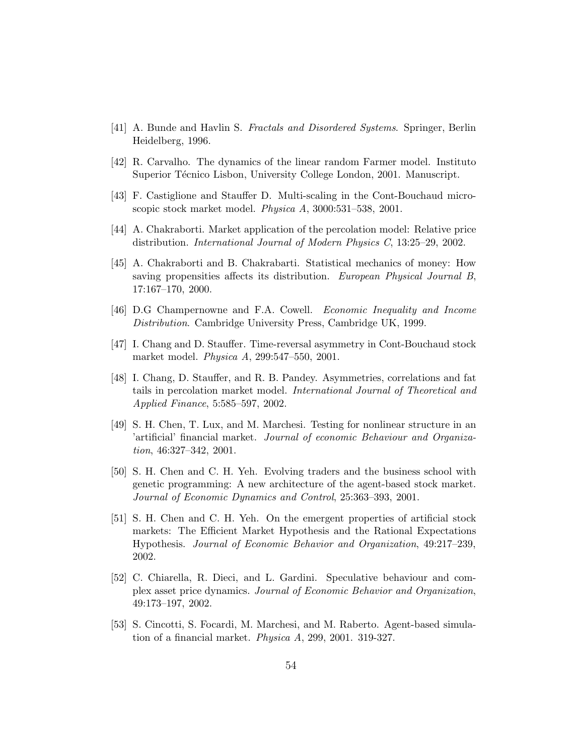- <span id="page-53-11"></span><span id="page-53-5"></span>[41] A. Bunde and Havlin S. *Fractals and Disordered Systems*. Springer, Berlin Heidelberg, 1996.
- <span id="page-53-10"></span>[42] R. Carvalho. The dynamics of the linear random Farmer model. Instituto Superior Técnico Lisbon, University College London, 2001. Manuscript.
- <span id="page-53-7"></span>[43] F. Castiglione and Stauffer D. Multi-scaling in the Cont-Bouchaud microscopic stock market model. *Physica A*, 3000:531–538, 2001.
- <span id="page-53-6"></span>[44] A. Chakraborti. Market application of the percolation model: Relative price distribution. *International Journal of Modern Physics C*, 13:25–29, 2002.
- [45] A. Chakraborti and B. Chakrabarti. Statistical mechanics of money: How saving propensities affects its distribution. *European Physical Journal B*, 17:167–170, 2000.
- <span id="page-53-9"></span><span id="page-53-4"></span>[46] D.G Champernowne and F.A. Cowell. *Economic Inequality and Income Distribution*. Cambridge University Press, Cambridge UK, 1999.
- <span id="page-53-8"></span>[47] I. Chang and D. Stauffer. Time-reversal asymmetry in Cont-Bouchaud stock market model. *Physica A*, 299:547–550, 2001.
- [48] I. Chang, D. Stauffer, and R. B. Pandey. Asymmetries, correlations and fat tails in percolation market model. *International Journal of Theoretical and Applied Finance*, 5:585–597, 2002.
- <span id="page-53-12"></span>[49] S. H. Chen, T. Lux, and M. Marchesi. Testing for nonlinear structure in an 'artificial' financial market. *Journal of economic Behaviour and Organization*, 46:327–342, 2001.
- <span id="page-53-1"></span>[50] S. H. Chen and C. H. Yeh. Evolving traders and the business school with genetic programming: A new architecture of the agent-based stock market. *Journal of Economic Dynamics and Control*, 25:363–393, 2001.
- <span id="page-53-2"></span>[51] S. H. Chen and C. H. Yeh. On the emergent properties of artificial stock markets: The Efficient Market Hypothesis and the Rational Expectations Hypothesis. *Journal of Economic Behavior and Organization*, 49:217–239, 2002.
- <span id="page-53-0"></span>[52] C. Chiarella, R. Dieci, and L. Gardini. Speculative behaviour and complex asset price dynamics. *Journal of Economic Behavior and Organization*, 49:173–197, 2002.
- <span id="page-53-3"></span>[53] S. Cincotti, S. Focardi, M. Marchesi, and M. Raberto. Agent-based simulation of a financial market. *Physica A*, 299, 2001. 319-327.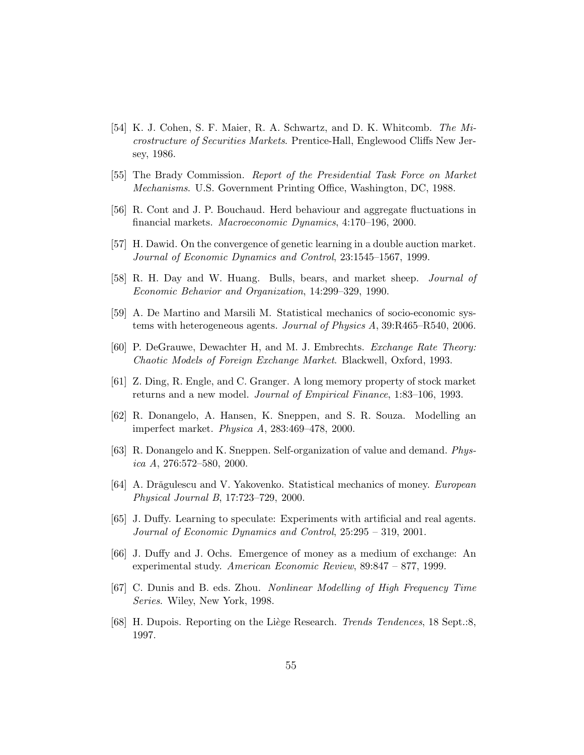- <span id="page-54-5"></span>[54] K. J. Cohen, S. F. Maier, R. A. Schwartz, and D. K. Whitcomb. *The Microstructure of Securities Markets*. Prentice-Hall, Englewood Cliffs New Jersey, 1986.
- <span id="page-54-11"></span><span id="page-54-1"></span>[55] The Brady Commission. *Report of the Presidential Task Force on Market Mechanisms*. U.S. Government Printing Office, Washington, DC, 1988.
- <span id="page-54-8"></span>[56] R. Cont and J. P. Bouchaud. Herd behaviour and aggregate fluctuations in financial markets. *Macroeconomic Dynamics*, 4:170–196, 2000.
- <span id="page-54-6"></span>[57] H. Dawid. On the convergence of genetic learning in a double auction market. *Journal of Economic Dynamics and Control*, 23:1545–1567, 1999.
- <span id="page-54-4"></span>[58] R. H. Day and W. Huang. Bulls, bears, and market sheep. *Journal of Economic Behavior and Organization*, 14:299–329, 1990.
- <span id="page-54-7"></span>[59] A. De Martino and Marsili M. Statistical mechanics of socio-economic systems with heterogeneous agents. *Journal of Physics A*, 39:R465–R540, 2006.
- <span id="page-54-0"></span>[60] P. DeGrauwe, Dewachter H, and M. J. Embrechts. *Exchange Rate Theory: Chaotic Models of Foreign Exchange Market*. Blackwell, Oxford, 1993.
- <span id="page-54-3"></span>[61] Z. Ding, R. Engle, and C. Granger. A long memory property of stock market returns and a new model. *Journal of Empirical Finance*, 1:83–106, 1993.
- <span id="page-54-2"></span>[62] R. Donangelo, A. Hansen, K. Sneppen, and S. R. Souza. Modelling an imperfect market. *Physica A*, 283:469–478, 2000.
- <span id="page-54-12"></span>[63] R. Donangelo and K. Sneppen. Self-organization of value and demand. *Physica A*, 276:572–580, 2000.
- <span id="page-54-10"></span>[64] A. Drǎgulescu and V. Yakovenko. Statistical mechanics of money. *European Physical Journal B*, 17:723–729, 2000.
- <span id="page-54-9"></span>[65] J. Duffy. Learning to speculate: Experiments with artificial and real agents. *Journal of Economic Dynamics and Control*, 25:295 – 319, 2001.
- [66] J. Duffy and J. Ochs. Emergence of money as a medium of exchange: An experimental study. *American Economic Review*, 89:847 – 877, 1999.
- <span id="page-54-13"></span>[67] C. Dunis and B. eds. Zhou. *Nonlinear Modelling of High Frequency Time Series*. Wiley, New York, 1998.
- <span id="page-54-14"></span>[68] H. Dupois. Reporting on the Li`ege Research. *Trends Tendences*, 18 Sept.:8, 1997.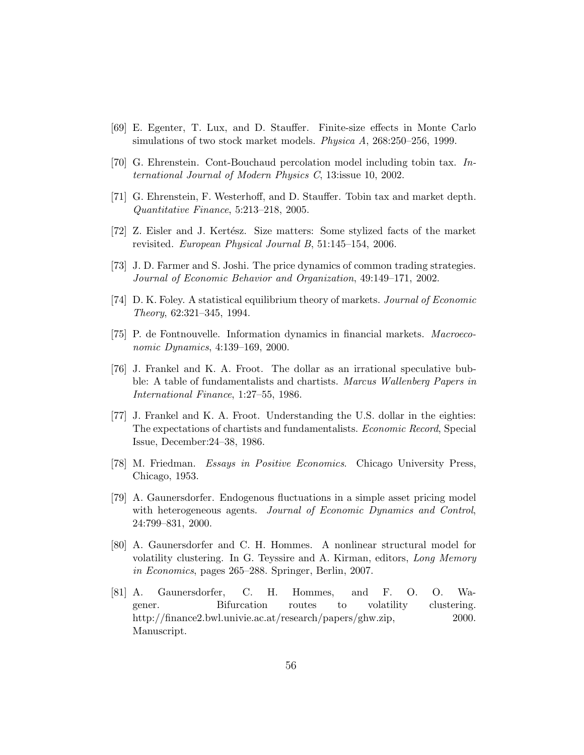- <span id="page-55-11"></span><span id="page-55-10"></span>[69] E. Egenter, T. Lux, and D. Stauffer. Finite-size effects in Monte Carlo simulations of two stock market models. *Physica A*, 268:250–256, 1999.
- <span id="page-55-12"></span>[70] G. Ehrenstein. Cont-Bouchaud percolation model including tobin tax. *International Journal of Modern Physics C*, 13:issue 10, 2002.
- <span id="page-55-0"></span>[71] G. Ehrenstein, F. Westerhoff, and D. Stauffer. Tobin tax and market depth. *Quantitative Finance*, 5:213–218, 2005.
- <span id="page-55-9"></span>[72] Z. Eisler and J. Kertész. Size matters: Some stylized facts of the market revisited. *European Physical Journal B*, 51:145–154, 2006.
- <span id="page-55-8"></span>[73] J. D. Farmer and S. Joshi. The price dynamics of common trading strategies. *Journal of Economic Behavior and Organization*, 49:149–171, 2002.
- <span id="page-55-2"></span>[74] D. K. Foley. A statistical equilibrium theory of markets. *Journal of Economic Theory*, 62:321–345, 1994.
- <span id="page-55-3"></span>[75] P. de Fontnouvelle. Information dynamics in financial markets. *Macroeconomic Dynamics*, 4:139–169, 2000.
- [76] J. Frankel and K. A. Froot. The dollar as an irrational speculative bubble: A table of fundamentalists and chartists. *Marcus Wallenberg Papers in International Finance*, 1:27–55, 1986.
- <span id="page-55-4"></span>[77] J. Frankel and K. A. Froot. Understanding the U.S. dollar in the eighties: The expectations of chartists and fundamentalists. *Economic Record*, Special Issue, December:24–38, 1986.
- <span id="page-55-5"></span><span id="page-55-1"></span>[78] M. Friedman. *Essays in Positive Economics*. Chicago University Press, Chicago, 1953.
- [79] A. Gaunersdorfer. Endogenous fluctuations in a simple asset pricing model with heterogeneous agents. *Journal of Economic Dynamics and Control*, 24:799–831, 2000.
- <span id="page-55-6"></span>[80] A. Gaunersdorfer and C. H. Hommes. A nonlinear structural model for volatility clustering. In G. Teyssire and A. Kirman, editors, *Long Memory in Economics*, pages 265–288. Springer, Berlin, 2007.
- <span id="page-55-7"></span>[81] A. Gaunersdorfer, C. H. Hommes, and F. O. O. Wagener. Bifurcation routes to volatility clustering. http://finance2.bwl.univie.ac.at/research/papers/ghw.zip, 2000. Manuscript.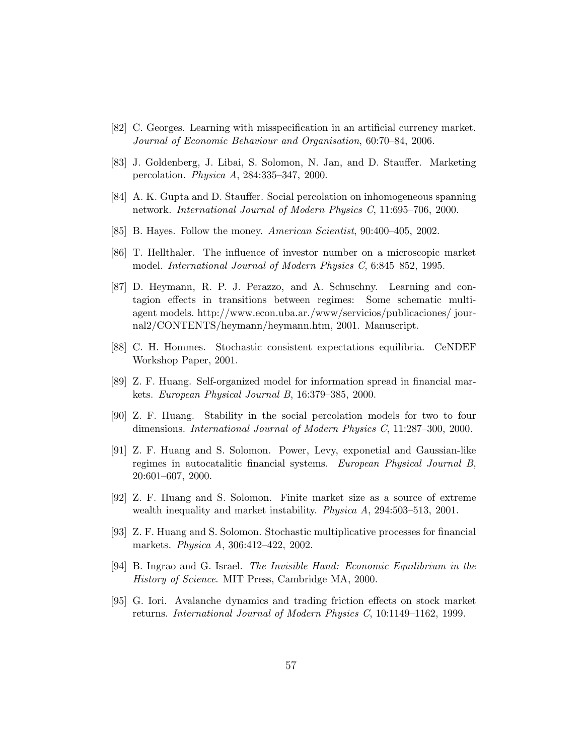- <span id="page-56-10"></span><span id="page-56-3"></span>[82] C. Georges. Learning with misspecification in an artificial currency market. *Journal of Economic Behaviour and Organisation*, 60:70–84, 2006.
- <span id="page-56-13"></span>[83] J. Goldenberg, J. Libai, S. Solomon, N. Jan, and D. Stauffer. Marketing percolation. *Physica A*, 284:335–347, 2000.
- <span id="page-56-5"></span>[84] A. K. Gupta and D. Stauffer. Social percolation on inhomogeneous spanning network. *International Journal of Modern Physics C*, 11:695–706, 2000.
- <span id="page-56-6"></span>[85] B. Hayes. Follow the money. *American Scientist*, 90:400–405, 2002.
- <span id="page-56-4"></span>[86] T. Hellthaler. The influence of investor number on a microscopic market model. *International Journal of Modern Physics C*, 6:845–852, 1995.
- [87] D. Heymann, R. P. J. Perazzo, and A. Schuschny. Learning and contagion effects in transitions between regimes: Some schematic multiagent models. http://www.econ.uba.ar./www/servicios/publicaciones/ journal2/CONTENTS/heymann/heymann.htm, 2001. Manuscript.
- <span id="page-56-12"></span><span id="page-56-2"></span>[88] C. H. Hommes. Stochastic consistent expectations equilibria. CeNDEF Workshop Paper, 2001.
- <span id="page-56-11"></span>[89] Z. F. Huang. Self-organized model for information spread in financial markets. *European Physical Journal B*, 16:379–385, 2000.
- <span id="page-56-1"></span>[90] Z. F. Huang. Stability in the social percolation models for two to four dimensions. *International Journal of Modern Physics C*, 11:287–300, 2000.
- [91] Z. F. Huang and S. Solomon. Power, Levy, exponetial and Gaussian-like regimes in autocatalitic financial systems. *European Physical Journal B*, 20:601–607, 2000.
- <span id="page-56-8"></span><span id="page-56-7"></span>[92] Z. F. Huang and S. Solomon. Finite market size as a source of extreme wealth inequality and market instability. *Physica A*, 294:503–513, 2001.
- <span id="page-56-0"></span>[93] Z. F. Huang and S. Solomon. Stochastic multiplicative processes for financial markets. *Physica A*, 306:412–422, 2002.
- <span id="page-56-9"></span>[94] B. Ingrao and G. Israel. *The Invisible Hand: Economic Equilibrium in the History of Science*. MIT Press, Cambridge MA, 2000.
- [95] G. Iori. Avalanche dynamics and trading friction effects on stock market returns. *International Journal of Modern Physics C*, 10:1149–1162, 1999.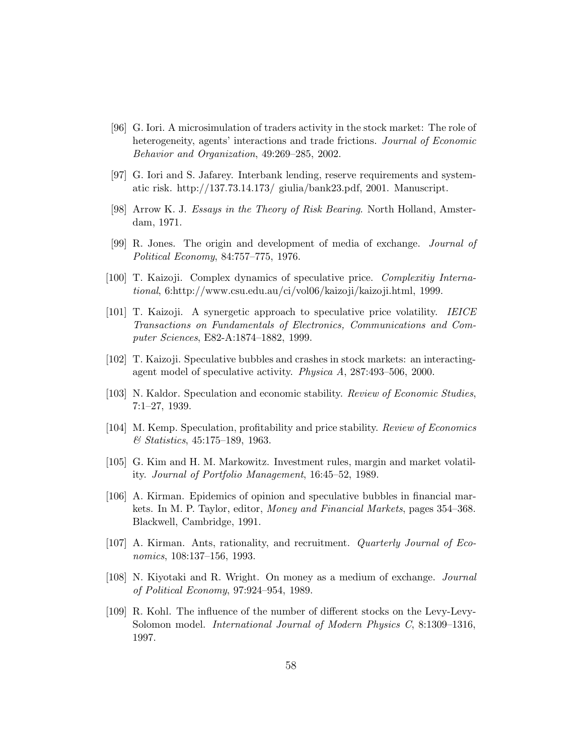- <span id="page-57-7"></span>[96] G. Iori. A microsimulation of traders activity in the stock market: The role of heterogeneity, agents' interactions and trade frictions. *Journal of Economic Behavior and Organization*, 49:269–285, 2002.
- <span id="page-57-11"></span><span id="page-57-8"></span>[97] G. Iori and S. Jafarey. Interbank lending, reserve requirements and systematic risk. http://137.73.14.173/ giulia/bank23.pdf, 2001. Manuscript.
- <span id="page-57-9"></span>[98] Arrow K. J. *Essays in the Theory of Risk Bearing*. North Holland, Amsterdam, 1971.
- <span id="page-57-3"></span>[99] R. Jones. The origin and development of media of exchange. *Journal of Political Economy*, 84:757–775, 1976.
- <span id="page-57-4"></span>[100] T. Kaizoji. Complex dynamics of speculative price. *Complexitiy International*, 6:http://www.csu.edu.au/ci/vol06/kaizoji/kaizoji.html, 1999.
- [101] T. Kaizoji. A synergetic approach to speculative price volatility. *IEICE Transactions on Fundamentals of Electronics, Communications and Computer Sciences*, E82-A:1874–1882, 1999.
- <span id="page-57-13"></span><span id="page-57-5"></span>[102] T. Kaizoji. Speculative bubbles and crashes in stock markets: an interactingagent model of speculative activity. *Physica A*, 287:493–506, 2000.
- <span id="page-57-1"></span>[103] N. Kaldor. Speculation and economic stability. *Review of Economic Studies*, 7:1–27, 1939.
- <span id="page-57-0"></span>[104] M. Kemp. Speculation, profitability and price stability. *Review of Economics & Statistics*, 45:175–189, 1963.
- <span id="page-57-6"></span>[105] G. Kim and H. M. Markowitz. Investment rules, margin and market volatility. *Journal of Portfolio Management*, 16:45–52, 1989.
- [106] A. Kirman. Epidemics of opinion and speculative bubbles in financial markets. In M. P. Taylor, editor, *Money and Financial Markets*, pages 354–368. Blackwell, Cambridge, 1991.
- <span id="page-57-2"></span>[107] A. Kirman. Ants, rationality, and recruitment. *Quarterly Journal of Economics*, 108:137–156, 1993.
- <span id="page-57-10"></span>[108] N. Kiyotaki and R. Wright. On money as a medium of exchange. *Journal of Political Economy*, 97:924–954, 1989.
- <span id="page-57-12"></span>[109] R. Kohl. The influence of the number of different stocks on the Levy-Levy-Solomon model. *International Journal of Modern Physics C*, 8:1309–1316, 1997.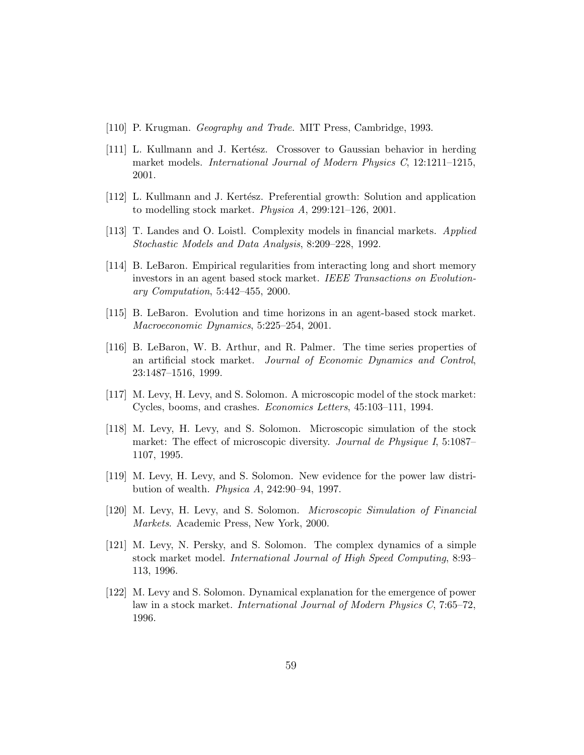- <span id="page-58-12"></span><span id="page-58-10"></span>[110] P. Krugman. *Geography and Trade*. MIT Press, Cambridge, 1993.
- [111] L. Kullmann and J. Kertész. Crossover to Gaussian behavior in herding market models. *International Journal of Modern Physics C*, 12:1211–1215, 2001.
- <span id="page-58-11"></span><span id="page-58-9"></span>[112] L. Kullmann and J. Kertész. Preferential growth: Solution and application to modelling stock market. *Physica A*, 299:121–126, 2001.
- <span id="page-58-7"></span>[113] T. Landes and O. Loistl. Complexity models in financial markets. *Applied Stochastic Models and Data Analysis*, 8:209–228, 1992.
- [114] B. LeBaron. Empirical regularities from interacting long and short memory investors in an agent based stock market. *IEEE Transactions on Evolutionary Computation*, 5:442–455, 2000.
- <span id="page-58-8"></span><span id="page-58-6"></span>[115] B. LeBaron. Evolution and time horizons in an agent-based stock market. *Macroeconomic Dynamics*, 5:225–254, 2001.
- [116] B. LeBaron, W. B. Arthur, and R. Palmer. The time series properties of an artificial stock market. *Journal of Economic Dynamics and Control*, 23:1487–1516, 1999.
- <span id="page-58-1"></span><span id="page-58-0"></span>[117] M. Levy, H. Levy, and S. Solomon. A microscopic model of the stock market: Cycles, booms, and crashes. *Economics Letters*, 45:103–111, 1994.
- [118] M. Levy, H. Levy, and S. Solomon. Microscopic simulation of the stock market: The effect of microscopic diversity. *Journal de Physique I*, 5:1087– 1107, 1995.
- <span id="page-58-5"></span><span id="page-58-4"></span>[119] M. Levy, H. Levy, and S. Solomon. New evidence for the power law distribution of wealth. *Physica A*, 242:90–94, 1997.
- <span id="page-58-3"></span>[120] M. Levy, H. Levy, and S. Solomon. *Microscopic Simulation of Financial Markets*. Academic Press, New York, 2000.
- [121] M. Levy, N. Persky, and S. Solomon. The complex dynamics of a simple stock market model. *International Journal of High Speed Computing*, 8:93– 113, 1996.
- <span id="page-58-2"></span>[122] M. Levy and S. Solomon. Dynamical explanation for the emergence of power law in a stock market. *International Journal of Modern Physics C*, 7:65–72, 1996.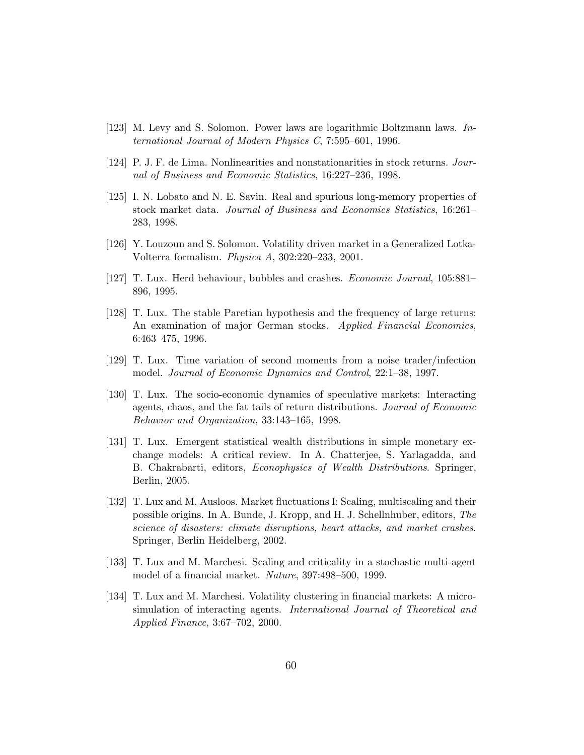- <span id="page-59-9"></span><span id="page-59-1"></span>[123] M. Levy and S. Solomon. Power laws are logarithmic Boltzmann laws. *International Journal of Modern Physics C*, 7:595–601, 1996.
- <span id="page-59-0"></span>[124] P. J. F. de Lima. Nonlinearities and nonstationarities in stock returns. *Journal of Business and Economic Statistics*, 16:227–236, 1998.
- [125] I. N. Lobato and N. E. Savin. Real and spurious long-memory properties of stock market data. *Journal of Business and Economics Statistics*, 16:261– 283, 1998.
- <span id="page-59-5"></span><span id="page-59-4"></span>[126] Y. Louzoun and S. Solomon. Volatility driven market in a Generalized Lotka-Volterra formalism. *Physica A*, 302:220–233, 2001.
- <span id="page-59-10"></span>[127] T. Lux. Herd behaviour, bubbles and crashes. *Economic Journal*, 105:881– 896, 1995.
- [128] T. Lux. The stable Paretian hypothesis and the frequency of large returns: An examination of major German stocks. *Applied Financial Economics*, 6:463–475, 1996.
- <span id="page-59-8"></span><span id="page-59-7"></span>[129] T. Lux. Time variation of second moments from a noise trader/infection model. *Journal of Economic Dynamics and Control*, 22:1–38, 1997.
- [130] T. Lux. The socio-economic dynamics of speculative markets: Interacting agents, chaos, and the fat tails of return distributions. *Journal of Economic Behavior and Organization*, 33:143–165, 1998.
- <span id="page-59-6"></span>[131] T. Lux. Emergent statistical wealth distributions in simple monetary exchange models: A critical review. In A. Chatterjee, S. Yarlagadda, and B. Chakrabarti, editors, *Econophysics of Wealth Distributions*. Springer, Berlin, 2005.
- <span id="page-59-11"></span>[132] T. Lux and M. Ausloos. Market fluctuations I: Scaling, multiscaling and their possible origins. In A. Bunde, J. Kropp, and H. J. Schellnhuber, editors, *The science of disasters: climate disruptions, heart attacks, and market crashes*. Springer, Berlin Heidelberg, 2002.
- <span id="page-59-2"></span>[133] T. Lux and M. Marchesi. Scaling and criticality in a stochastic multi-agent model of a financial market. *Nature*, 397:498–500, 1999.
- <span id="page-59-3"></span>[134] T. Lux and M. Marchesi. Volatility clustering in financial markets: A microsimulation of interacting agents. *International Journal of Theoretical and Applied Finance*, 3:67–702, 2000.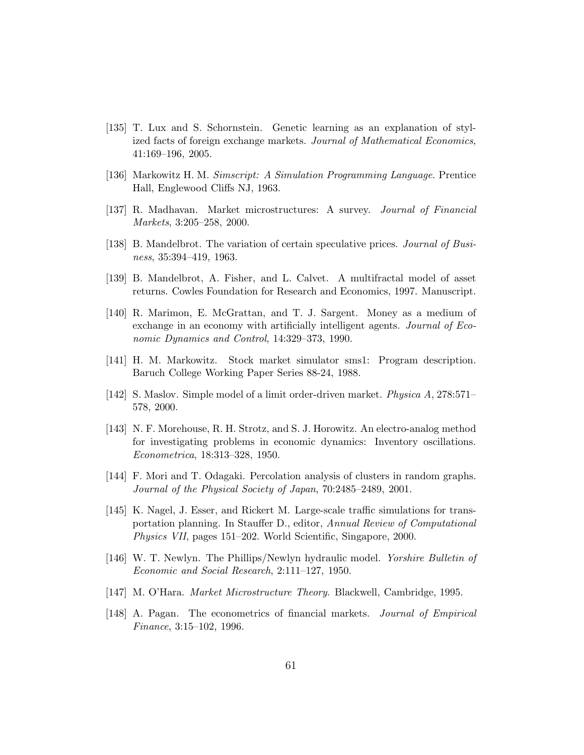- <span id="page-60-8"></span>[135] T. Lux and S. Schornstein. Genetic learning as an explanation of stylized facts of foreign exchange markets. *Journal of Mathematical Economics*, 41:169–196, 2005.
- <span id="page-60-12"></span><span id="page-60-3"></span>[136] Markowitz H. M. *Simscript: A Simulation Programming Language*. Prentice Hall, Englewood Cliffs NJ, 1963.
- <span id="page-60-0"></span>[137] R. Madhavan. Market microstructures: A survey. *Journal of Financial Markets*, 3:205–258, 2000.
- <span id="page-60-2"></span>[138] B. Mandelbrot. The variation of certain speculative prices. *Journal of Business*, 35:394–419, 1963.
- <span id="page-60-9"></span>[139] B. Mandelbrot, A. Fisher, and L. Calvet. A multifractal model of asset returns. Cowles Foundation for Research and Economics, 1997. Manuscript.
- [140] R. Marimon, E. McGrattan, and T. J. Sargent. Money as a medium of exchange in an economy with artificially intelligent agents. *Journal of Economic Dynamics and Control*, 14:329–373, 1990.
- <span id="page-60-11"></span><span id="page-60-4"></span>[141] H. M. Markowitz. Stock market simulator sms1: Program description. Baruch College Working Paper Series 88-24, 1988.
- <span id="page-60-6"></span>[142] S. Maslov. Simple model of a limit order-driven market. *Physica A*, 278:571– 578, 2000.
- [143] N. F. Morehouse, R. H. Strotz, and S. J. Horowitz. An electro-analog method for investigating problems in economic dynamics: Inventory oscillations. *Econometrica*, 18:313–328, 1950.
- <span id="page-60-13"></span><span id="page-60-10"></span>[144] F. Mori and T. Odagaki. Percolation analysis of clusters in random graphs. *Journal of the Physical Society of Japan*, 70:2485–2489, 2001.
- [145] K. Nagel, J. Esser, and Rickert M. Large-scale traffic simulations for transportation planning. In Stauffer D., editor, *Annual Review of Computational Physics VII*, pages 151–202. World Scientific, Singapore, 2000.
- <span id="page-60-7"></span><span id="page-60-5"></span>[146] W. T. Newlyn. The Phillips/Newlyn hydraulic model. *Yorshire Bulletin of Economic and Social Research*, 2:111–127, 1950.
- <span id="page-60-1"></span>[147] M. O'Hara. *Market Microstructure Theory*. Blackwell, Cambridge, 1995.
- [148] A. Pagan. The econometrics of financial markets. *Journal of Empirical Finance*, 3:15–102, 1996.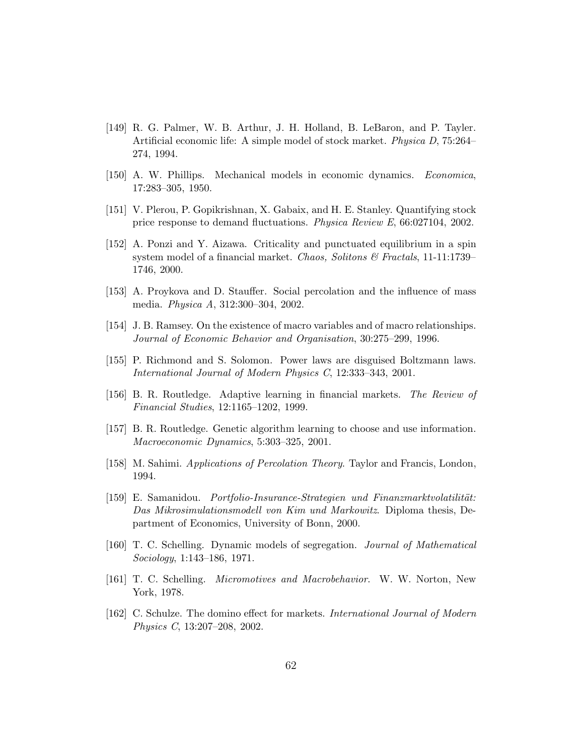- <span id="page-61-5"></span>[149] R. G. Palmer, W. B. Arthur, J. H. Holland, B. LeBaron, and P. Tayler. Artificial economic life: A simple model of stock market. *Physica D*, 75:264– 274, 1994.
- <span id="page-61-10"></span><span id="page-61-0"></span>[150] A. W. Phillips. Mechanical models in economic dynamics. *Economica*, 17:283–305, 1950.
- <span id="page-61-7"></span>[151] V. Plerou, P. Gopikrishnan, X. Gabaix, and H. E. Stanley. Quantifying stock price response to demand fluctuations. *Physica Review E*, 66:027104, 2002.
- [152] A. Ponzi and Y. Aizawa. Criticality and punctuated equilibrium in a spin system model of a financial market. *Chaos, Solitons & Fractals*, 11-11:1739– 1746, 2000.
- <span id="page-61-13"></span><span id="page-61-6"></span>[153] A. Proykova and D. Stauffer. Social percolation and the influence of mass media. *Physica A*, 312:300–304, 2002.
- <span id="page-61-9"></span>[154] J. B. Ramsey. On the existence of macro variables and of macro relationships. *Journal of Economic Behavior and Organisation*, 30:275–299, 1996.
- <span id="page-61-3"></span>[155] P. Richmond and S. Solomon. Power laws are disguised Boltzmann laws. *International Journal of Modern Physics C*, 12:333–343, 2001.
- <span id="page-61-4"></span>[156] B. R. Routledge. Adaptive learning in financial markets. *The Review of Financial Studies*, 12:1165–1202, 1999.
- <span id="page-61-12"></span>[157] B. R. Routledge. Genetic algorithm learning to choose and use information. *Macroeconomic Dynamics*, 5:303–325, 2001.
- <span id="page-61-8"></span>[158] M. Sahimi. *Applications of Percolation Theory*. Taylor and Francis, London, 1994.
- [159] E. Samanidou. *Portfolio-Insurance-Strategien und Finanzmarktvolatilität: Das Mikrosimulationsmodell von Kim und Markowitz*. Diploma thesis, Department of Economics, University of Bonn, 2000.
- <span id="page-61-2"></span><span id="page-61-1"></span>[160] T. C. Schelling. Dynamic models of segregation. *Journal of Mathematical Sociology*, 1:143–186, 1971.
- [161] T. C. Schelling. *Micromotives and Macrobehavior*. W. W. Norton, New York, 1978.
- <span id="page-61-11"></span>[162] C. Schulze. The domino effect for markets. *International Journal of Modern Physics C*, 13:207–208, 2002.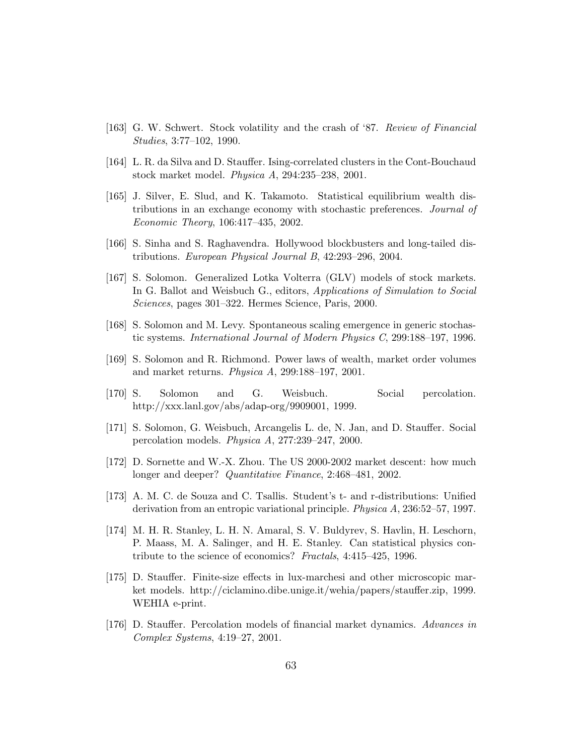- <span id="page-62-10"></span><span id="page-62-2"></span>[163] G. W. Schwert. Stock volatility and the crash of '87. *Review of Financial Studies*, 3:77–102, 1990.
- <span id="page-62-7"></span>[164] L. R. da Silva and D. Stauffer. Ising-correlated clusters in the Cont-Bouchaud stock market model. *Physica A*, 294:235–238, 2001.
- [165] J. Silver, E. Slud, and K. Takamoto. Statistical equilibrium wealth distributions in an exchange economy with stochastic preferences. *Journal of Economic Theory*, 106:417–435, 2002.
- <span id="page-62-12"></span><span id="page-62-5"></span>[166] S. Sinha and S. Raghavendra. Hollywood blockbusters and long-tailed distributions. *European Physical Journal B*, 42:293–296, 2004.
- [167] S. Solomon. Generalized Lotka Volterra (GLV) models of stock markets. In G. Ballot and Weisbuch G., editors, *Applications of Simulation to Social Sciences*, pages 301–322. Hermes Science, Paris, 2000.
- <span id="page-62-6"></span><span id="page-62-3"></span>[168] S. Solomon and M. Levy. Spontaneous scaling emergence in generic stochastic systems. *International Journal of Modern Physics C*, 299:188–197, 1996.
- <span id="page-62-0"></span>[169] S. Solomon and R. Richmond. Power laws of wealth, market order volumes and market returns. *Physica A*, 299:188–197, 2001.
- [170] S. Solomon and G. Weisbuch. Social percolation. http://xxx.lanl.gov/abs/adap-org/9909001, 1999.
- <span id="page-62-13"></span><span id="page-62-1"></span>[171] S. Solomon, G. Weisbuch, Arcangelis L. de, N. Jan, and D. Stauffer. Social percolation models. *Physica A*, 277:239–247, 2000.
- <span id="page-62-9"></span>[172] D. Sornette and W.-X. Zhou. The US 2000-2002 market descent: how much longer and deeper? *Quantitative Finance*, 2:468–481, 2002.
- <span id="page-62-11"></span>[173] A. M. C. de Souza and C. Tsallis. Student's t- and r-distributions: Unified derivation from an entropic variational principle. *Physica A*, 236:52–57, 1997.
- [174] M. H. R. Stanley, L. H. N. Amaral, S. V. Buldyrev, S. Havlin, H. Leschorn, P. Maass, M. A. Salinger, and H. E. Stanley. Can statistical physics contribute to the science of economics? *Fractals*, 4:415–425, 1996.
- <span id="page-62-4"></span>[175] D. Stauffer. Finite-size effects in lux-marchesi and other microscopic market models. http://ciclamino.dibe.unige.it/wehia/papers/stauffer.zip, 1999. WEHIA e-print.
- <span id="page-62-8"></span>[176] D. Stauffer. Percolation models of financial market dynamics. *Advances in Complex Systems*, 4:19–27, 2001.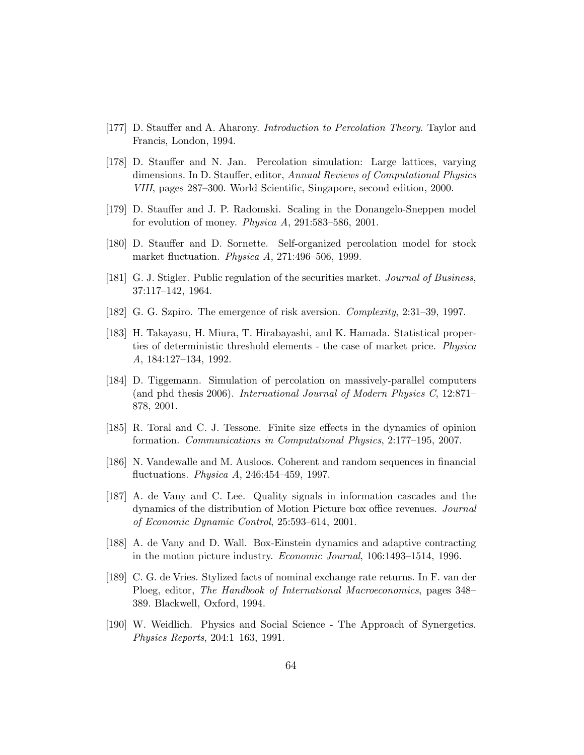- <span id="page-63-9"></span><span id="page-63-8"></span>[177] D. Stauffer and A. Aharony. *Introduction to Percolation Theory*. Taylor and Francis, London, 1994.
- [178] D. Stauffer and N. Jan. Percolation simulation: Large lattices, varying dimensions. In D. Stauffer, editor, *Annual Reviews of Computational Physics VIII*, pages 287–300. World Scientific, Singapore, second edition, 2000.
- <span id="page-63-10"></span><span id="page-63-5"></span>[179] D. Stauffer and J. P. Radomski. Scaling in the Donangelo-Sneppen model for evolution of money. *Physica A*, 291:583–586, 2001.
- <span id="page-63-0"></span>[180] D. Stauffer and D. Sornette. Self-organized percolation model for stock market fluctuation. *Physica A*, 271:496–506, 1999.
- <span id="page-63-3"></span>[181] G. J. Stigler. Public regulation of the securities market. *Journal of Business*, 37:117–142, 1964.
- <span id="page-63-4"></span>[182] G. G. Szpiro. The emergence of risk aversion. *Complexity*, 2:31–39, 1997.
- [183] H. Takayasu, H. Miura, T. Hirabayashi, and K. Hamada. Statistical properties of deterministic threshold elements - the case of market price. *Physica A*, 184:127–134, 1992.
- <span id="page-63-6"></span>[184] D. Tiggemann. Simulation of percolation on massively-parallel computers (and phd thesis 2006). *International Journal of Modern Physics C*, 12:871– 878, 2001.
- <span id="page-63-7"></span><span id="page-63-2"></span>[185] R. Toral and C. J. Tessone. Finite size effects in the dynamics of opinion formation. *Communications in Computational Physics*, 2:177–195, 2007.
- <span id="page-63-12"></span>[186] N. Vandewalle and M. Ausloos. Coherent and random sequences in financial fluctuations. *Physica A*, 246:454–459, 1997.
- [187] A. de Vany and C. Lee. Quality signals in information cascades and the dynamics of the distribution of Motion Picture box office revenues. *Journal of Economic Dynamic Control*, 25:593–614, 2001.
- <span id="page-63-11"></span>[188] A. de Vany and D. Wall. Box-Einstein dynamics and adaptive contracting in the motion picture industry. *Economic Journal*, 106:1493–1514, 1996.
- <span id="page-63-1"></span>[189] C. G. de Vries. Stylized facts of nominal exchange rate returns. In F. van der Ploeg, editor, *The Handbook of International Macroeconomics*, pages 348– 389. Blackwell, Oxford, 1994.
- <span id="page-63-13"></span>[190] W. Weidlich. Physics and Social Science - The Approach of Synergetics. *Physics Reports*, 204:1–163, 1991.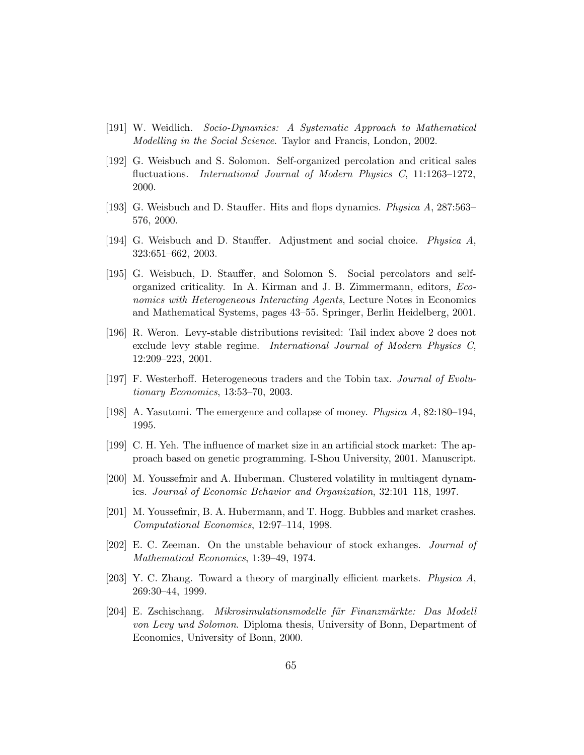- <span id="page-64-11"></span><span id="page-64-9"></span>[191] W. Weidlich. *Socio-Dynamics: A Systematic Approach to Mathematical Modelling in the Social Science*. Taylor and Francis, London, 2002.
- [192] G. Weisbuch and S. Solomon. Self-organized percolation and critical sales fluctuations. *International Journal of Modern Physics C*, 11:1263–1272, 2000.
- <span id="page-64-10"></span><span id="page-64-7"></span>[193] G. Weisbuch and D. Stauffer. Hits and flops dynamics. *Physica A*, 287:563– 576, 2000.
- <span id="page-64-8"></span>[194] G. Weisbuch and D. Stauffer. Adjustment and social choice. *Physica A*, 323:651–662, 2003.
- [195] G. Weisbuch, D. Stauffer, and Solomon S. Social percolators and selforganized criticality. In A. Kirman and J. B. Zimmermann, editors, *Economics with Heterogeneous Interacting Agents*, Lecture Notes in Economics and Mathematical Systems, pages 43–55. Springer, Berlin Heidelberg, 2001.
- <span id="page-64-0"></span>[196] R. Weron. Levy-stable distributions revisited: Tail index above 2 does not exclude levy stable regime. *International Journal of Modern Physics C*, 12:209–223, 2001.
- <span id="page-64-6"></span><span id="page-64-3"></span>[197] F. Westerhoff. Heterogeneous traders and the Tobin tax. *Journal of Evolutionary Economics*, 13:53–70, 2003.
- <span id="page-64-13"></span>[198] A. Yasutomi. The emergence and collapse of money. *Physica A*, 82:180–194, 1995.
- <span id="page-64-12"></span>[199] C. H. Yeh. The influence of market size in an artificial stock market: The approach based on genetic programming. I-Shou University, 2001. Manuscript.
- <span id="page-64-2"></span>[200] M. Youssefmir and A. Huberman. Clustered volatility in multiagent dynamics. *Journal of Economic Behavior and Organization*, 32:101–118, 1997.
- <span id="page-64-1"></span>[201] M. Youssefmir, B. A. Hubermann, and T. Hogg. Bubbles and market crashes. *Computational Economics*, 12:97–114, 1998.
- <span id="page-64-5"></span>[202] E. C. Zeeman. On the unstable behaviour of stock exhanges. *Journal of Mathematical Economics*, 1:39–49, 1974.
- <span id="page-64-4"></span>[203] Y. C. Zhang. Toward a theory of marginally efficient markets. *Physica A*, 269:30–44, 1999.
- [204] E. Zschischang. *Mikrosimulationsmodelle für Finanzmärkte: Das Modell von Levy und Solomon*. Diploma thesis, University of Bonn, Department of Economics, University of Bonn, 2000.